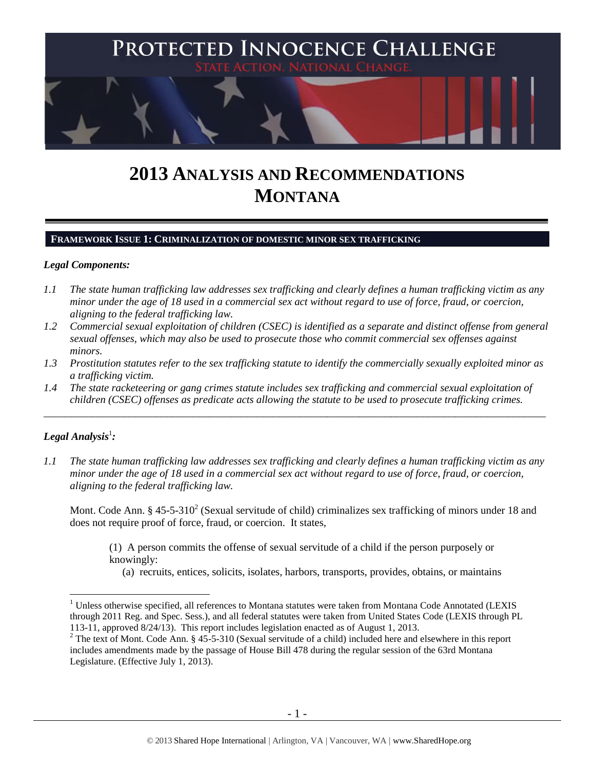

# **2013 ANALYSIS AND RECOMMENDATIONS MONTANA**

## **FRAMEWORK ISSUE 1: CRIMINALIZATION OF DOMESTIC MINOR SEX TRAFFICKING**

#### *Legal Components:*

- *1.1 The state human trafficking law addresses sex trafficking and clearly defines a human trafficking victim as any minor under the age of 18 used in a commercial sex act without regard to use of force, fraud, or coercion, aligning to the federal trafficking law.*
- *1.2 Commercial sexual exploitation of children (CSEC) is identified as a separate and distinct offense from general sexual offenses, which may also be used to prosecute those who commit commercial sex offenses against minors.*
- *1.3 Prostitution statutes refer to the sex trafficking statute to identify the commercially sexually exploited minor as a trafficking victim.*
- *1.4 The state racketeering or gang crimes statute includes sex trafficking and commercial sexual exploitation of children (CSEC) offenses as predicate acts allowing the statute to be used to prosecute trafficking crimes.*

\_\_\_\_\_\_\_\_\_\_\_\_\_\_\_\_\_\_\_\_\_\_\_\_\_\_\_\_\_\_\_\_\_\_\_\_\_\_\_\_\_\_\_\_\_\_\_\_\_\_\_\_\_\_\_\_\_\_\_\_\_\_\_\_\_\_\_\_\_\_\_\_\_\_\_\_\_\_\_\_\_\_\_\_\_\_\_\_\_\_\_\_\_\_

# $\bm{\mathit{Legal\, Analysis^1}}$ :

 $\overline{a}$ 

*1.1 The state human trafficking law addresses sex trafficking and clearly defines a human trafficking victim as any minor under the age of 18 used in a commercial sex act without regard to use of force, fraud, or coercion, aligning to the federal trafficking law.*

Mont. Code Ann. § 45-5-310<sup>2</sup> (Sexual servitude of child) criminalizes sex trafficking of minors under 18 and does not require proof of force, fraud, or coercion. It states,

<span id="page-0-0"></span>(1) A person commits the offense of sexual servitude of a child if the person purposely or knowingly:

(a) recruits, entices, solicits, isolates, harbors, transports, provides, obtains, or maintains

<sup>&</sup>lt;sup>1</sup> Unless otherwise specified, all references to Montana statutes were taken from Montana Code Annotated (LEXIS through 2011 Reg. and Spec. Sess.), and all federal statutes were taken from United States Code (LEXIS through PL 113-11, approved 8/24/13). This report includes legislation enacted as of August 1, 2013.

<sup>&</sup>lt;sup>2</sup> The text of Mont. Code Ann. § 45-5-310 (Sexual servitude of a child) included here and elsewhere in this report includes amendments made by the passage of House Bill 478 during the regular session of the 63rd Montana Legislature. (Effective July 1, 2013).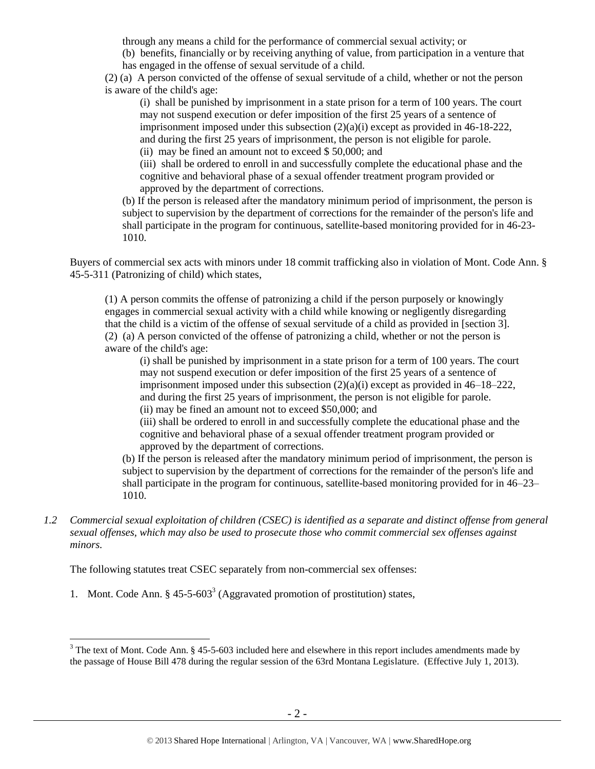through any means a child for the performance of commercial sexual activity; or

(b) benefits, financially or by receiving anything of value, from participation in a venture that has engaged in the offense of sexual servitude of a child.

(2) (a) A person convicted of the offense of sexual servitude of a child, whether or not the person is aware of the child's age:

(i) shall be punished by imprisonment in a state prison for a term of 100 years. The court may not suspend execution or defer imposition of the first 25 years of a sentence of imprisonment imposed under this subsection  $(2)(a)(i)$  except as provided in 46-18-222, and during the first 25 years of imprisonment, the person is not eligible for parole.

(ii) may be fined an amount not to exceed \$ 50,000; and

(iii) shall be ordered to enroll in and successfully complete the educational phase and the cognitive and behavioral phase of a sexual offender treatment program provided or approved by the department of corrections.

(b) If the person is released after the mandatory minimum period of imprisonment, the person is subject to supervision by the department of corrections for the remainder of the person's life and shall participate in the program for continuous, satellite-based monitoring provided for in 46-23- 1010.

Buyers of commercial sex acts with minors under 18 commit trafficking also in violation of Mont. Code Ann. § 45-5-311 (Patronizing of child) which states,

(1) A person commits the offense of patronizing a child if the person purposely or knowingly engages in commercial sexual activity with a child while knowing or negligently disregarding that the child is a victim of the offense of sexual servitude of a child as provided in [section 3]. (2) (a) A person convicted of the offense of patronizing a child, whether or not the person is aware of the child's age:

(i) shall be punished by imprisonment in a state prison for a term of 100 years. The court may not suspend execution or defer imposition of the first 25 years of a sentence of imprisonment imposed under this subsection  $(2)(a)(i)$  except as provided in 46–18–222, and during the first 25 years of imprisonment, the person is not eligible for parole. (ii) may be fined an amount not to exceed \$50,000; and

(iii) shall be ordered to enroll in and successfully complete the educational phase and the cognitive and behavioral phase of a sexual offender treatment program provided or approved by the department of corrections.

(b) If the person is released after the mandatory minimum period of imprisonment, the person is subject to supervision by the department of corrections for the remainder of the person's life and shall participate in the program for continuous, satellite-based monitoring provided for in 46–23– 1010.

*1.2 Commercial sexual exploitation of children (CSEC) is identified as a separate and distinct offense from general sexual offenses, which may also be used to prosecute those who commit commercial sex offenses against minors.*

The following statutes treat CSEC separately from non-commercial sex offenses:

<span id="page-1-0"></span>1. Mont. Code Ann.  $\S 45-5-603^3$  (Aggravated promotion of prostitution) states,

<sup>&</sup>lt;sup>3</sup> The text of Mont. Code Ann. § 45-5-603 included here and elsewhere in this report includes amendments made by the passage of House Bill 478 during the regular session of the 63rd Montana Legislature. (Effective July 1, 2013).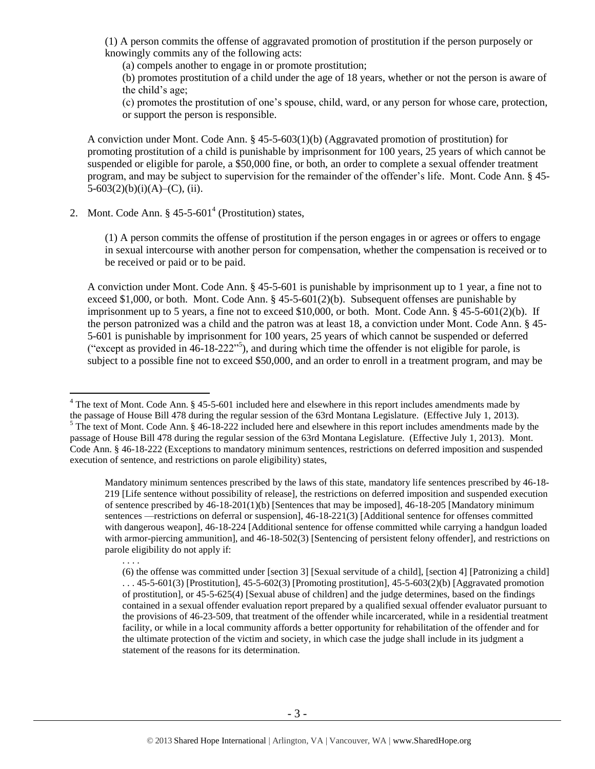(1) A person commits the offense of aggravated promotion of prostitution if the person purposely or knowingly commits any of the following acts:

(a) compels another to engage in or promote prostitution;

(b) promotes prostitution of a child under the age of 18 years, whether or not the person is aware of the child's age;

(c) promotes the prostitution of one's spouse, child, ward, or any person for whose care, protection, or support the person is responsible.

A conviction under Mont. Code Ann. § 45-5-603(1)(b) (Aggravated promotion of prostitution) for promoting prostitution of a child is punishable by imprisonment for 100 years, 25 years of which cannot be suspended or eligible for parole, a \$50,000 fine, or both, an order to complete a sexual offender treatment program, and may be subject to supervision for the remainder of the offender's life. Mont. Code Ann. § 45-  $5-603(2)(b)(i)(A)$ –(C), (ii).

2. Mont. Code Ann.  $\S 45-5-601^4$  (Prostitution) states,

<span id="page-2-0"></span>(1) A person commits the offense of prostitution if the person engages in or agrees or offers to engage in sexual intercourse with another person for compensation, whether the compensation is received or to be received or paid or to be paid.

<span id="page-2-1"></span>A conviction under Mont. Code Ann. § 45-5-601 is punishable by imprisonment up to 1 year, a fine not to exceed \$1,000, or both. Mont. Code Ann.  $\S$  45-5-601(2)(b). Subsequent offenses are punishable by imprisonment up to 5 years, a fine not to exceed \$10,000, or both. Mont. Code Ann. § 45-5-601(2)(b). If the person patronized was a child and the patron was at least 18, a conviction under Mont. Code Ann. § 45- 5-601 is punishable by imprisonment for 100 years, 25 years of which cannot be suspended or deferred "except as provided in  $46-18-222"$ <sup>5</sup>), and during which time the offender is not eligible for parole, is subject to a possible fine not to exceed \$50,000, and an order to enroll in a treatment program, and may be

<sup>&</sup>lt;sup>4</sup> The text of Mont. Code Ann. § 45-5-601 included here and elsewhere in this report includes amendments made by the passage of House Bill 478 during the regular session of the 63rd Montana Legislature. (Effective July 1, 2013).  $5$  The text of Mont. Code Ann. § 46-18-222 included here and elsewhere in this report includes amendments made by the passage of House Bill 478 during the regular session of the 63rd Montana Legislature. (Effective July 1, 2013). Mont. Code Ann. § 46-18-222 (Exceptions to mandatory minimum sentences, restrictions on deferred imposition and suspended execution of sentence, and restrictions on parole eligibility) states,

Mandatory minimum sentences prescribed by the laws of this state, mandatory life sentences prescribed by 46-18- 219 [Life sentence without possibility of release], the restrictions on deferred imposition and suspended execution of sentence prescribed by 46-18-201(1)(b) [Sentences that may be imposed], 46-18-205 [Mandatory minimum sentences —restrictions on deferral or suspension], 46-18-221(3) [Additional sentence for offenses committed with dangerous weapon], 46-18-224 [Additional sentence for offense committed while carrying a handgun loaded with armor-piercing ammunition], and 46-18-502(3) [Sentencing of persistent felony offender], and restrictions on parole eligibility do not apply if:

<sup>. . . .</sup>

<sup>(6)</sup> the offense was committed under [section 3] [Sexual servitude of a child], [section 4] [Patronizing a child]  $\ldots$  45-5-601(3) [Prostitution], 45-5-602(3) [Promoting prostitution], 45-5-603(2)(b) [Aggravated promotion of prostitution], or 45-5-625(4) [Sexual abuse of children] and the judge determines, based on the findings contained in a sexual offender evaluation report prepared by a qualified sexual offender evaluator pursuant to the provisions of 46-23-509, that treatment of the offender while incarcerated, while in a residential treatment facility, or while in a local community affords a better opportunity for rehabilitation of the offender and for the ultimate protection of the victim and society, in which case the judge shall include in its judgment a statement of the reasons for its determination.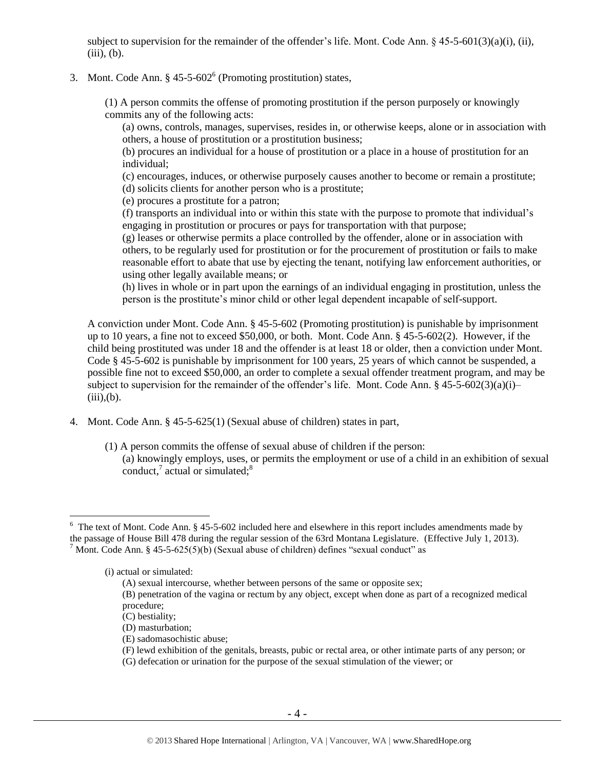subject to supervision for the remainder of the offender's life. Mont. Code Ann.  $\S$  45-5-601(3)(a)(i), (ii),  $(iii), (b).$ 

# 3. Mont. Code Ann.  $\S 45-5-602^6$  (Promoting prostitution) states,

(1) A person commits the offense of promoting prostitution if the person purposely or knowingly commits any of the following acts:

<span id="page-3-2"></span>(a) owns, controls, manages, supervises, resides in, or otherwise keeps, alone or in association with others, a house of prostitution or a prostitution business;

(b) procures an individual for a house of prostitution or a place in a house of prostitution for an individual;

(c) encourages, induces, or otherwise purposely causes another to become or remain a prostitute; (d) solicits clients for another person who is a prostitute;

(e) procures a prostitute for a patron;

(f) transports an individual into or within this state with the purpose to promote that individual's engaging in prostitution or procures or pays for transportation with that purpose;

(g) leases or otherwise permits a place controlled by the offender, alone or in association with others, to be regularly used for prostitution or for the procurement of prostitution or fails to make reasonable effort to abate that use by ejecting the tenant, notifying law enforcement authorities, or using other legally available means; or

(h) lives in whole or in part upon the earnings of an individual engaging in prostitution, unless the person is the prostitute's minor child or other legal dependent incapable of self-support.

A conviction under Mont. Code Ann. § 45-5-602 (Promoting prostitution) is punishable by imprisonment up to 10 years, a fine not to exceed \$50,000, or both. Mont. Code Ann. § 45-5-602(2). However, if the child being prostituted was under 18 and the offender is at least 18 or older, then a conviction under Mont. Code § 45-5-602 is punishable by imprisonment for 100 years, 25 years of which cannot be suspended, a possible fine not to exceed \$50,000, an order to complete a sexual offender treatment program, and may be subject to supervision for the remainder of the offender's life. Mont. Code Ann. §  $45-5-602(3)(a)(i)$  $(iii)$ , $(b)$ .

- <span id="page-3-0"></span>4. Mont. Code Ann. § 45-5-625(1) (Sexual abuse of children) states in part,
	- (1) A person commits the offense of sexual abuse of children if the person: (a) knowingly employs, uses, or permits the employment or use of a child in an exhibition of sexual conduct, $^7$  actual or simulated; $^8$

 $6$  The text of Mont. Code Ann. § 45-5-602 included here and elsewhere in this report includes amendments made by the passage of House Bill 478 during the regular session of the 63rd Montana Legislature. (Effective July 1, 2013). <sup>7</sup> Mont. Code Ann. § 45-5-625(5)(b) (Sexual abuse of children) defines "sexual conduct" as

<sup>(</sup>i) actual or simulated:

<span id="page-3-1"></span><sup>(</sup>A) sexual intercourse, whether between persons of the same or opposite sex;

<sup>(</sup>B) penetration of the vagina or rectum by any object, except when done as part of a recognized medical procedure;

<sup>(</sup>C) bestiality;

<sup>(</sup>D) masturbation;

<sup>(</sup>E) sadomasochistic abuse;

<sup>(</sup>F) lewd exhibition of the genitals, breasts, pubic or rectal area, or other intimate parts of any person; or

<sup>(</sup>G) defecation or urination for the purpose of the sexual stimulation of the viewer; or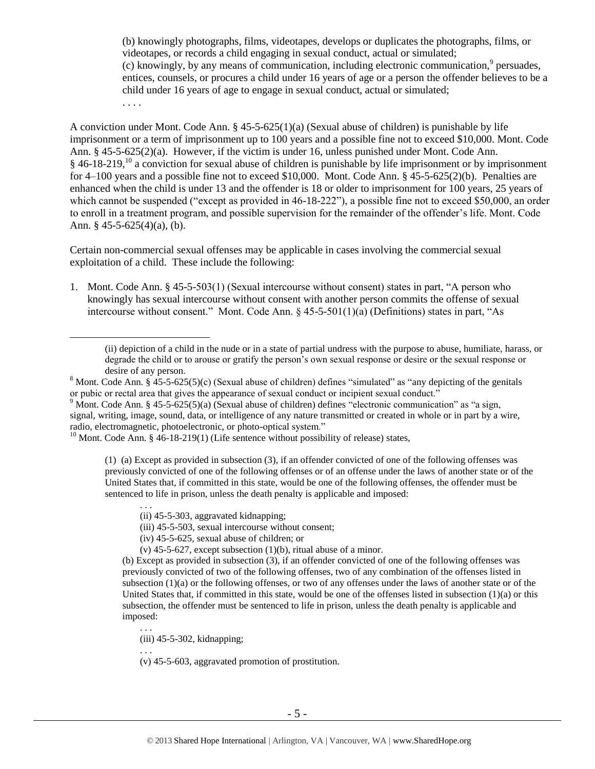<span id="page-4-0"></span>(b) knowingly photographs, films, videotapes, develops or duplicates the photographs, films, or videotapes, or records a child engaging in sexual conduct, actual or simulated;  $(c)$  knowingly, by any means of communication, including electronic communication,<sup>9</sup> persuades, entices, counsels, or procures a child under 16 years of age or a person the offender believes to be a child under 16 years of age to engage in sexual conduct, actual or simulated; . . . .

<span id="page-4-1"></span>A conviction under Mont. Code Ann. § 45-5-625(1)(a) (Sexual abuse of children) is punishable by life imprisonment or a term of imprisonment up to 100 years and a possible fine not to exceed \$10,000. Mont. Code Ann. § 45-5-625(2)(a). However, if the victim is under 16, unless punished under Mont. Code Ann.  $§$  46-18-219,<sup>10</sup> a conviction for sexual abuse of children is punishable by life imprisonment or by imprisonment for 4–100 years and a possible fine not to exceed \$10,000. Mont. Code Ann. § 45-5-625(2)(b). Penalties are enhanced when the child is under 13 and the offender is 18 or older to imprisonment for 100 years, 25 years of which cannot be suspended ("except as provided in 46-18-222"), a possible fine not to exceed \$50,000, an order to enroll in a treatment program, and possible supervision for the remainder of the offender's life. Mont. Code Ann. § 45-5-625(4)(a), (b).

Certain non-commercial sexual offenses may be applicable in cases involving the commercial sexual exploitation of a child. These include the following:

1. Mont. Code Ann. § 45-5-503(1) (Sexual intercourse without consent) states in part, "A person who knowingly has sexual intercourse without consent with another person commits the offense of sexual intercourse without consent." Mont. Code Ann. § 45-5-501(1)(a) (Definitions) states in part, "As

<sup>10</sup> Mont. Code Ann. § 46-18-219(1) (Life sentence without possibility of release) states,

(1) (a) Except as provided in subsection (3), if an offender convicted of one of the following offenses was previously convicted of one of the following offenses or of an offense under the laws of another state or of the United States that, if committed in this state, would be one of the following offenses, the offender must be sentenced to life in prison, unless the death penalty is applicable and imposed:

(iii) 45-5-503, sexual intercourse without consent;

- (iv) 45-5-625, sexual abuse of children; or
- (v) 45-5-627, except subsection (1)(b), ritual abuse of a minor.

(b) Except as provided in subsection (3), if an offender convicted of one of the following offenses was previously convicted of two of the following offenses, two of any combination of the offenses listed in subsection (1)(a) or the following offenses, or two of any offenses under the laws of another state or of the United States that, if committed in this state, would be one of the offenses listed in subsection (1)(a) or this subsection, the offender must be sentenced to life in prison, unless the death penalty is applicable and imposed:

(iii) 45-5-302, kidnapping;

. . .

 $\overline{a}$ 

(v) 45-5-603, aggravated promotion of prostitution.

<sup>(</sup>ii) depiction of a child in the nude or in a state of partial undress with the purpose to abuse, humiliate, harass, or degrade the child or to arouse or gratify the person's own sexual response or desire or the sexual response or desire of any person.

<sup>&</sup>lt;sup>8</sup> Mont. Code Ann. § 45-5-625(5)(c) (Sexual abuse of children) defines "simulated" as "any depicting of the genitals or pubic or rectal area that gives the appearance of sexual conduct or incipient sexual conduct."

<sup>&</sup>lt;sup>9</sup> Mont. Code Ann. § 45-5-625(5)(a) (Sexual abuse of children) defines "electronic communication" as "a sign, signal, writing, image, sound, data, or intelligence of any nature transmitted or created in whole or in part by a wire, radio, electromagnetic, photoelectronic, or photo-optical system."

<sup>. . .</sup>  (ii) 45-5-303, aggravated kidnapping;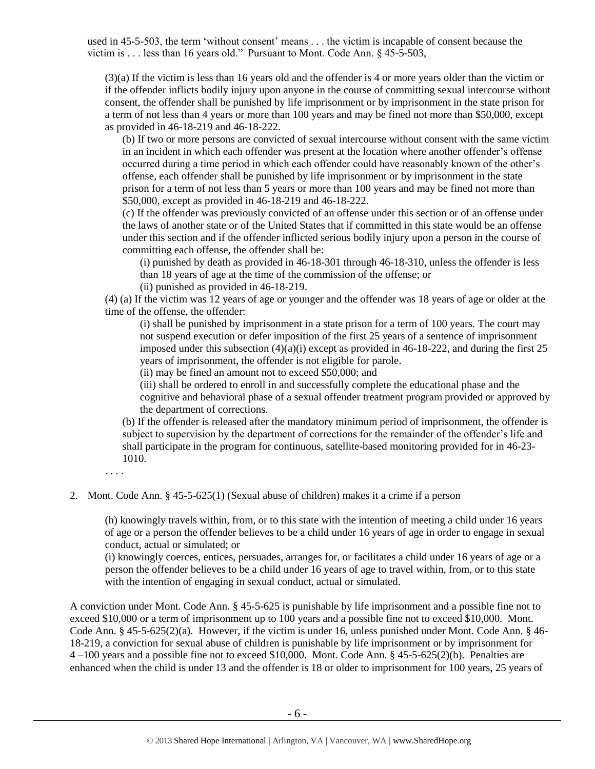used in 45-5-503, the term 'without consent' means . . . the victim is incapable of consent because the victim is . . . less than 16 years old." Pursuant to Mont. Code Ann. § 45-5-503,

(3)(a) If the victim is less than 16 years old and the offender is 4 or more years older than the victim or if the offender inflicts bodily injury upon anyone in the course of committing sexual intercourse without consent, the offender shall be punished by life imprisonment or by imprisonment in the state prison for a term of not less than 4 years or more than 100 years and may be fined not more than \$50,000, except as provided in 46-18-219 and 46-18-222.

(b) If two or more persons are convicted of sexual intercourse without consent with the same victim in an incident in which each offender was present at the location where another offender's offense occurred during a time period in which each offender could have reasonably known of the other's offense, each offender shall be punished by life imprisonment or by imprisonment in the state prison for a term of not less than 5 years or more than 100 years and may be fined not more than \$50,000, except as provided in [46-18-219](http://data.opi.mt.gov/bills/mca/46/18/46-18-219.htm) and [46-18-222.](http://data.opi.mt.gov/bills/mca/46/18/46-18-222.htm)

(c) If the offender was previously convicted of an offense under this section or of an offense under the laws of another state or of the United States that if committed in this state would be an offense under this section and if the offender inflicted serious bodily injury upon a person in the course of committing each offense, the offender shall be:

(i) punished by death as provided in 46-18-301 through 46-18-310, unless the offender is less than 18 years of age at the time of the commission of the offense; or

(ii) punished as provided in 46-18-219.

(4) (a) If the victim was 12 years of age or younger and the offender was 18 years of age or older at the time of the offense, the offender:

(i) shall be punished by imprisonment in a state prison for a term of 100 years. The court may not suspend execution or defer imposition of the first 25 years of a sentence of imprisonment imposed under this subsection  $(4)(a)(i)$  except as provided in 46-18-222, and during the first 25 years of imprisonment, the offender is not eligible for parole.

(ii) may be fined an amount not to exceed \$50,000; and

(iii) shall be ordered to enroll in and successfully complete the educational phase and the cognitive and behavioral phase of a sexual offender treatment program provided or approved by the department of corrections.

(b) If the offender is released after the mandatory minimum period of imprisonment, the offender is subject to supervision by the department of corrections for the remainder of the offender's life and shall participate in the program for continuous, satellite-based monitoring provided for in [46-23-](http://data.opi.mt.gov/bills/mca/46/23/46-23-1010.htm) [1010.](http://data.opi.mt.gov/bills/mca/46/23/46-23-1010.htm)

. . . .

2. Mont. Code Ann. § 45-5-625(1) (Sexual abuse of children) makes it a crime if a person

(h) knowingly travels within, from, or to this state with the intention of meeting a child under 16 years of age or a person the offender believes to be a child under 16 years of age in order to engage in sexual conduct, actual or simulated; or

(i) knowingly coerces, entices, persuades, arranges for, or facilitates a child under 16 years of age or a person the offender believes to be a child under 16 years of age to travel within, from, or to this state with the intention of engaging in sexual conduct, actual or simulated.

A conviction under Mont. Code Ann. § 45-5-625 is punishable by life imprisonment and a possible fine not to exceed \$10,000 or a term of imprisonment up to 100 years and a possible fine not to exceed \$10,000. Mont. Code Ann. § 45-5-625(2)(a). However, if the victim is under 16, unless punished under Mont. Code Ann. § 46- 18-219, a conviction for sexual abuse of children is punishable by life imprisonment or by imprisonment for 4 –100 years and a possible fine not to exceed \$10,000. Mont. Code Ann. § 45-5-625(2)(b). Penalties are enhanced when the child is under 13 and the offender is 18 or older to imprisonment for 100 years, 25 years of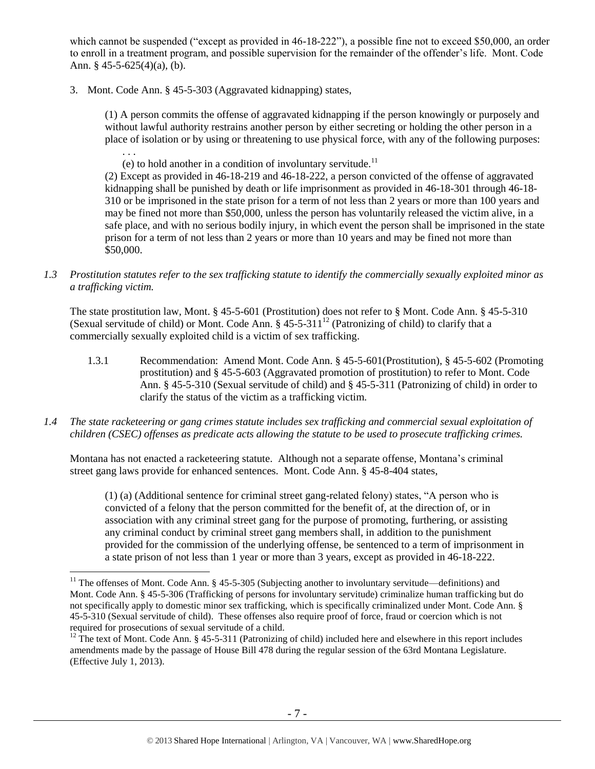which cannot be suspended ("except as provided in 46-18-222"), a possible fine not to exceed \$50,000, an order to enroll in a treatment program, and possible supervision for the remainder of the offender's life. Mont. Code Ann. § 45-5-625(4)(a), (b).

3. Mont. Code Ann. § 45-5-303 (Aggravated kidnapping) states,

(1) A person commits the offense of aggravated kidnapping if the person knowingly or purposely and without lawful authority restrains another person by either secreting or holding the other person in a place of isolation or by using or threatening to use physical force, with any of the following purposes: . . .

(e) to hold another in a condition of involuntary servitude.<sup>11</sup>

(2) Except as provided in 46-18-219 and 46-18-222, a person convicted of the offense of aggravated kidnapping shall be punished by death or life imprisonment as provided in 46-18-301 through 46-18- 310 or be imprisoned in the state prison for a term of not less than 2 years or more than 100 years and may be fined not more than \$50,000, unless the person has voluntarily released the victim alive, in a safe place, and with no serious bodily injury, in which event the person shall be imprisoned in the state prison for a term of not less than 2 years or more than 10 years and may be fined not more than \$50,000.

*1.3 Prostitution statutes refer to the sex trafficking statute to identify the commercially sexually exploited minor as a trafficking victim.* 

The state prostitution law, Mont. § 45-5-601 (Prostitution) does not refer to § Mont. Code Ann. § 45-5-310 (Sexual servitude of child) or Mont. Code Ann.  $\S$  45-5-311<sup>12</sup> (Patronizing of child) to clarify that a commercially sexually exploited child is a victim of sex trafficking.

- <span id="page-6-0"></span>1.3.1 Recommendation: Amend Mont. Code Ann. § 45-5-601(Prostitution), § 45-5-602 (Promoting prostitution) and § 45-5-603 (Aggravated promotion of prostitution) to refer to Mont. Code Ann. § 45-5-310 (Sexual servitude of child) and § 45-5-311 (Patronizing of child) in order to clarify the status of the victim as a trafficking victim.
- *1.4 The state racketeering or gang crimes statute includes sex trafficking and commercial sexual exploitation of children (CSEC) offenses as predicate acts allowing the statute to be used to prosecute trafficking crimes.*

Montana has not enacted a racketeering statute. Although not a separate offense, Montana's criminal street gang laws provide for enhanced sentences. Mont. Code Ann. § 45-8-404 states,

(1) (a) (Additional sentence for criminal street gang-related felony) states, "A person who is convicted of a felony that the person committed for the benefit of, at the direction of, or in association with any criminal street gang for the purpose of promoting, furthering, or assisting any criminal conduct by criminal street gang members shall, in addition to the punishment provided for the commission of the underlying offense, be sentenced to a term of imprisonment in a state prison of not less than 1 year or more than 3 years, except as provided in 46-18-222.

<sup>&</sup>lt;sup>11</sup> The offenses of Mont. Code Ann. § 45-5-305 (Subjecting another to involuntary servitude—definitions) and Mont. Code Ann. § 45-5-306 (Trafficking of persons for involuntary servitude) criminalize human trafficking but do not specifically apply to domestic minor sex trafficking, which is specifically criminalized under Mont. Code Ann. § 45-5-310 (Sexual servitude of child). These offenses also require proof of force, fraud or coercion which is not required for prosecutions of sexual servitude of a child.

<sup>&</sup>lt;sup>12</sup> The text of Mont. Code Ann. § 45-5-311 (Patronizing of child) included here and elsewhere in this report includes amendments made by the passage of House Bill 478 during the regular session of the 63rd Montana Legislature. (Effective July 1, 2013).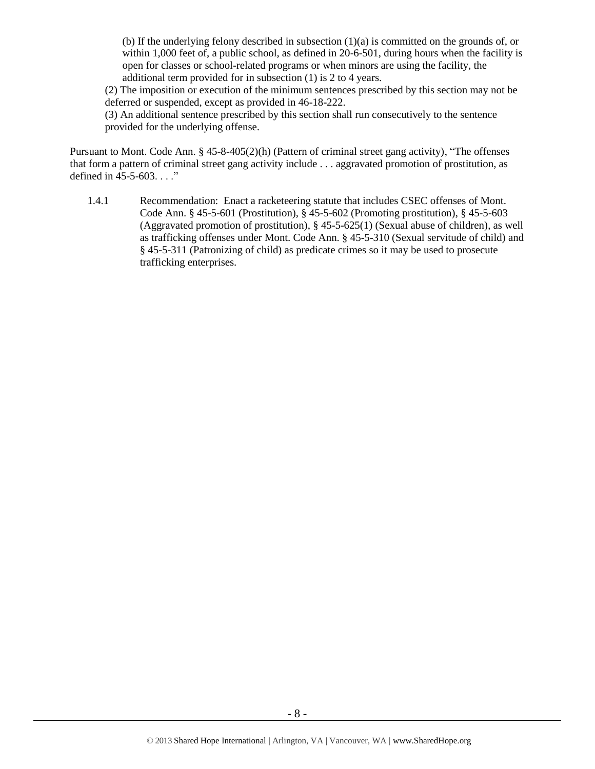(b) If the underlying felony described in subsection (1)(a) is committed on the grounds of, or within 1,000 feet of, a public school, as defined in 20-6-501, during hours when the facility is open for classes or school-related programs or when minors are using the facility, the additional term provided for in subsection (1) is 2 to 4 years.

(2) The imposition or execution of the minimum sentences prescribed by this section may not be deferred or suspended, except as provided in 46-18-222.

(3) An additional sentence prescribed by this section shall run consecutively to the sentence provided for the underlying offense.

Pursuant to Mont. Code Ann. § 45-8-405(2)(h) (Pattern of criminal street gang activity), "The offenses that form a pattern of criminal street gang activity include . . . aggravated promotion of prostitution, as defined in 45-5-603. . . ."

1.4.1 Recommendation: Enact a racketeering statute that includes CSEC offenses of Mont. Code Ann. § 45-5-601 (Prostitution), § 45-5-602 (Promoting prostitution), § 45-5-603 (Aggravated promotion of prostitution), § 45-5-625(1) (Sexual abuse of children), as well as trafficking offenses under Mont. Code Ann. § 45-5-310 (Sexual servitude of child) and § 45-5-311 (Patronizing of child) as predicate crimes so it may be used to prosecute trafficking enterprises.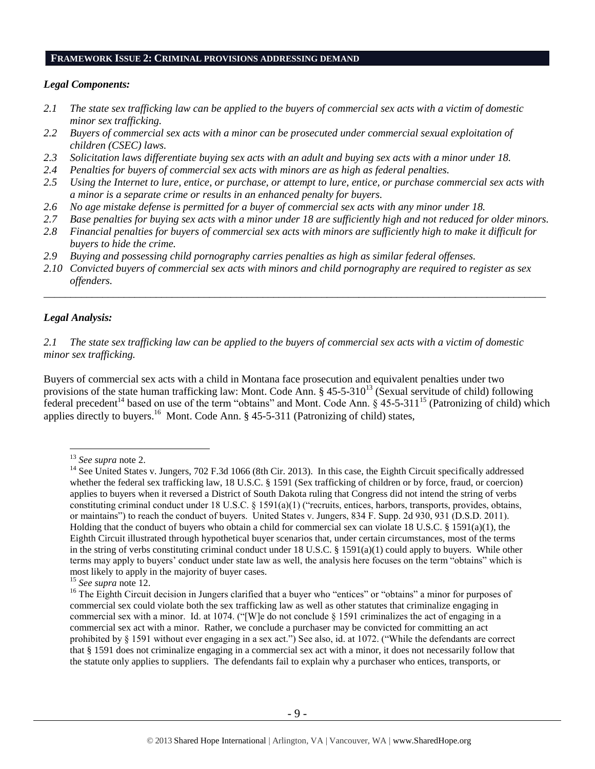## **FRAMEWORK ISSUE 2: CRIMINAL PROVISIONS ADDRESSING DEMAND**

## *Legal Components:*

- *2.1 The state sex trafficking law can be applied to the buyers of commercial sex acts with a victim of domestic minor sex trafficking.*
- *2.2 Buyers of commercial sex acts with a minor can be prosecuted under commercial sexual exploitation of children (CSEC) laws.*
- *2.3 Solicitation laws differentiate buying sex acts with an adult and buying sex acts with a minor under 18.*
- *2.4 Penalties for buyers of commercial sex acts with minors are as high as federal penalties.*
- *2.5 Using the Internet to lure, entice, or purchase, or attempt to lure, entice, or purchase commercial sex acts with a minor is a separate crime or results in an enhanced penalty for buyers.*
- *2.6 No age mistake defense is permitted for a buyer of commercial sex acts with any minor under 18.*
- *2.7 Base penalties for buying sex acts with a minor under 18 are sufficiently high and not reduced for older minors.*
- *2.8 Financial penalties for buyers of commercial sex acts with minors are sufficiently high to make it difficult for buyers to hide the crime.*
- *2.9 Buying and possessing child pornography carries penalties as high as similar federal offenses.*
- *2.10 Convicted buyers of commercial sex acts with minors and child pornography are required to register as sex offenders.*

\_\_\_\_\_\_\_\_\_\_\_\_\_\_\_\_\_\_\_\_\_\_\_\_\_\_\_\_\_\_\_\_\_\_\_\_\_\_\_\_\_\_\_\_\_\_\_\_\_\_\_\_\_\_\_\_\_\_\_\_\_\_\_\_\_\_\_\_\_\_\_\_\_\_\_\_\_\_\_\_\_\_\_\_\_\_\_\_\_\_\_\_\_\_

## *Legal Analysis:*

 $\overline{a}$ 

*2.1 The state sex trafficking law can be applied to the buyers of commercial sex acts with a victim of domestic minor sex trafficking.*

Buyers of commercial sex acts with a child in Montana face prosecution and equivalent penalties under two provisions of the state human trafficking law: Mont. Code Ann.  $\S 45-5-310^{13}$  (Sexual servitude of child) following federal precedent<sup>14</sup> based on use of the term "obtains" and Mont. Code Ann.  $\frac{1}{5}$  45-5-311<sup>15</sup> (Patronizing of child) which applies directly to buyers.<sup>16</sup> Mont. Code Ann. § 45-5-311 (Patronizing of child) states,

<sup>13</sup> *See supra* note [2.](#page-0-0)

<sup>&</sup>lt;sup>14</sup> See United States v. Jungers, 702 F.3d 1066 (8th Cir. 2013). In this case, the Eighth Circuit specifically addressed whether the federal sex trafficking law, 18 U.S.C. § 1591 (Sex trafficking of children or by force, fraud, or coercion) applies to buyers when it reversed a District of South Dakota ruling that Congress did not intend the string of verbs constituting criminal conduct under 18 U.S.C. § 1591(a)(1) ("recruits, entices, harbors, transports, provides, obtains, or maintains") to reach the conduct of buyers. United States v. Jungers, 834 F. Supp. 2d 930, 931 (D.S.D. 2011). Holding that the conduct of buyers who obtain a child for commercial sex can violate 18 U.S.C. § 1591(a)(1), the Eighth Circuit illustrated through hypothetical buyer scenarios that, under certain circumstances, most of the terms in the string of verbs constituting criminal conduct under 18 U.S.C. § 1591(a)(1) could apply to buyers. While other terms may apply to buyers' conduct under state law as well, the analysis here focuses on the term "obtains" which is most likely to apply in the majority of buyer cases.

<sup>15</sup> *See supra* note [12.](#page-6-0)

<sup>&</sup>lt;sup>16</sup> The Eighth Circuit decision in Jungers clarified that a buyer who "entices" or "obtains" a minor for purposes of commercial sex could violate both the sex trafficking law as well as other statutes that criminalize engaging in commercial sex with a minor. Id. at 1074. ("[W]e do not conclude § 1591 criminalizes the act of engaging in a commercial sex act with a minor. Rather, we conclude a purchaser may be convicted for committing an act prohibited by § 1591 without ever engaging in a sex act.") See also, id. at 1072. ("While the defendants are correct that § 1591 does not criminalize engaging in a commercial sex act with a minor, it does not necessarily follow that the statute only applies to suppliers. The defendants fail to explain why a purchaser who entices, transports, or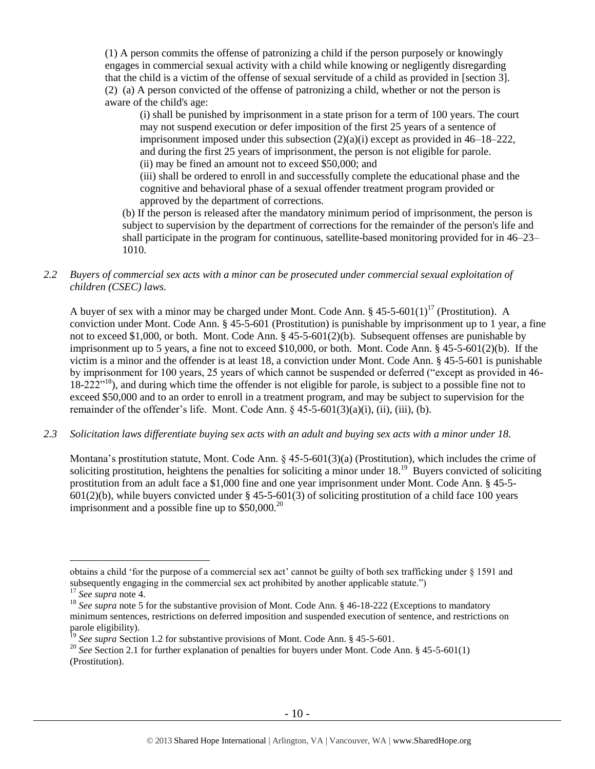(1) A person commits the offense of patronizing a child if the person purposely or knowingly engages in commercial sexual activity with a child while knowing or negligently disregarding that the child is a victim of the offense of sexual servitude of a child as provided in [section 3]. (2) (a) A person convicted of the offense of patronizing a child, whether or not the person is aware of the child's age:

(i) shall be punished by imprisonment in a state prison for a term of 100 years. The court may not suspend execution or defer imposition of the first 25 years of a sentence of imprisonment imposed under this subsection (2)(a)(i) except as provided in 46–18–222, and during the first 25 years of imprisonment, the person is not eligible for parole. (ii) may be fined an amount not to exceed \$50,000; and

(iii) shall be ordered to enroll in and successfully complete the educational phase and the cognitive and behavioral phase of a sexual offender treatment program provided or approved by the department of corrections.

(b) If the person is released after the mandatory minimum period of imprisonment, the person is subject to supervision by the department of corrections for the remainder of the person's life and shall participate in the program for continuous, satellite-based monitoring provided for in 46–23– 1010.

## *2.2 Buyers of commercial sex acts with a minor can be prosecuted under commercial sexual exploitation of children (CSEC) laws.*

A buyer of sex with a minor may be charged under Mont. Code Ann. § 45-5-601(1)<sup>17</sup> (Prostitution). A conviction under Mont. Code Ann. § 45-5-601 (Prostitution) is punishable by imprisonment up to 1 year, a fine not to exceed \$1,000, or both. Mont. Code Ann. § 45-5-601(2)(b). Subsequent offenses are punishable by imprisonment up to 5 years, a fine not to exceed \$10,000, or both. Mont. Code Ann. § 45-5-601(2)(b). If the victim is a minor and the offender is at least 18, a conviction under Mont. Code Ann. § 45-5-601 is punishable by imprisonment for 100 years, 25 years of which cannot be suspended or deferred ("except as provided in 46- 18-222<sup>"18</sup>), and during which time the offender is not eligible for parole, is subject to a possible fine not to exceed \$50,000 and to an order to enroll in a treatment program, and may be subject to supervision for the remainder of the offender's life. Mont. Code Ann.  $\frac{6}{5}$  45-5-601(3)(a)(i), (ii), (iii), (b).

*2.3 Solicitation laws differentiate buying sex acts with an adult and buying sex acts with a minor under 18.*

Montana's prostitution statute, Mont. Code Ann.  $\S$  45-5-601(3)(a) (Prostitution), which includes the crime of soliciting prostitution, heightens the penalties for soliciting a minor under  $18<sup>19</sup>$  Buyers convicted of soliciting prostitution from an adult face a \$1,000 fine and one year imprisonment under Mont. Code Ann. § 45-5-  $601(2)(b)$ , while buyers convicted under § 45-5-601(3) of soliciting prostitution of a child face 100 years imprisonment and a possible fine up to  $$50,000.<sup>20</sup>$ 

obtains a child 'for the purpose of a commercial sex act' cannot be guilty of both sex trafficking under § 1591 and subsequently engaging in the commercial sex act prohibited by another applicable statute.")

<sup>17</sup> *See supra* note [4.](#page-2-0)

<sup>&</sup>lt;sup>18</sup> See supra note [5](#page-2-1) for the substantive provision of Mont. Code Ann. § 46-18-222 (Exceptions to mandatory minimum sentences, restrictions on deferred imposition and suspended execution of sentence, and restrictions on parole eligibility).

<sup>&</sup>lt;sup>19</sup> See supra Section 1.2 for substantive provisions of Mont. Code Ann. § 45-5-601.

<sup>&</sup>lt;sup>20</sup> *See* Section 2.1 for further explanation of penalties for buyers under Mont. Code Ann. § 45-5-601(1) (Prostitution).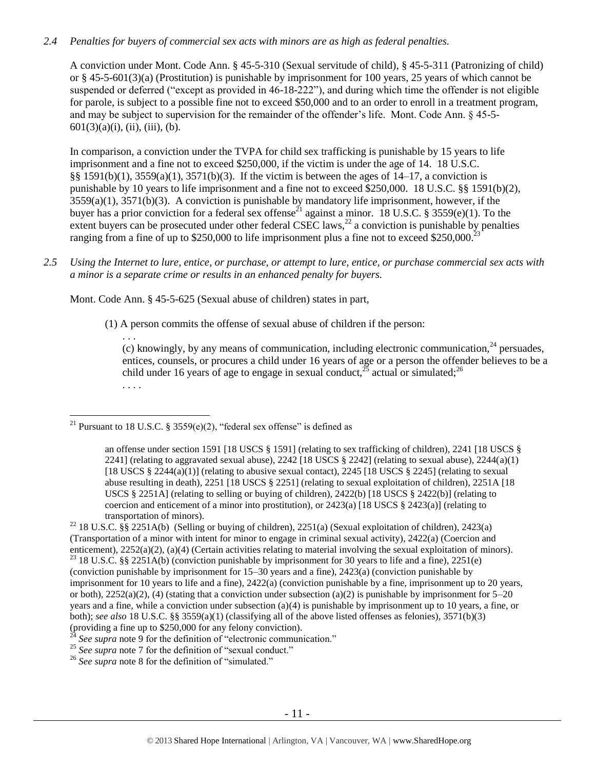# *2.4 Penalties for buyers of commercial sex acts with minors are as high as federal penalties.*

A conviction under Mont. Code Ann. § 45-5-310 (Sexual servitude of child), § 45-5-311 (Patronizing of child) or § 45-5-601(3)(a) (Prostitution) is punishable by imprisonment for 100 years, 25 years of which cannot be suspended or deferred ("except as provided in 46-18-222"), and during which time the offender is not eligible for parole, is subject to a possible fine not to exceed \$50,000 and to an order to enroll in a treatment program, and may be subject to supervision for the remainder of the offender's life. Mont. Code Ann. § 45-5-  $601(3)(a)(i)$ , (ii), (iii), (b).

In comparison, a conviction under the TVPA for child sex trafficking is punishable by 15 years to life imprisonment and a fine not to exceed \$250,000, if the victim is under the age of 14. 18 U.S.C. §§ 1591(b)(1), 3559(a)(1), 3571(b)(3). If the victim is between the ages of 14–17, a conviction is punishable by 10 years to life imprisonment and a fine not to exceed \$250,000. 18 U.S.C. §§ 1591(b)(2), 3559(a)(1), 3571(b)(3). A conviction is punishable by mandatory life imprisonment, however, if the buyer has a prior conviction for a federal sex offense<sup>21</sup> against a minor. 18 U.S.C. § 3559(e)(1). To the extent buyers can be prosecuted under other federal  $CSEC$  laws,<sup>22</sup> a conviction is punishable by penalties ranging from a fine of up to \$250,000 to life imprisonment plus a fine not to exceed \$250,000.<sup>23</sup>

*2.5 Using the Internet to lure, entice, or purchase, or attempt to lure, entice, or purchase commercial sex acts with a minor is a separate crime or results in an enhanced penalty for buyers.*

Mont. Code Ann. § 45-5-625 (Sexual abuse of children) states in part,

(1) A person commits the offense of sexual abuse of children if the person:

<span id="page-10-0"></span>. . . (c) knowingly, by any means of communication, including electronic communication,  $^{24}$  persuades, entices, counsels, or procures a child under 16 years of age or a person the offender believes to be a child under 16 years of age to engage in sexual conduct,  $^{25}$  actual or simulated; <sup>26</sup> . . . .

<sup>24</sup> See supra note [9](#page-4-0) for the definition of "electronic communication."

<sup>25</sup> See supra note [7](#page-3-0) for the definition of "sexual conduct."

<sup>26</sup> See supra note [8](#page-3-1) for the definition of "simulated."

 $\overline{a}$ <sup>21</sup> Pursuant to 18 U.S.C. § 3559(e)(2), "federal sex offense" is defined as

an offense under section 1591 [18 USCS § 1591] (relating to sex trafficking of children), 2241 [18 USCS § 2241] (relating to aggravated sexual abuse),  $2242$  [18 USCS § 2242] (relating to sexual abuse),  $2244(a)(1)$ [18 USCS § 2244(a)(1)] (relating to abusive sexual contact), 2245 [18 USCS § 2245] (relating to sexual abuse resulting in death), 2251 [18 USCS § 2251] (relating to sexual exploitation of children), 2251A [18 USCS § 2251A] (relating to selling or buying of children), 2422(b) [18 USCS § 2422(b)] (relating to coercion and enticement of a minor into prostitution), or  $2423(a)$  [18 USCS § 2423(a)] (relating to transportation of minors).

<sup>&</sup>lt;sup>22</sup> 18 U.S.C. §§ 2251A(b) (Selling or buying of children), 2251(a) (Sexual exploitation of children), 2423(a) (Transportation of a minor with intent for minor to engage in criminal sexual activity), 2422(a) (Coercion and enticement), 2252(a)(2), (a)(4) (Certain activities relating to material involving the sexual exploitation of minors).

<sup>&</sup>lt;sup>23</sup> 18 U.S.C. §§ 2251A(b) (conviction punishable by imprisonment for 30 years to life and a fine), 2251(e) (conviction punishable by imprisonment for 15–30 years and a fine), 2423(a) (conviction punishable by imprisonment for 10 years to life and a fine), 2422(a) (conviction punishable by a fine, imprisonment up to 20 years, or both),  $2252(a)(2)$ , (4) (stating that a conviction under subsection (a)(2) is punishable by imprisonment for  $5-20$ years and a fine, while a conviction under subsection (a)(4) is punishable by imprisonment up to 10 years, a fine, or both); *see also* 18 U.S.C. §§ 3559(a)(1) (classifying all of the above listed offenses as felonies), 3571(b)(3) (providing a fine up to \$250,000 for any felony conviction).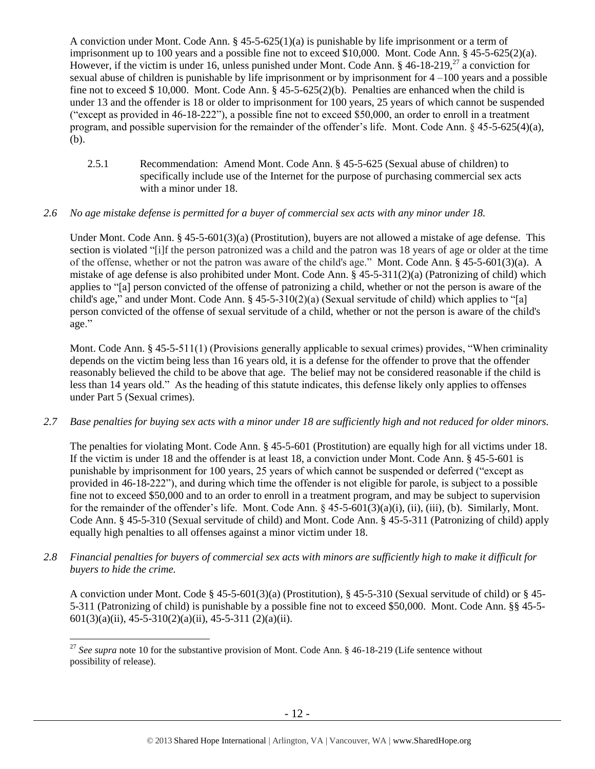A conviction under Mont. Code Ann. § 45-5-625(1)(a) is punishable by life imprisonment or a term of imprisonment up to 100 years and a possible fine not to exceed \$10,000. Mont. Code Ann. § 45-5-625(2)(a). However, if the victim is under 16, unless punished under Mont. Code Ann.  $\S$  46-18-219,<sup>27</sup> a conviction for sexual abuse of children is punishable by life imprisonment or by imprisonment for 4 –100 years and a possible fine not to exceed \$ 10,000. Mont. Code Ann. § 45-5-625(2)(b). Penalties are enhanced when the child is under 13 and the offender is 18 or older to imprisonment for 100 years, 25 years of which cannot be suspended ("except as provided in 46-18-222"), a possible fine not to exceed \$50,000, an order to enroll in a treatment program, and possible supervision for the remainder of the offender's life. Mont. Code Ann. § 45-5-625(4)(a), (b).

2.5.1 Recommendation: Amend Mont. Code Ann. § 45-5-625 (Sexual abuse of children) to specifically include use of the Internet for the purpose of purchasing commercial sex acts with a minor under 18.

## *2.6 No age mistake defense is permitted for a buyer of commercial sex acts with any minor under 18.*

Under Mont. Code Ann. § 45-5-601(3)(a) (Prostitution), buyers are not allowed a mistake of age defense. This section is violated "[i]f the person patronized was a child and the patron was 18 years of age or older at the time of the offense, whether or not the patron was aware of the child's age." Mont. Code Ann. § 45-5-601(3)(a). A mistake of age defense is also prohibited under Mont. Code Ann. § 45-5-311(2)(a) (Patronizing of child) which applies to "[a] person convicted of the offense of patronizing a child, whether or not the person is aware of the child's age," and under Mont. Code Ann. § 45-5-310(2)(a) (Sexual servitude of child) which applies to "[a] person convicted of the offense of sexual servitude of a child, whether or not the person is aware of the child's age."

Mont. Code Ann. § 45-5-511(1) (Provisions generally applicable to sexual crimes) provides, "When criminality depends on the victim being less than 16 years old, it is a defense for the offender to prove that the offender reasonably believed the child to be above that age. The belief may not be considered reasonable if the child is less than 14 years old." As the heading of this statute indicates, this defense likely only applies to offenses under Part 5 (Sexual crimes).

# *2.7 Base penalties for buying sex acts with a minor under 18 are sufficiently high and not reduced for older minors.*

The penalties for violating Mont. Code Ann. § 45-5-601 (Prostitution) are equally high for all victims under 18. If the victim is under 18 and the offender is at least 18, a conviction under Mont. Code Ann. § 45-5-601 is punishable by imprisonment for 100 years, 25 years of which cannot be suspended or deferred ("except as provided in 46-18-222"), and during which time the offender is not eligible for parole, is subject to a possible fine not to exceed \$50,000 and to an order to enroll in a treatment program, and may be subject to supervision for the remainder of the offender's life. Mont. Code Ann. § 45-5-601(3)(a)(i), (ii), (iii), (b). Similarly, Mont. Code Ann. § 45-5-310 (Sexual servitude of child) and Mont. Code Ann. § 45-5-311 (Patronizing of child) apply equally high penalties to all offenses against a minor victim under 18.

*2.8 Financial penalties for buyers of commercial sex acts with minors are sufficiently high to make it difficult for buyers to hide the crime.* 

A conviction under Mont. Code § 45-5-601(3)(a) (Prostitution), § 45-5-310 (Sexual servitude of child) or § 45- 5-311 (Patronizing of child) is punishable by a possible fine not to exceed \$50,000. Mont. Code Ann. §§ 45-5-  $601(3)(a)(ii)$ ,  $45-5-310(2)(a)(ii)$ ,  $45-5-311(2)(a)(ii)$ .

<sup>&</sup>lt;sup>27</sup> See supra note [10](#page-4-1) for the substantive provision of Mont. Code Ann. § 46-18-219 (Life sentence without possibility of release).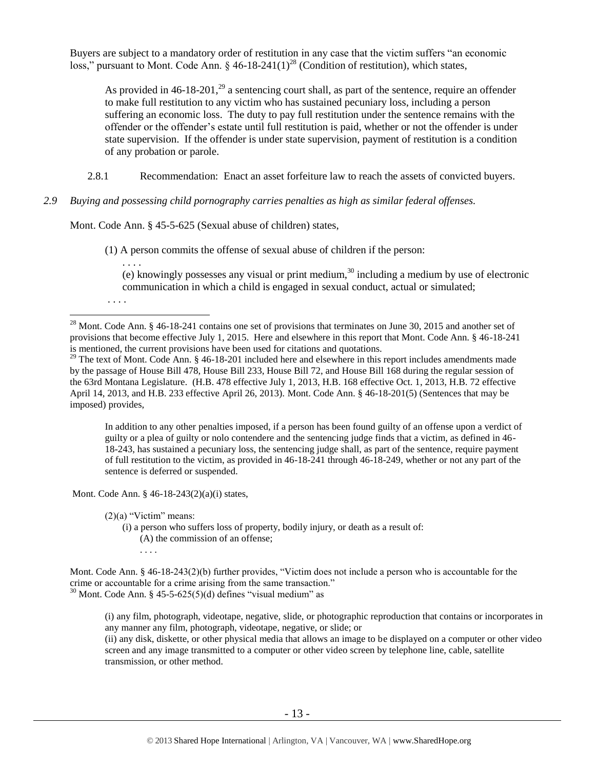Buyers are subject to a mandatory order of restitution in any case that the victim suffers "an economic loss," pursuant to Mont. Code Ann.  $\S$  46-18-241(1)<sup>28</sup> (Condition of restitution), which states,

<span id="page-12-0"></span>As provided in  $46-18-201$ ,<sup>29</sup> a sentencing court shall, as part of the sentence, require an offender to make full restitution to any victim who has sustained pecuniary loss, including a person suffering an economic loss. The duty to pay full restitution under the sentence remains with the offender or the offender's estate until full restitution is paid, whether or not the offender is under state supervision. If the offender is under state supervision, payment of restitution is a condition of any probation or parole.

2.8.1 Recommendation: Enact an asset forfeiture law to reach the assets of convicted buyers.

## *2.9 Buying and possessing child pornography carries penalties as high as similar federal offenses.*

Mont. Code Ann. § 45-5-625 (Sexual abuse of children) states,

(1) A person commits the offense of sexual abuse of children if the person:

(e) knowingly possesses any visual or print medium,<sup>30</sup> including a medium by use of electronic communication in which a child is engaged in sexual conduct, actual or simulated;

In addition to any other penalties imposed, if a person has been found guilty of an offense upon a verdict of guilty or a plea of guilty or nolo contendere and the sentencing judge finds that a victim, as defined in 46- 18-243, has sustained a pecuniary loss, the sentencing judge shall, as part of the sentence, require payment of full restitution to the victim, as provided in 46-18-241 through 46-18-249, whether or not any part of the sentence is deferred or suspended.

Mont. Code Ann. § 46-18-243(2)(a)(i) states,

 $(2)(a)$  "Victim" means:

. . . .

. . . .

 $\overline{a}$ 

(i) a person who suffers loss of property, bodily injury, or death as a result of: (A) the commission of an offense; . . . .

(i) any film, photograph, videotape, negative, slide, or photographic reproduction that contains or incorporates in any manner any film, photograph, videotape, negative, or slide; or

(ii) any disk, diskette, or other physical media that allows an image to be displayed on a computer or other video screen and any image transmitted to a computer or other video screen by telephone line, cable, satellite transmission, or other method.

<sup>&</sup>lt;sup>28</sup> Mont. Code Ann. § 46-18-241 contains one set of provisions that terminates on June 30, 2015 and another set of provisions that become effective July 1, 2015. Here and elsewhere in this report that Mont. Code Ann. § 46-18-241 is mentioned, the current provisions have been used for citations and quotations.

<sup>&</sup>lt;sup>29</sup> The text of Mont. Code Ann. § 46-18-201 included here and elsewhere in this report includes amendments made by the passage of House Bill 478, House Bill 233, House Bill 72, and House Bill 168 during the regular session of the 63rd Montana Legislature. (H.B. 478 effective July 1, 2013, H.B. 168 effective Oct. 1, 2013, H.B. 72 effective April 14, 2013, and H.B. 233 effective April 26, 2013). Mont. Code Ann. § 46-18-201(5) (Sentences that may be imposed) provides,

Mont. Code Ann. § 46-18-243(2)(b) further provides, "Victim does not include a person who is accountable for the crime or accountable for a crime arising from the same transaction."  $30$  Mont. Code Ann. § 45-5-625(5)(d) defines "visual medium" as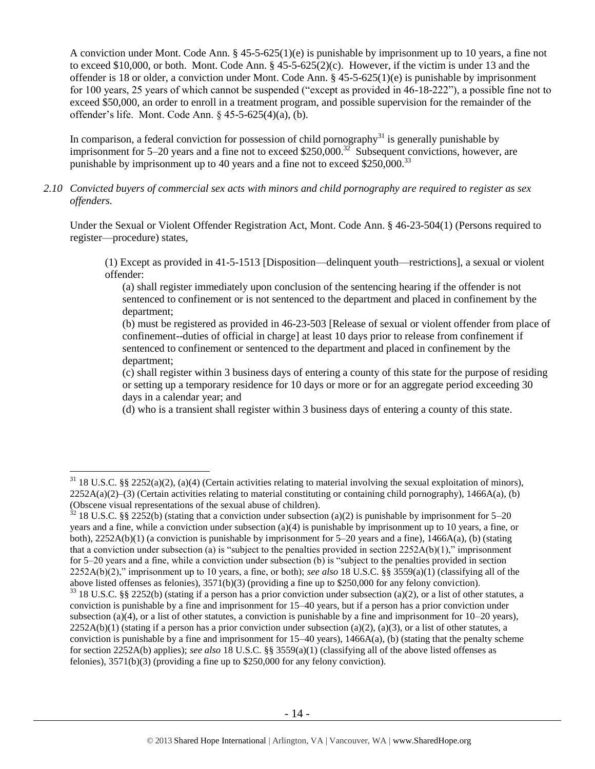A conviction under Mont. Code Ann. § 45-5-625(1)(e) is punishable by imprisonment up to 10 years, a fine not to exceed \$10,000, or both. Mont. Code Ann. § 45-5-625(2)(c). However, if the victim is under 13 and the offender is 18 or older, a conviction under Mont. Code Ann. §  $45-5-625(1)(e)$  is punishable by imprisonment for 100 years, 25 years of which cannot be suspended ("except as provided in 46-18-222"), a possible fine not to exceed \$50,000, an order to enroll in a treatment program, and possible supervision for the remainder of the offender's life. Mont. Code Ann. § 45-5-625(4)(a), (b).

In comparison, a federal conviction for possession of child pornography<sup>31</sup> is generally punishable by imprisonment for 5–20 years and a fine not to exceed \$250,000.<sup>32</sup> Subsequent convictions, however, are punishable by imprisonment up to 40 years and a fine not to exceed  $$250,000.<sup>33</sup>$ 

*2.10 Convicted buyers of commercial sex acts with minors and child pornography are required to register as sex offenders.* 

Under the Sexual or Violent Offender Registration Act, Mont. Code Ann. § 46-23-504(1) (Persons required to register—procedure) states,

(1) Except as provided in 41-5-1513 [Disposition—delinquent youth—restrictions], a sexual or violent offender:

(a) shall register immediately upon conclusion of the sentencing hearing if the offender is not sentenced to confinement or is not sentenced to the department and placed in confinement by the department;

(b) must be registered as provided in 46-23-503 [Release of sexual or violent offender from place of confinement--duties of official in charge] at least 10 days prior to release from confinement if sentenced to confinement or sentenced to the department and placed in confinement by the department;

(c) shall register within 3 business days of entering a county of this state for the purpose of residing or setting up a temporary residence for 10 days or more or for an aggregate period exceeding 30 days in a calendar year; and

(d) who is a transient shall register within 3 business days of entering a county of this state.

 $31$  18 U.S.C. §§ 2252(a)(2), (a)(4) (Certain activities relating to material involving the sexual exploitation of minors),  $2252A(a)(2)$ –(3) (Certain activities relating to material constituting or containing child pornography), 1466A(a), (b) (Obscene visual representations of the sexual abuse of children).

 $32$  18 U.S.C. §§ 2252(b) (stating that a conviction under subsection (a)(2) is punishable by imprisonment for 5–20 years and a fine, while a conviction under subsection (a)(4) is punishable by imprisonment up to 10 years, a fine, or both),  $2252A(b)(1)$  (a conviction is punishable by imprisonment for 5–20 years and a fine),  $1466A(a)$ , (b) (stating that a conviction under subsection (a) is "subject to the penalties provided in section  $2252A(b)(1)$ ," imprisonment for 5–20 years and a fine, while a conviction under subsection (b) is "subject to the penalties provided in section 2252A(b)(2)," imprisonment up to 10 years, a fine, or both); *see also* 18 U.S.C. §§ 3559(a)(1) (classifying all of the above listed offenses as felonies), 3571(b)(3) (providing a fine up to \$250,000 for any felony conviction).

 $33$  18 U.S.C. §§ 2252(b) (stating if a person has a prior conviction under subsection (a)(2), or a list of other statutes, a conviction is punishable by a fine and imprisonment for 15–40 years, but if a person has a prior conviction under subsection (a)(4), or a list of other statutes, a conviction is punishable by a fine and imprisonment for  $10-20$  years),  $2252A(b)(1)$  (stating if a person has a prior conviction under subsection (a)(2), (a)(3), or a list of other statutes, a conviction is punishable by a fine and imprisonment for  $15-40$  years),  $1466A(a)$ , (b) (stating that the penalty scheme for section 2252A(b) applies); *see also* 18 U.S.C. §§ 3559(a)(1) (classifying all of the above listed offenses as felonies), 3571(b)(3) (providing a fine up to \$250,000 for any felony conviction).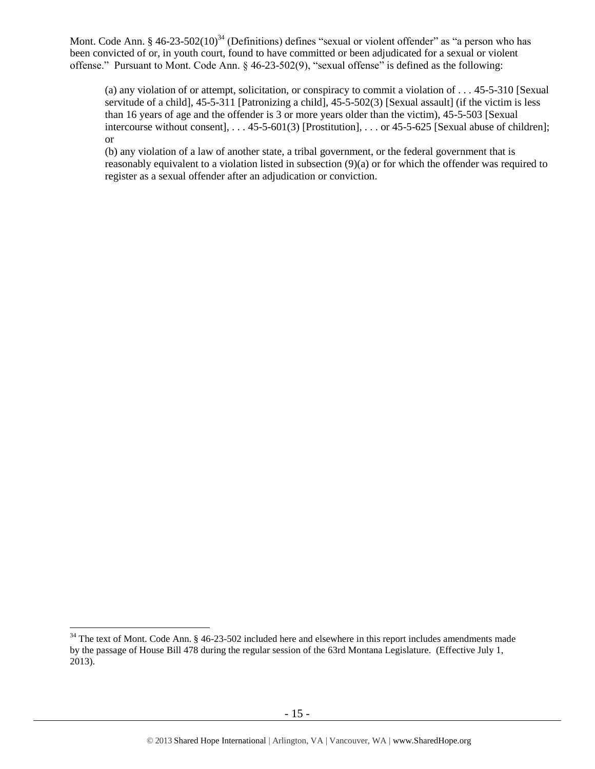Mont. Code Ann. § 46-23-502(10)<sup>34</sup> (Definitions) defines "sexual or violent offender" as "a person who has been convicted of or, in youth court, found to have committed or been adjudicated for a sexual or violent offense." Pursuant to Mont. Code Ann. § 46-23-502(9), "sexual offense" is defined as the following:

<span id="page-14-0"></span>(a) any violation of or attempt, solicitation, or conspiracy to commit a violation of . . . 45-5-310 [Sexual servitude of a child], 45-5-311 [Patronizing a child], 45-5-502(3) [Sexual assault] (if the victim is less than 16 years of age and the offender is 3 or more years older than the victim), 45-5-503 [Sexual intercourse without consent], . . . 45-5-601(3) [Prostitution], . . . or 45-5-625 [Sexual abuse of children]; or

(b) any violation of a law of another state, a tribal government, or the federal government that is reasonably equivalent to a violation listed in subsection (9)(a) or for which the offender was required to register as a sexual offender after an adjudication or conviction.

 $34$  The text of Mont. Code Ann. § 46-23-502 included here and elsewhere in this report includes amendments made by the passage of House Bill 478 during the regular session of the 63rd Montana Legislature. (Effective July 1, 2013).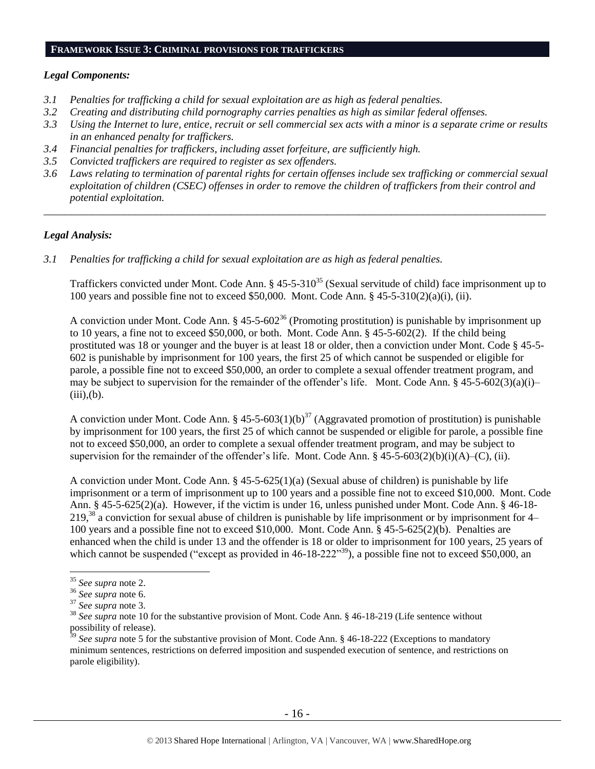## **FRAMEWORK ISSUE 3: CRIMINAL PROVISIONS FOR TRAFFICKERS**

## *Legal Components:*

- *3.1 Penalties for trafficking a child for sexual exploitation are as high as federal penalties.*
- *3.2 Creating and distributing child pornography carries penalties as high as similar federal offenses.*
- *3.3 Using the Internet to lure, entice, recruit or sell commercial sex acts with a minor is a separate crime or results in an enhanced penalty for traffickers.*
- *3.4 Financial penalties for traffickers, including asset forfeiture, are sufficiently high.*
- *3.5 Convicted traffickers are required to register as sex offenders.*
- *3.6 Laws relating to termination of parental rights for certain offenses include sex trafficking or commercial sexual exploitation of children (CSEC) offenses in order to remove the children of traffickers from their control and potential exploitation.*

*\_\_\_\_\_\_\_\_\_\_\_\_\_\_\_\_\_\_\_\_\_\_\_\_\_\_\_\_\_\_\_\_\_\_\_\_\_\_\_\_\_\_\_\_\_\_\_\_\_\_\_\_\_\_\_\_\_\_\_\_\_\_\_\_\_\_\_\_\_\_\_\_\_\_\_\_\_\_\_\_\_\_\_\_\_\_\_\_\_\_\_\_\_\_*

## *Legal Analysis:*

*3.1 Penalties for trafficking a child for sexual exploitation are as high as federal penalties.* 

Traffickers convicted under Mont. Code Ann. § 45-5-310<sup>35</sup> (Sexual servitude of child) face imprisonment up to 100 years and possible fine not to exceed \$50,000. Mont. Code Ann. § 45-5-310(2)(a)(i), (ii).

A conviction under Mont. Code Ann. § 45-5-602<sup>36</sup> (Promoting prostitution) is punishable by imprisonment up to 10 years, a fine not to exceed \$50,000, or both. Mont. Code Ann. § 45-5-602(2). If the child being prostituted was 18 or younger and the buyer is at least 18 or older, then a conviction under Mont. Code § 45-5- 602 is punishable by imprisonment for 100 years, the first 25 of which cannot be suspended or eligible for parole, a possible fine not to exceed \$50,000, an order to complete a sexual offender treatment program, and may be subject to supervision for the remainder of the offender's life. Mont. Code Ann. §  $45-5-602(3)(a)(i)$  $(iii), (b).$ 

A conviction under Mont. Code Ann. § 45-5-603(1)(b)<sup>37</sup> (Aggravated promotion of prostitution) is punishable by imprisonment for 100 years, the first 25 of which cannot be suspended or eligible for parole, a possible fine not to exceed \$50,000, an order to complete a sexual offender treatment program, and may be subject to supervision for the remainder of the offender's life. Mont. Code Ann. § 45-5-603(2)(b)(i)(A)–(C), (ii).

A conviction under Mont. Code Ann. § 45-5-625(1)(a) (Sexual abuse of children) is punishable by life imprisonment or a term of imprisonment up to 100 years and a possible fine not to exceed \$10,000. Mont. Code Ann. § 45-5-625(2)(a). However, if the victim is under 16, unless punished under Mont. Code Ann. § 46-18-  $219<sup>38</sup>$  a conviction for sexual abuse of children is punishable by life imprisonment or by imprisonment for 4– 100 years and a possible fine not to exceed \$10,000. Mont. Code Ann. § 45-5-625(2)(b). Penalties are enhanced when the child is under 13 and the offender is 18 or older to imprisonment for 100 years, 25 years of which cannot be suspended ("except as provided in 46-18-222"<sup>39</sup>), a possible fine not to exceed \$50,000, an

<sup>35</sup> *See supra* note [2.](#page-0-0)

<sup>36</sup> *See supra* note [6.](#page-3-2)

<sup>37</sup> *See supra* note [3.](#page-1-0)

<sup>38</sup> *See supra* note [10](#page-4-1) for the substantive provision of Mont. Code Ann. § 46-18-219 (Life sentence without possibility of release).

<sup>&</sup>lt;sup>39</sup> See supra note [5](#page-2-1) for the substantive provision of Mont. Code Ann. § 46-18-222 (Exceptions to mandatory minimum sentences, restrictions on deferred imposition and suspended execution of sentence, and restrictions on parole eligibility).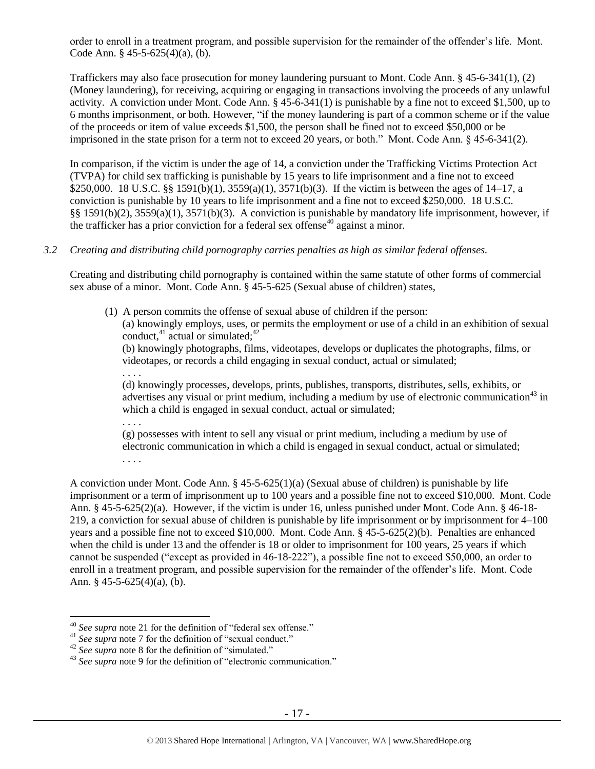order to enroll in a treatment program, and possible supervision for the remainder of the offender's life. Mont. Code Ann. § 45-5-625(4)(a), (b).

Traffickers may also face prosecution for money laundering pursuant to Mont. Code Ann. § 45-6-341(1), (2) (Money laundering), for receiving, acquiring or engaging in transactions involving the proceeds of any unlawful activity. A conviction under Mont. Code Ann. § 45-6-341(1) is punishable by a fine not to exceed \$1,500, up to 6 months imprisonment, or both. However, "if the money laundering is part of a common scheme or if the value of the proceeds or item of value exceeds \$1,500, the person shall be fined not to exceed \$50,000 or be imprisoned in the state prison for a term not to exceed 20 years, or both." Mont. Code Ann. § 45-6-341(2).

In comparison, if the victim is under the age of 14, a conviction under the Trafficking Victims Protection Act (TVPA) for child sex trafficking is punishable by 15 years to life imprisonment and a fine not to exceed \$250,000. 18 U.S.C. §§ 1591(b)(1), 3559(a)(1), 3571(b)(3). If the victim is between the ages of 14–17, a conviction is punishable by 10 years to life imprisonment and a fine not to exceed \$250,000. 18 U.S.C. §§ 1591(b)(2), 3559(a)(1), 3571(b)(3). A conviction is punishable by mandatory life imprisonment, however, if the trafficker has a prior conviction for a federal sex offense<sup>40</sup> against a minor.

# *3.2 Creating and distributing child pornography carries penalties as high as similar federal offenses.*

Creating and distributing child pornography is contained within the same statute of other forms of commercial sex abuse of a minor. Mont. Code Ann. § 45-5-625 (Sexual abuse of children) states,

(1) A person commits the offense of sexual abuse of children if the person: (a) knowingly employs, uses, or permits the employment or use of a child in an exhibition of sexual conduct, $41$  actual or simulated; $42$ 

(b) knowingly photographs, films, videotapes, develops or duplicates the photographs, films, or videotapes, or records a child engaging in sexual conduct, actual or simulated;

(d) knowingly processes, develops, prints, publishes, transports, distributes, sells, exhibits, or advertises any visual or print medium, including a medium by use of electronic communication<sup>43</sup> in which a child is engaged in sexual conduct, actual or simulated;

. . . .

 $\overline{a}$ 

. . . .

(g) possesses with intent to sell any visual or print medium, including a medium by use of electronic communication in which a child is engaged in sexual conduct, actual or simulated; . . . .

A conviction under Mont. Code Ann. § 45-5-625(1)(a) (Sexual abuse of children) is punishable by life imprisonment or a term of imprisonment up to 100 years and a possible fine not to exceed \$10,000. Mont. Code Ann. § 45-5-625(2)(a). However, if the victim is under 16, unless punished under Mont. Code Ann. § 46-18- 219, a conviction for sexual abuse of children is punishable by life imprisonment or by imprisonment for 4–100 years and a possible fine not to exceed \$10,000. Mont. Code Ann. § 45-5-625(2)(b). Penalties are enhanced when the child is under 13 and the offender is 18 or older to imprisonment for 100 years, 25 years if which cannot be suspended ("except as provided in 46-18-222"), a possible fine not to exceed \$50,000, an order to enroll in a treatment program, and possible supervision for the remainder of the offender's life. Mont. Code Ann. § 45-5-625(4)(a), (b).

<sup>40</sup> *See supra* note [21](#page-10-0) for the definition of "federal sex offense."

<sup>&</sup>lt;sup>41</sup> See supra note [7](#page-3-0) for the definition of "sexual conduct."

<sup>42</sup> *See supra* note [8](#page-3-1) for the definition of "simulated."

<sup>43</sup> *See supra* note [9](#page-4-0) for the definition of "electronic communication."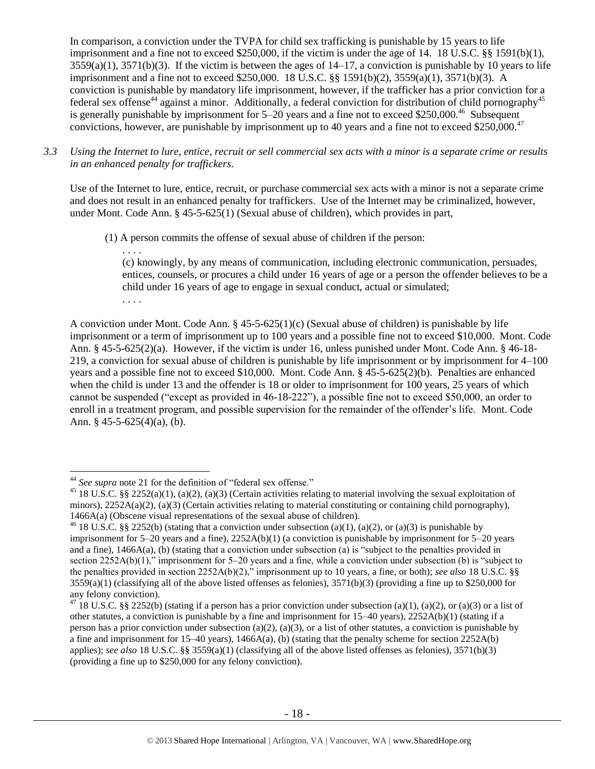In comparison, a conviction under the TVPA for child sex trafficking is punishable by 15 years to life imprisonment and a fine not to exceed \$250,000, if the victim is under the age of 14. 18 U.S.C. §§ 1591(b)(1),  $3559(a)(1)$ ,  $3571(b)(3)$ . If the victim is between the ages of  $14-17$ , a conviction is punishable by 10 years to life imprisonment and a fine not to exceed \$250,000. 18 U.S.C. §§ 1591(b)(2), 3559(a)(1), 3571(b)(3). A conviction is punishable by mandatory life imprisonment, however, if the trafficker has a prior conviction for a federal sex offense<sup>44</sup> against a minor. Additionally, a federal conviction for distribution of child pornography<sup>45</sup> is generally punishable by imprisonment for  $5-20$  years and a fine not to exceed \$250,000.<sup>46</sup> Subsequent convictions, however, are punishable by imprisonment up to 40 years and a fine not to exceed \$250,000.<sup>47</sup>

*3.3 Using the Internet to lure, entice, recruit or sell commercial sex acts with a minor is a separate crime or results in an enhanced penalty for traffickers.*

Use of the Internet to lure, entice, recruit, or purchase commercial sex acts with a minor is not a separate crime and does not result in an enhanced penalty for traffickers. Use of the Internet may be criminalized, however, under Mont. Code Ann. § 45-5-625(1) (Sexual abuse of children), which provides in part,

(1) A person commits the offense of sexual abuse of children if the person:

. . . .

 $\overline{a}$ 

(c) knowingly, by any means of communication, including electronic communication, persuades, entices, counsels, or procures a child under 16 years of age or a person the offender believes to be a child under 16 years of age to engage in sexual conduct, actual or simulated; . . . .

A conviction under Mont. Code Ann.  $\S 45-5-625(1)(c)$  (Sexual abuse of children) is punishable by life imprisonment or a term of imprisonment up to 100 years and a possible fine not to exceed \$10,000. Mont. Code Ann. § 45-5-625(2)(a). However, if the victim is under 16, unless punished under Mont. Code Ann. § 46-18- 219, a conviction for sexual abuse of children is punishable by life imprisonment or by imprisonment for 4–100 years and a possible fine not to exceed \$10,000. Mont. Code Ann. § 45-5-625(2)(b). Penalties are enhanced when the child is under 13 and the offender is 18 or older to imprisonment for 100 years, 25 years of which cannot be suspended ("except as provided in 46-18-222"), a possible fine not to exceed \$50,000, an order to enroll in a treatment program, and possible supervision for the remainder of the offender's life. Mont. Code Ann. § 45-5-625(4)(a), (b).

<sup>44</sup> *See supra* note [21](#page-10-0) for the definition of "federal sex offense."

<sup>&</sup>lt;sup>45</sup> 18 U.S.C. §§ 2252(a)(1), (a)(2), (a)(3) (Certain activities relating to material involving the sexual exploitation of minors),  $2252A(a)(2)$ , (a)(3) (Certain activities relating to material constituting or containing child pornography), 1466A(a) (Obscene visual representations of the sexual abuse of children).

<sup>&</sup>lt;sup>46</sup> 18 U.S.C. §§ 2252(b) (stating that a conviction under subsection (a)(1), (a)(2), or (a)(3) is punishable by imprisonment for  $5-20$  years and a fine),  $2252A(b)(1)$  (a conviction is punishable by imprisonment for  $5-20$  years and a fine), 1466A(a), (b) (stating that a conviction under subsection (a) is "subject to the penalties provided in section 2252A(b)(1)," imprisonment for 5–20 years and a fine, while a conviction under subsection (b) is "subject to the penalties provided in section 2252A(b)(2)," imprisonment up to 10 years, a fine, or both); *see also* 18 U.S.C. §§  $3559(a)(1)$  (classifying all of the above listed offenses as felonies),  $3571(b)(3)$  (providing a fine up to \$250,000 for any felony conviction).

<sup>&</sup>lt;sup>47</sup> 18 U.S.C. §§ 2252(b) (stating if a person has a prior conviction under subsection (a)(1), (a)(2), or (a)(3) or a list of other statutes, a conviction is punishable by a fine and imprisonment for  $15-40$  years),  $2252A(b)(1)$  (stating if a person has a prior conviction under subsection (a)(2), (a)(3), or a list of other statutes, a conviction is punishable by a fine and imprisonment for 15–40 years), 1466A(a), (b) (stating that the penalty scheme for section 2252A(b) applies); *see also* 18 U.S.C. §§ 3559(a)(1) (classifying all of the above listed offenses as felonies), 3571(b)(3) (providing a fine up to \$250,000 for any felony conviction).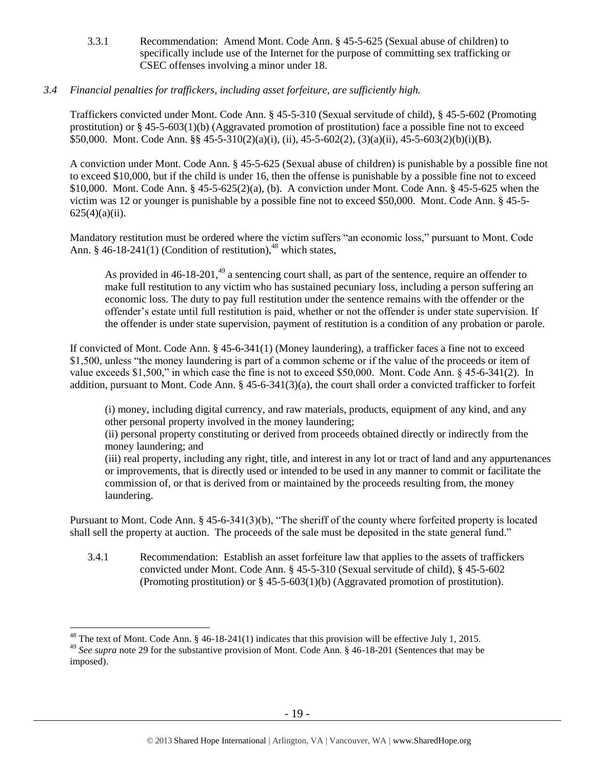3.3.1 Recommendation: Amend Mont. Code Ann. § 45-5-625 (Sexual abuse of children) to specifically include use of the Internet for the purpose of committing sex trafficking or CSEC offenses involving a minor under 18.

# *3.4 Financial penalties for traffickers, including asset forfeiture, are sufficiently high.*

Traffickers convicted under Mont. Code Ann. § 45-5-310 (Sexual servitude of child), § 45-5-602 (Promoting prostitution) or § 45-5-603(1)(b) (Aggravated promotion of prostitution) face a possible fine not to exceed \$50,000. Mont. Code Ann. §§ 45-5-310(2)(a)(i), (ii), 45-5-602(2), (3)(a)(ii), 45-5-603(2)(b)(i)(B).

A conviction under Mont. Code Ann. § 45-5-625 (Sexual abuse of children) is punishable by a possible fine not to exceed \$10,000, but if the child is under 16, then the offense is punishable by a possible fine not to exceed \$10,000. Mont. Code Ann. § 45-5-625(2)(a), (b). A conviction under Mont. Code Ann. § 45-5-625 when the victim was 12 or younger is punishable by a possible fine not to exceed \$50,000. Mont. Code Ann. § 45-5-  $625(4)(a)(ii)$ .

Mandatory restitution must be ordered where the victim suffers "an economic loss," pursuant to Mont. Code Ann. § 46-18-241(1) (Condition of restitution), $48$  which states,

As provided in  $46-18-201$ ,<sup>49</sup> a sentencing court shall, as part of the sentence, require an offender to make full restitution to any victim who has sustained pecuniary loss, including a person suffering an economic loss. The duty to pay full restitution under the sentence remains with the offender or the offender's estate until full restitution is paid, whether or not the offender is under state supervision. If the offender is under state supervision, payment of restitution is a condition of any probation or parole.

If convicted of Mont. Code Ann. § 45-6-341(1) (Money laundering), a trafficker faces a fine not to exceed \$1,500, unless "the money laundering is part of a common scheme or if the value of the proceeds or item of value exceeds \$1,500," in which case the fine is not to exceed \$50,000. Mont. Code Ann. § 45-6-341(2). In addition, pursuant to Mont. Code Ann. § 45-6-341(3)(a), the court shall order a convicted trafficker to forfeit

(i) money, including digital currency, and raw materials, products, equipment of any kind, and any other personal property involved in the money laundering;

(ii) personal property constituting or derived from proceeds obtained directly or indirectly from the money laundering; and

(iii) real property, including any right, title, and interest in any lot or tract of land and any appurtenances or improvements, that is directly used or intended to be used in any manner to commit or facilitate the commission of, or that is derived from or maintained by the proceeds resulting from, the money laundering.

Pursuant to Mont. Code Ann. § 45-6-341(3)(b), "The sheriff of the county where forfeited property is located shall sell the property at auction. The proceeds of the sale must be deposited in the state general fund."

3.4.1 Recommendation: Establish an asset forfeiture law that applies to the assets of traffickers convicted under Mont. Code Ann. § 45-5-310 (Sexual servitude of child), § 45-5-602 (Promoting prostitution) or § 45-5-603(1)(b) (Aggravated promotion of prostitution).

 $48$  The text of Mont. Code Ann. § 46-18-241(1) indicates that this provision will be effective July 1, 2015.

<sup>49</sup> *See supra* note [29](#page-12-0) for the substantive provision of Mont. Code Ann. § 46-18-201 (Sentences that may be imposed).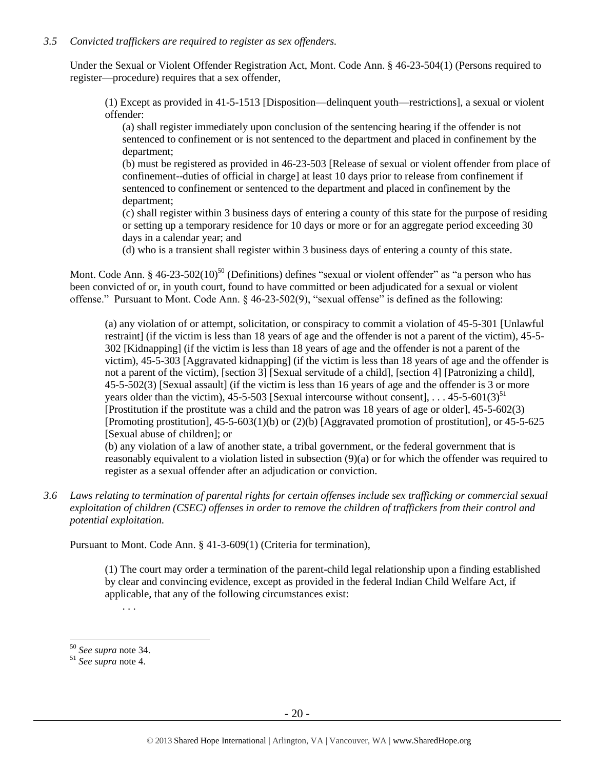# *3.5 Convicted traffickers are required to register as sex offenders.*

Under the Sexual or Violent Offender Registration Act, Mont. Code Ann. § 46-23-504(1) (Persons required to register—procedure) requires that a sex offender,

(1) Except as provided in 41-5-1513 [Disposition—delinquent youth—restrictions], a sexual or violent offender:

(a) shall register immediately upon conclusion of the sentencing hearing if the offender is not sentenced to confinement or is not sentenced to the department and placed in confinement by the department;

(b) must be registered as provided in 46-23-503 [Release of sexual or violent offender from place of confinement--duties of official in charge] at least 10 days prior to release from confinement if sentenced to confinement or sentenced to the department and placed in confinement by the department;

(c) shall register within 3 business days of entering a county of this state for the purpose of residing or setting up a temporary residence for 10 days or more or for an aggregate period exceeding 30 days in a calendar year; and

(d) who is a transient shall register within 3 business days of entering a county of this state.

Mont. Code Ann. § 46-23-502(10)<sup>50</sup> (Definitions) defines "sexual or violent offender" as "a person who has been convicted of or, in youth court, found to have committed or been adjudicated for a sexual or violent offense." Pursuant to Mont. Code Ann. § 46-23-502(9), "sexual offense" is defined as the following:

(a) any violation of or attempt, solicitation, or conspiracy to commit a violation of 45-5-301 [Unlawful restraint] (if the victim is less than 18 years of age and the offender is not a parent of the victim), 45-5- 302 [Kidnapping] (if the victim is less than 18 years of age and the offender is not a parent of the victim), 45-5-303 [Aggravated kidnapping] (if the victim is less than 18 years of age and the offender is not a parent of the victim), [section 3] [Sexual servitude of a child], [section 4] [Patronizing a child], 45-5-502(3) [Sexual assault] (if the victim is less than 16 years of age and the offender is 3 or more years older than the victim),  $45-5-503$  [Sexual intercourse without consent], ...  $45-5-601(3)^{51}$ [Prostitution if the prostitute was a child and the patron was 18 years of age or older], 45-5-602(3) [Promoting prostitution], 45-5-603(1)(b) or (2)(b) [Aggravated promotion of prostitution], or 45-5-625 [Sexual abuse of children]; or

(b) any violation of a law of another state, a tribal government, or the federal government that is reasonably equivalent to a violation listed in subsection (9)(a) or for which the offender was required to register as a sexual offender after an adjudication or conviction.

*3.6 Laws relating to termination of parental rights for certain offenses include sex trafficking or commercial sexual exploitation of children (CSEC) offenses in order to remove the children of traffickers from their control and potential exploitation.* 

Pursuant to Mont. Code Ann. § 41-3-609(1) (Criteria for termination),

(1) The court may order a termination of the parent-child legal relationship upon a finding established by clear and convincing evidence, except as provided in the federal Indian Child Welfare Act, if applicable, that any of the following circumstances exist:

. . .

<sup>50</sup> *See supra* note [34.](#page-14-0) 

<sup>51</sup> *See supra* note [4.](#page-2-0)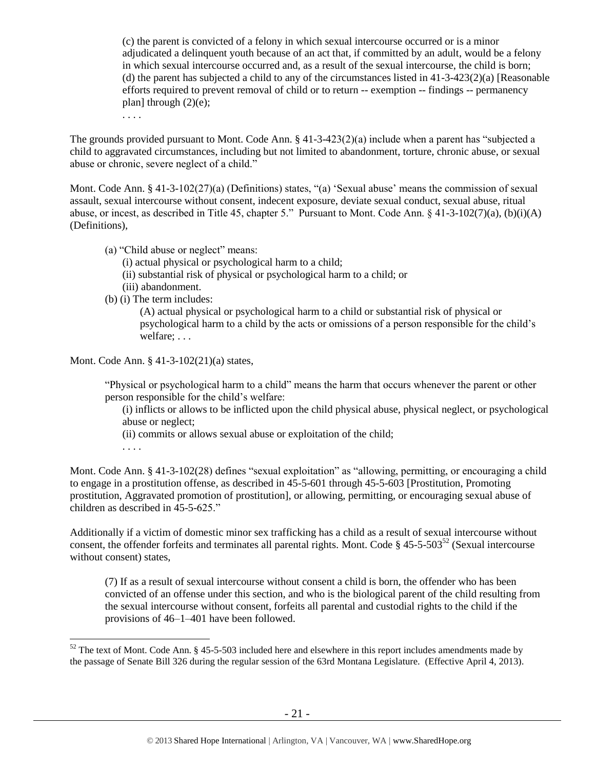(c) the parent is convicted of a felony in which sexual intercourse occurred or is a minor adjudicated a delinquent youth because of an act that, if committed by an adult, would be a felony in which sexual intercourse occurred and, as a result of the sexual intercourse, the child is born; (d) the parent has subjected a child to any of the circumstances listed in  $41-3-423(2)(a)$  [Reasonable efforts required to prevent removal of child or to return -- exemption -- findings -- permanency plan] through  $(2)(e)$ ;

. . . .

The grounds provided pursuant to Mont. Code Ann. § 41-3-423(2)(a) include when a parent has "subjected a child to aggravated circumstances, including but not limited to abandonment, torture, chronic abuse, or sexual abuse or chronic, severe neglect of a child."

Mont. Code Ann. § 41-3-102(27)(a) (Definitions) states, "(a) 'Sexual abuse' means the commission of sexual assault, sexual intercourse without consent, indecent exposure, deviate sexual conduct, sexual abuse, ritual abuse, or incest, as described in Title 45, chapter 5." Pursuant to Mont. Code Ann. § 41-3-102(7)(a), (b)(i)(A) (Definitions),

- (a) "Child abuse or neglect" means:
	- (i) actual physical or psychological harm to a child;
	- (ii) substantial risk of physical or psychological harm to a child; or
	- (iii) abandonment.
- (b) (i) The term includes:

(A) actual physical or psychological harm to a child or substantial risk of physical or psychological harm to a child by the acts or omissions of a person responsible for the child's welfare; . . .

Mont. Code Ann. § 41-3-102(21)(a) states,

"Physical or psychological harm to a child" means the harm that occurs whenever the parent or other person responsible for the child's welfare:

(i) inflicts or allows to be inflicted upon the child physical abuse, physical neglect, or psychological abuse or neglect;

- (ii) commits or allows sexual abuse or exploitation of the child;
- . . . .

 $\overline{a}$ 

Mont. Code Ann. § 41-3-102(28) defines "sexual exploitation" as "allowing, permitting, or encouraging a child to engage in a prostitution offense, as described in 45-5-601 through 45-5-603 [Prostitution, Promoting prostitution, Aggravated promotion of prostitution], or allowing, permitting, or encouraging sexual abuse of children as described in 45-5-625."

Additionally if a victim of domestic minor sex trafficking has a child as a result of sexual intercourse without consent, the offender forfeits and terminates all parental rights. Mont. Code §  $45-5-503^{52}$  (Sexual intercourse without consent) states,

(7) If as a result of sexual intercourse without consent a child is born, the offender who has been convicted of an offense under this section, and who is the biological parent of the child resulting from the sexual intercourse without consent, forfeits all parental and custodial rights to the child if the provisions of 46–1–401 have been followed.

 $52$  The text of Mont. Code Ann. § 45-5-503 included here and elsewhere in this report includes amendments made by the passage of Senate Bill 326 during the regular session of the 63rd Montana Legislature. (Effective April 4, 2013).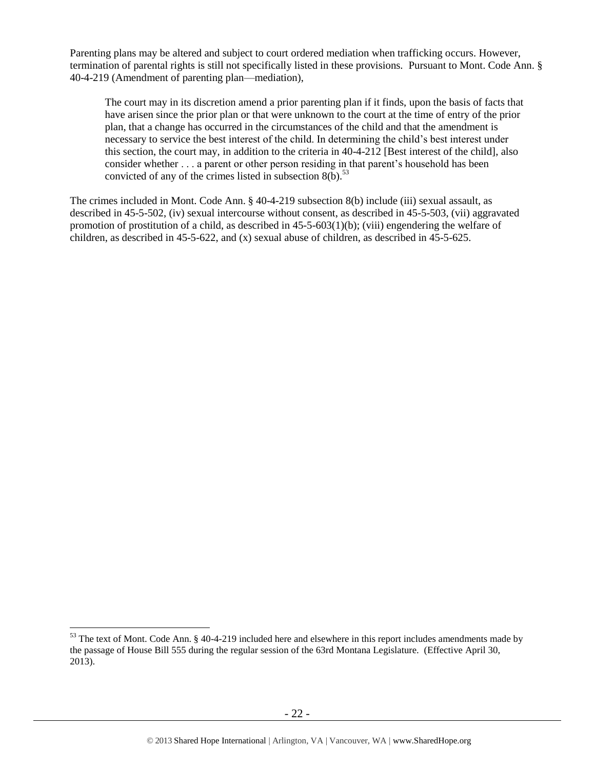Parenting plans may be altered and subject to court ordered mediation when trafficking occurs. However, termination of parental rights is still not specifically listed in these provisions. Pursuant to Mont. Code Ann. § 40-4-219 (Amendment of parenting plan—mediation),

The court may in its discretion amend a prior parenting plan if it finds, upon the basis of facts that have arisen since the prior plan or that were unknown to the court at the time of entry of the prior plan, that a change has occurred in the circumstances of the child and that the amendment is necessary to service the best interest of the child. In determining the child's best interest under this section, the court may, in addition to the criteria in 40-4-212 [Best interest of the child], also consider whether . . . a parent or other person residing in that parent's household has been convicted of any of the crimes listed in subsection  $8(b)$ .<sup>53</sup>

The crimes included in Mont. Code Ann. § 40-4-219 subsection 8(b) include (iii) sexual assault, as described in 45-5-502, (iv) sexual intercourse without consent, as described in 45-5-503, (vii) aggravated promotion of prostitution of a child, as described in  $45-5-603(1)(b)$ ; (viii) engendering the welfare of children, as described in 45-5-622, and (x) sexual abuse of children, as described in 45-5-625.

 $53$  The text of Mont. Code Ann. § 40-4-219 included here and elsewhere in this report includes amendments made by the passage of House Bill 555 during the regular session of the 63rd Montana Legislature. (Effective April 30, 2013).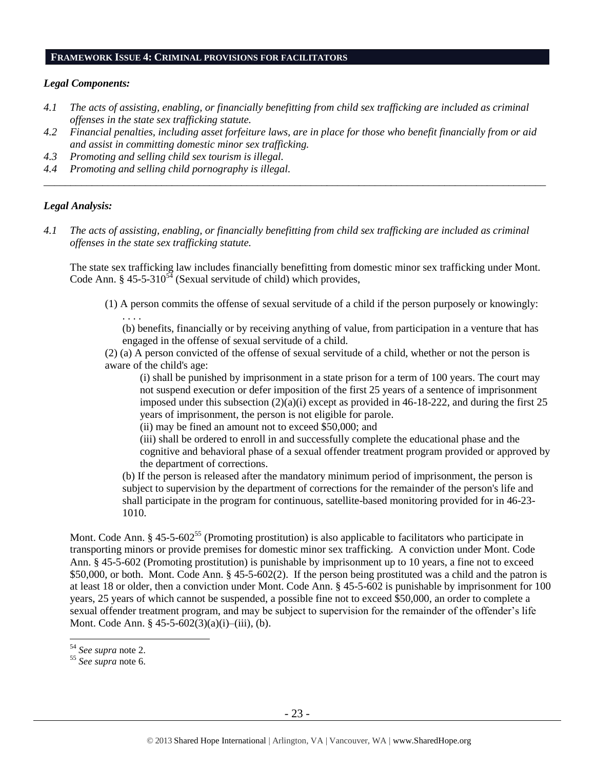#### **FRAMEWORK ISSUE 4: CRIMINAL PROVISIONS FOR FACILITATORS**

## *Legal Components:*

- *4.1 The acts of assisting, enabling, or financially benefitting from child sex trafficking are included as criminal offenses in the state sex trafficking statute.*
- *4.2 Financial penalties, including asset forfeiture laws, are in place for those who benefit financially from or aid and assist in committing domestic minor sex trafficking.*

*\_\_\_\_\_\_\_\_\_\_\_\_\_\_\_\_\_\_\_\_\_\_\_\_\_\_\_\_\_\_\_\_\_\_\_\_\_\_\_\_\_\_\_\_\_\_\_\_\_\_\_\_\_\_\_\_\_\_\_\_\_\_\_\_\_\_\_\_\_\_\_\_\_\_\_\_\_\_\_\_\_\_\_\_\_\_\_\_\_\_\_\_\_\_*

- *4.3 Promoting and selling child sex tourism is illegal.*
- *4.4 Promoting and selling child pornography is illegal.*

## *Legal Analysis:*

*4.1 The acts of assisting, enabling, or financially benefitting from child sex trafficking are included as criminal offenses in the state sex trafficking statute.*

The state sex trafficking law includes financially benefitting from domestic minor sex trafficking under Mont. Code Ann. §  $45-5-310^{54}$  (Sexual servitude of child) which provides,

(1) A person commits the offense of sexual servitude of a child if the person purposely or knowingly:

. . . . (b) benefits, financially or by receiving anything of value, from participation in a venture that has engaged in the offense of sexual servitude of a child.

(2) (a) A person convicted of the offense of sexual servitude of a child, whether or not the person is aware of the child's age:

(i) shall be punished by imprisonment in a state prison for a term of 100 years. The court may not suspend execution or defer imposition of the first 25 years of a sentence of imprisonment imposed under this subsection  $(2)(a)(i)$  except as provided in 46-18-222, and during the first 25 years of imprisonment, the person is not eligible for parole.

(ii) may be fined an amount not to exceed \$50,000; and

(iii) shall be ordered to enroll in and successfully complete the educational phase and the cognitive and behavioral phase of a sexual offender treatment program provided or approved by the department of corrections.

(b) If the person is released after the mandatory minimum period of imprisonment, the person is subject to supervision by the department of corrections for the remainder of the person's life and shall participate in the program for continuous, satellite-based monitoring provided for in 46-23- 1010.

Mont. Code Ann. § 45-5-602<sup>55</sup> (Promoting prostitution) is also applicable to facilitators who participate in transporting minors or provide premises for domestic minor sex trafficking. A conviction under Mont. Code Ann. § 45-5-602 (Promoting prostitution) is punishable by imprisonment up to 10 years, a fine not to exceed \$50,000, or both. Mont. Code Ann. § 45-5-602(2). If the person being prostituted was a child and the patron is at least 18 or older, then a conviction under Mont. Code Ann. § 45-5-602 is punishable by imprisonment for 100 years, 25 years of which cannot be suspended, a possible fine not to exceed \$50,000, an order to complete a sexual offender treatment program, and may be subject to supervision for the remainder of the offender's life Mont. Code Ann. § 45-5-602(3)(a)(i)–(iii), (b).

<sup>54</sup> *See supra* note [2.](#page-0-0)

<sup>55</sup> *See supra* note [6.](#page-3-2)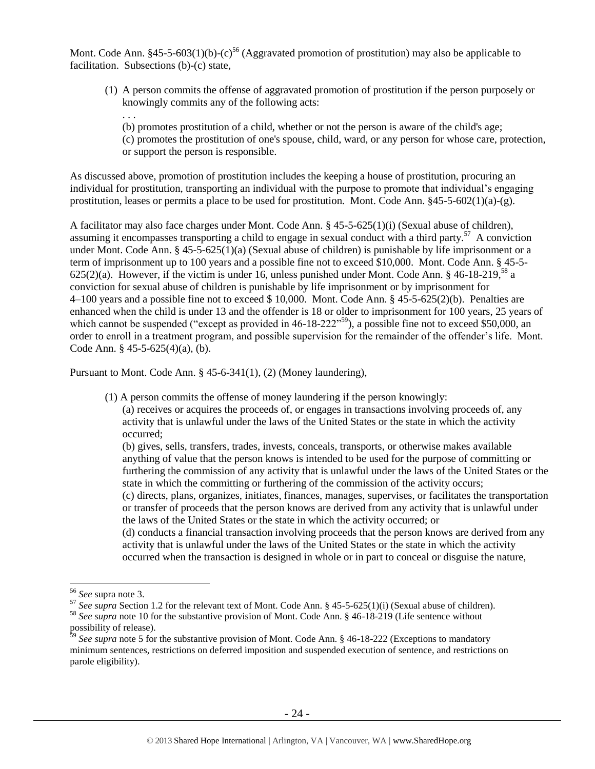Mont. Code Ann. §45-5-603(1)(b)-(c)<sup>56</sup> (Aggravated promotion of prostitution) may also be applicable to facilitation. Subsections (b)-(c) state,

(1) A person commits the offense of aggravated promotion of prostitution if the person purposely or knowingly commits any of the following acts:

(b) promotes prostitution of a child, whether or not the person is aware of the child's age; (c) promotes the prostitution of one's spouse, child, ward, or any person for whose care, protection, or support the person is responsible.

As discussed above, promotion of prostitution includes the keeping a house of prostitution, procuring an individual for prostitution, transporting an individual with the purpose to promote that individual's engaging prostitution, leases or permits a place to be used for prostitution. Mont. Code Ann.  $§45-5-602(1)(a)-(g)$ .

A facilitator may also face charges under Mont. Code Ann. § 45-5-625(1)(i) (Sexual abuse of children), assuming it encompasses transporting a child to engage in sexual conduct with a third party.<sup>57</sup> A conviction under Mont. Code Ann. § 45-5-625(1)(a) (Sexual abuse of children) is punishable by life imprisonment or a term of imprisonment up to 100 years and a possible fine not to exceed \$10,000. Mont. Code Ann. § 45-5- 625(2)(a). However, if the victim is under 16, unless punished under Mont. Code Ann.  $8\,46-18-219$ ,  $^{58}$  a conviction for sexual abuse of children is punishable by life imprisonment or by imprisonment for 4–100 years and a possible fine not to exceed \$ 10,000. Mont. Code Ann. § 45-5-625(2)(b). Penalties are enhanced when the child is under 13 and the offender is 18 or older to imprisonment for 100 years, 25 years of which cannot be suspended ("except as provided in 46-18-222"<sup>59</sup>), a possible fine not to exceed \$50,000, an order to enroll in a treatment program, and possible supervision for the remainder of the offender's life. Mont. Code Ann. § 45-5-625(4)(a), (b).

Pursuant to Mont. Code Ann. § 45-6-341(1), (2) (Money laundering),

(1) A person commits the offense of money laundering if the person knowingly:

(a) receives or acquires the proceeds of, or engages in transactions involving proceeds of, any activity that is unlawful under the laws of the United States or the state in which the activity occurred;

(b) gives, sells, transfers, trades, invests, conceals, transports, or otherwise makes available anything of value that the person knows is intended to be used for the purpose of committing or furthering the commission of any activity that is unlawful under the laws of the United States or the state in which the committing or furthering of the commission of the activity occurs; (c) directs, plans, organizes, initiates, finances, manages, supervises, or facilitates the transportation or transfer of proceeds that the person knows are derived from any activity that is unlawful under the laws of the United States or the state in which the activity occurred; or (d) conducts a financial transaction involving proceeds that the person knows are derived from any activity that is unlawful under the laws of the United States or the state in which the activity occurred when the transaction is designed in whole or in part to conceal or disguise the nature,

 $\overline{a}$ 

. . .

<sup>56</sup> *See* supra note [3.](#page-1-0)

<sup>&</sup>lt;sup>57</sup> See supra Section 1.2 for the relevant text of Mont. Code Ann. § 45-5-625(1)(i) (Sexual abuse of children). <sup>58</sup> *See supra* note [10](#page-4-1) for the substantive provision of Mont. Code Ann. § 46-18-219 (Life sentence without possibility of release).

<sup>&</sup>lt;sup>59</sup> See supra note [5](#page-2-1) for the substantive provision of Mont. Code Ann. § 46-18-222 (Exceptions to mandatory minimum sentences, restrictions on deferred imposition and suspended execution of sentence, and restrictions on parole eligibility).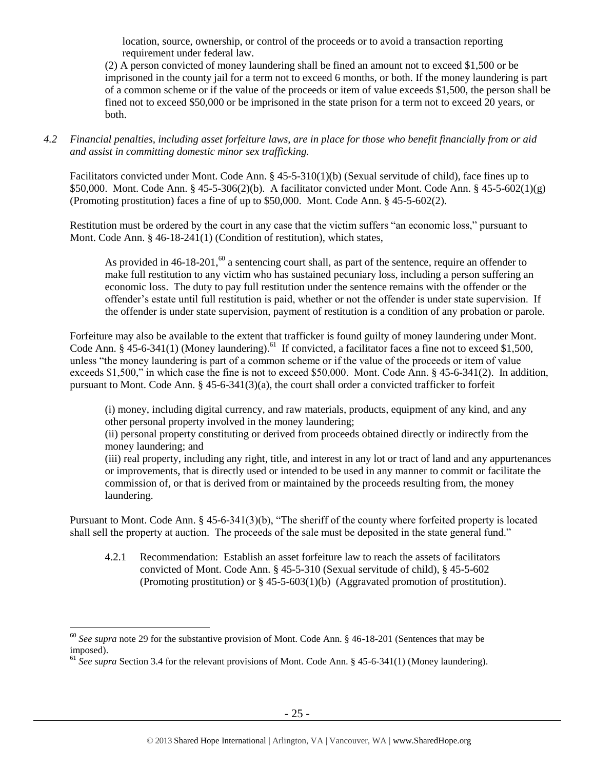location, source, ownership, or control of the proceeds or to avoid a transaction reporting requirement under federal law.

(2) A person convicted of money laundering shall be fined an amount not to exceed \$1,500 or be imprisoned in the county jail for a term not to exceed 6 months, or both. If the money laundering is part of a common scheme or if the value of the proceeds or item of value exceeds \$1,500, the person shall be fined not to exceed \$50,000 or be imprisoned in the state prison for a term not to exceed 20 years, or both.

*4.2 Financial penalties, including asset forfeiture laws, are in place for those who benefit financially from or aid and assist in committing domestic minor sex trafficking.*

Facilitators convicted under Mont. Code Ann. § 45-5-310(1)(b) (Sexual servitude of child), face fines up to \$50,000. Mont. Code Ann. § 45-5-306(2)(b). A facilitator convicted under Mont. Code Ann. § 45-5-602(1)(g) (Promoting prostitution) faces a fine of up to \$50,000. Mont. Code Ann. § 45-5-602(2).

Restitution must be ordered by the court in any case that the victim suffers "an economic loss," pursuant to Mont. Code Ann. § 46-18-241(1) (Condition of restitution), which states,

As provided in  $46-18-201$ ,<sup>60</sup> a sentencing court shall, as part of the sentence, require an offender to make full restitution to any victim who has sustained pecuniary loss, including a person suffering an economic loss. The duty to pay full restitution under the sentence remains with the offender or the offender's estate until full restitution is paid, whether or not the offender is under state supervision. If the offender is under state supervision, payment of restitution is a condition of any probation or parole.

Forfeiture may also be available to the extent that trafficker is found guilty of money laundering under Mont. Code Ann. § 45-6-341(1) (Money laundering).<sup>61</sup> If convicted, a facilitator faces a fine not to exceed \$1,500, unless "the money laundering is part of a common scheme or if the value of the proceeds or item of value exceeds \$1,500," in which case the fine is not to exceed \$50,000. Mont. Code Ann. § 45-6-341(2). In addition, pursuant to Mont. Code Ann. § 45-6-341(3)(a), the court shall order a convicted trafficker to forfeit

(i) money, including digital currency, and raw materials, products, equipment of any kind, and any other personal property involved in the money laundering;

(ii) personal property constituting or derived from proceeds obtained directly or indirectly from the money laundering; and

(iii) real property, including any right, title, and interest in any lot or tract of land and any appurtenances or improvements, that is directly used or intended to be used in any manner to commit or facilitate the commission of, or that is derived from or maintained by the proceeds resulting from, the money laundering.

Pursuant to Mont. Code Ann. § 45-6-341(3)(b), "The sheriff of the county where forfeited property is located shall sell the property at auction. The proceeds of the sale must be deposited in the state general fund."

4.2.1 Recommendation: Establish an asset forfeiture law to reach the assets of facilitators convicted of Mont. Code Ann. § 45-5-310 (Sexual servitude of child), § 45-5-602 (Promoting prostitution) or § 45-5-603(1)(b) (Aggravated promotion of prostitution).

<sup>60</sup> *See supra* note [29](#page-12-0) for the substantive provision of Mont. Code Ann. § 46-18-201 (Sentences that may be imposed).

<sup>&</sup>lt;sup>61</sup> See supra Section 3.4 for the relevant provisions of Mont. Code Ann. § 45-6-341(1) (Money laundering).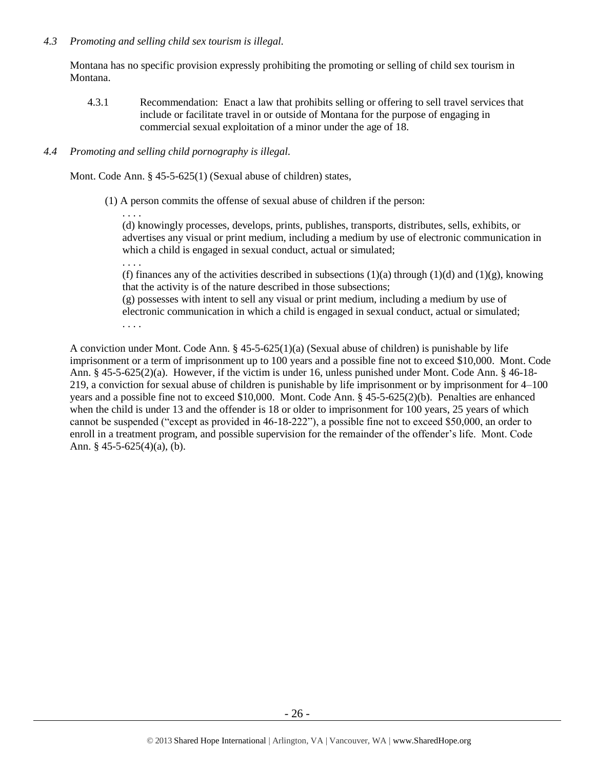# *4.3 Promoting and selling child sex tourism is illegal.*

Montana has no specific provision expressly prohibiting the promoting or selling of child sex tourism in Montana.

4.3.1 Recommendation: Enact a law that prohibits selling or offering to sell travel services that include or facilitate travel in or outside of Montana for the purpose of engaging in commercial sexual exploitation of a minor under the age of 18.

# *4.4 Promoting and selling child pornography is illegal.*

Mont. Code Ann. § 45-5-625(1) (Sexual abuse of children) states,

(1) A person commits the offense of sexual abuse of children if the person:

. . . . (d) knowingly processes, develops, prints, publishes, transports, distributes, sells, exhibits, or advertises any visual or print medium, including a medium by use of electronic communication in which a child is engaged in sexual conduct, actual or simulated;

. . . .

(f) finances any of the activities described in subsections  $(1)(a)$  through  $(1)(d)$  and  $(1)(g)$ , knowing that the activity is of the nature described in those subsections;

(g) possesses with intent to sell any visual or print medium, including a medium by use of electronic communication in which a child is engaged in sexual conduct, actual or simulated;

. . . .

A conviction under Mont. Code Ann. § 45-5-625(1)(a) (Sexual abuse of children) is punishable by life imprisonment or a term of imprisonment up to 100 years and a possible fine not to exceed \$10,000. Mont. Code Ann. § 45-5-625(2)(a). However, if the victim is under 16, unless punished under Mont. Code Ann. § 46-18- 219, a conviction for sexual abuse of children is punishable by life imprisonment or by imprisonment for 4–100 years and a possible fine not to exceed \$10,000. Mont. Code Ann. § 45-5-625(2)(b). Penalties are enhanced when the child is under 13 and the offender is 18 or older to imprisonment for 100 years, 25 years of which cannot be suspended ("except as provided in 46-18-222"), a possible fine not to exceed \$50,000, an order to enroll in a treatment program, and possible supervision for the remainder of the offender's life. Mont. Code Ann.  $§$  45-5-625(4)(a), (b).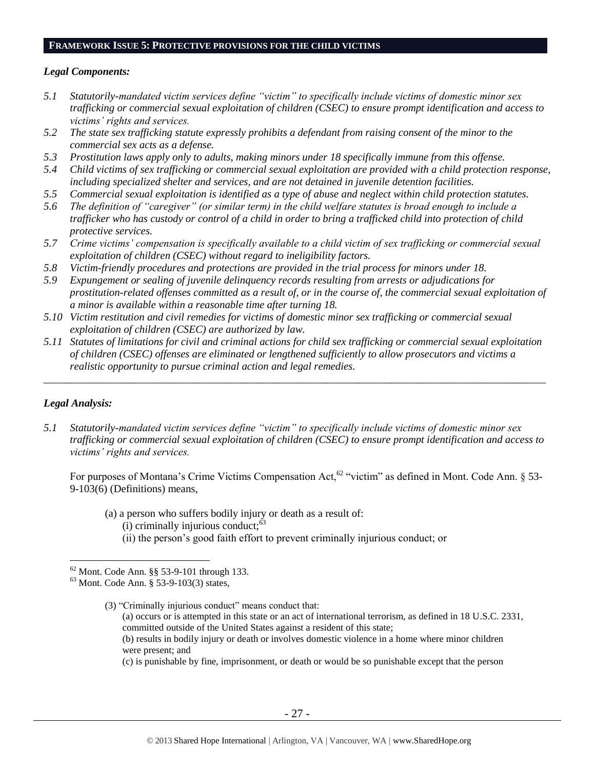#### **FRAMEWORK ISSUE 5: PROTECTIVE PROVISIONS FOR THE CHILD VICTIMS**

#### *Legal Components:*

- *5.1 Statutorily-mandated victim services define "victim" to specifically include victims of domestic minor sex trafficking or commercial sexual exploitation of children (CSEC) to ensure prompt identification and access to victims' rights and services.*
- *5.2 The state sex trafficking statute expressly prohibits a defendant from raising consent of the minor to the commercial sex acts as a defense.*
- *5.3 Prostitution laws apply only to adults, making minors under 18 specifically immune from this offense.*
- *5.4 Child victims of sex trafficking or commercial sexual exploitation are provided with a child protection response, including specialized shelter and services, and are not detained in juvenile detention facilities.*
- *5.5 Commercial sexual exploitation is identified as a type of abuse and neglect within child protection statutes.*
- *5.6 The definition of "caregiver" (or similar term) in the child welfare statutes is broad enough to include a trafficker who has custody or control of a child in order to bring a trafficked child into protection of child protective services.*
- *5.7 Crime victims' compensation is specifically available to a child victim of sex trafficking or commercial sexual exploitation of children (CSEC) without regard to ineligibility factors.*
- *5.8 Victim-friendly procedures and protections are provided in the trial process for minors under 18.*
- *5.9 Expungement or sealing of juvenile delinquency records resulting from arrests or adjudications for prostitution-related offenses committed as a result of, or in the course of, the commercial sexual exploitation of a minor is available within a reasonable time after turning 18.*
- *5.10 Victim restitution and civil remedies for victims of domestic minor sex trafficking or commercial sexual exploitation of children (CSEC) are authorized by law.*
- *5.11 Statutes of limitations for civil and criminal actions for child sex trafficking or commercial sexual exploitation of children (CSEC) offenses are eliminated or lengthened sufficiently to allow prosecutors and victims a realistic opportunity to pursue criminal action and legal remedies.*

*\_\_\_\_\_\_\_\_\_\_\_\_\_\_\_\_\_\_\_\_\_\_\_\_\_\_\_\_\_\_\_\_\_\_\_\_\_\_\_\_\_\_\_\_\_\_\_\_\_\_\_\_\_\_\_\_\_\_\_\_\_\_\_\_\_\_\_\_\_\_\_\_\_\_\_\_\_\_\_\_\_\_\_\_\_\_\_\_\_\_\_\_\_\_*

## *Legal Analysis:*

 $\overline{a}$ 

*5.1 Statutorily-mandated victim services define "victim" to specifically include victims of domestic minor sex trafficking or commercial sexual exploitation of children (CSEC) to ensure prompt identification and access to victims' rights and services.* 

For purposes of Montana's Crime Victims Compensation Act,  $62$  "victim" as defined in Mont. Code Ann.  $\S$  53-9-103(6) (Definitions) means,

<span id="page-26-0"></span>(a) a person who suffers bodily injury or death as a result of:  $(i)$  criminally injurious conduct; $<sup>63</sup>$ </sup> (ii) the person's good faith effort to prevent criminally injurious conduct; or

(3) "Criminally injurious conduct" means conduct that:

(a) occurs or is attempted in this state or an act of international terrorism, as defined in 18 U.S.C. 2331, committed outside of the United States against a resident of this state;

(b) results in bodily injury or death or involves domestic violence in a home where minor children were present; and

(c) is punishable by fine, imprisonment, or death or would be so punishable except that the person

<sup>62</sup> Mont. Code Ann. §§ 53-9-101 through 133.

<sup>63</sup> Mont. Code Ann. § 53-9-103(3) states,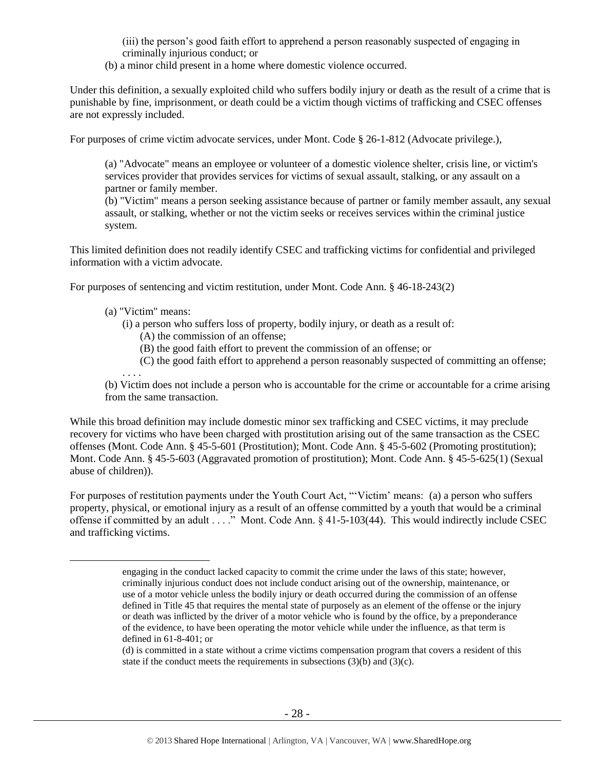(iii) the person's good faith effort to apprehend a person reasonably suspected of engaging in criminally injurious conduct; or

(b) a minor child present in a home where domestic violence occurred.

Under this definition, a sexually exploited child who suffers bodily injury or death as the result of a crime that is punishable by fine, imprisonment, or death could be a victim though victims of trafficking and CSEC offenses are not expressly included.

For purposes of crime victim advocate services, under Mont. Code § 26-1-812 (Advocate privilege.),

(a) "Advocate" means an employee or volunteer of a domestic violence shelter, crisis line, or victim's services provider that provides services for victims of sexual assault, stalking, or any assault on a partner or family member.

(b) "Victim" means a person seeking assistance because of partner or family member assault, any sexual assault, or stalking, whether or not the victim seeks or receives services within the criminal justice system.

This limited definition does not readily identify CSEC and trafficking victims for confidential and privileged information with a victim advocate.

For purposes of sentencing and victim restitution, under Mont. Code Ann. § 46-18-243(2)

(a) "Victim" means:

 $\overline{a}$ 

- (i) a person who suffers loss of property, bodily injury, or death as a result of:
	- (A) the commission of an offense;
	- (B) the good faith effort to prevent the commission of an offense; or
	- (C) the good faith effort to apprehend a person reasonably suspected of committing an offense;

. . . . (b) Victim does not include a person who is accountable for the crime or accountable for a crime arising from the same transaction.

While this broad definition may include domestic minor sex trafficking and CSEC victims, it may preclude recovery for victims who have been charged with prostitution arising out of the same transaction as the CSEC offenses (Mont. Code Ann. § 45-5-601 (Prostitution); Mont. Code Ann. § 45-5-602 (Promoting prostitution); Mont. Code Ann. § 45-5-603 (Aggravated promotion of prostitution); Mont. Code Ann. § 45-5-625(1) (Sexual abuse of children)).

For purposes of restitution payments under the Youth Court Act, "'Victim' means: (a) a person who suffers property, physical, or emotional injury as a result of an offense committed by a youth that would be a criminal offense if committed by an adult . . . ." Mont. Code Ann. § 41-5-103(44). This would indirectly include CSEC and trafficking victims.

engaging in the conduct lacked capacity to commit the crime under the laws of this state; however, criminally injurious conduct does not include conduct arising out of the ownership, maintenance, or use of a motor vehicle unless the bodily injury or death occurred during the commission of an offense defined in Title 45 that requires the mental state of purposely as an element of the offense or the injury or death was inflicted by the driver of a motor vehicle who is found by the office, by a preponderance of the evidence, to have been operating the motor vehicle while under the influence, as that term is defined in 61-8-401; or

<sup>(</sup>d) is committed in a state without a crime victims compensation program that covers a resident of this state if the conduct meets the requirements in subsections  $(3)(b)$  and  $(3)(c)$ .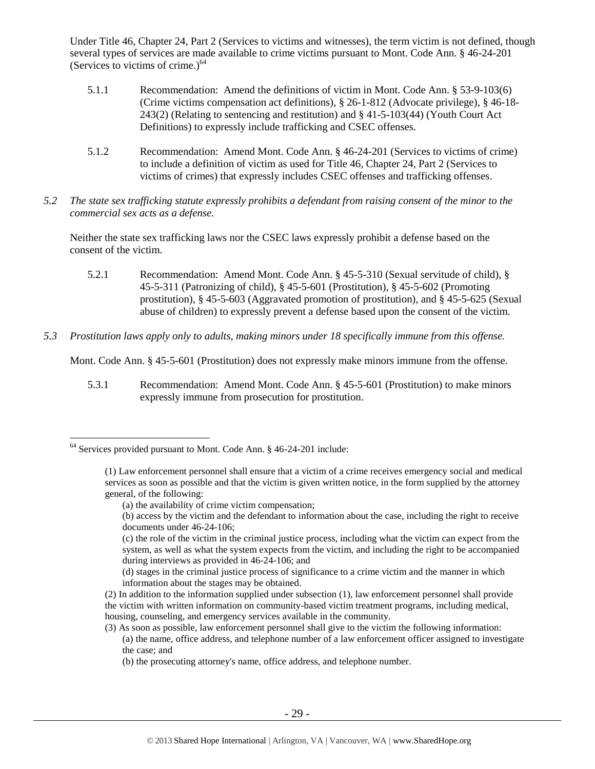Under Title 46, Chapter 24, Part 2 (Services to victims and witnesses), the term victim is not defined, though several types of services are made available to crime victims pursuant to Mont. Code Ann. § 46-24-201 (Services to victims of crime.) $<sup>64</sup>$ </sup>

- 5.1.1 Recommendation: Amend the definitions of victim in Mont. Code Ann. § 53-9-103(6) (Crime victims compensation act definitions), § 26-1-812 (Advocate privilege), § 46-18- 243(2) (Relating to sentencing and restitution) and § 41-5-103(44) (Youth Court Act Definitions) to expressly include trafficking and CSEC offenses.
- 5.1.2 Recommendation: Amend Mont. Code Ann. § 46-24-201 (Services to victims of crime) to include a definition of victim as used for Title 46, Chapter 24, Part 2 (Services to victims of crimes) that expressly includes CSEC offenses and trafficking offenses.
- *5.2 The state sex trafficking statute expressly prohibits a defendant from raising consent of the minor to the commercial sex acts as a defense.*

Neither the state sex trafficking laws nor the CSEC laws expressly prohibit a defense based on the consent of the victim.

- 5.2.1 Recommendation: Amend Mont. Code Ann. § 45-5-310 (Sexual servitude of child), § 45-5-311 (Patronizing of child), § 45-5-601 (Prostitution), § 45-5-602 (Promoting prostitution), § 45-5-603 (Aggravated promotion of prostitution), and § 45-5-625 (Sexual abuse of children) to expressly prevent a defense based upon the consent of the victim.
- *5.3 Prostitution laws apply only to adults, making minors under 18 specifically immune from this offense.*

Mont. Code Ann. § 45-5-601 (Prostitution) does not expressly make minors immune from the offense.

5.3.1 Recommendation: Amend Mont. Code Ann. § 45-5-601 (Prostitution) to make minors expressly immune from prosecution for prostitution.

<sup>64</sup> Services provided pursuant to Mont. Code Ann. § 46-24-201 include:

<sup>(1)</sup> Law enforcement personnel shall ensure that a victim of a crime receives emergency social and medical services as soon as possible and that the victim is given written notice, in the form supplied by the attorney general, of the following:

<sup>(</sup>a) the availability of crime victim compensation;

<sup>(</sup>b) access by the victim and the defendant to information about the case, including the right to receive documents under [46-24-106;](http://data.opi.mt.gov/bills/mca/46/24/46-24-106.htm)

<sup>(</sup>c) the role of the victim in the criminal justice process, including what the victim can expect from the system, as well as what the system expects from the victim, and including the right to be accompanied during interviews as provided in [46-24-106;](http://data.opi.mt.gov/bills/mca/46/24/46-24-106.htm) and

<sup>(</sup>d) stages in the criminal justice process of significance to a crime victim and the manner in which information about the stages may be obtained.

<sup>(2)</sup> In addition to the information supplied under subsection (1), law enforcement personnel shall provide the victim with written information on community-based victim treatment programs, including medical, housing, counseling, and emergency services available in the community.

<sup>(3)</sup> As soon as possible, law enforcement personnel shall give to the victim the following information:

<sup>(</sup>a) the name, office address, and telephone number of a law enforcement officer assigned to investigate the case; and

<sup>(</sup>b) the prosecuting attorney's name, office address, and telephone number.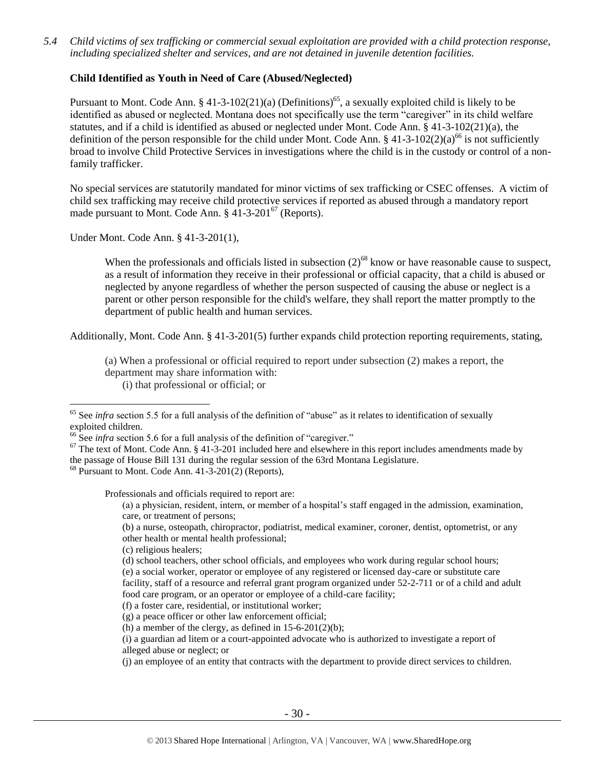*5.4 Child victims of sex trafficking or commercial sexual exploitation are provided with a child protection response, including specialized shelter and services, and are not detained in juvenile detention facilities.*

## **Child Identified as Youth in Need of Care (Abused/Neglected)**

Pursuant to Mont. Code Ann. § 41-3-102(21)(a) (Definitions)<sup>65</sup>, a sexually exploited child is likely to be identified as abused or neglected. Montana does not specifically use the term "caregiver" in its child welfare statutes, and if a child is identified as abused or neglected under Mont. Code Ann. § 41-3-102(21)(a), the definition of the person responsible for the child under Mont. Code Ann.  $\S 41-3-102(2)(a)^{66}$  is not sufficiently broad to involve Child Protective Services in investigations where the child is in the custody or control of a nonfamily trafficker.

No special services are statutorily mandated for minor victims of sex trafficking or CSEC offenses. A victim of child sex trafficking may receive child protective services if reported as abused through a mandatory report made pursuant to Mont. Code Ann.  $\S$  41-3-201<sup>67</sup> (Reports).

Under Mont. Code Ann. § 41-3-201(1),

 $\overline{a}$ 

When the professionals and officials listed in subsection  $(2)^{68}$  know or have reasonable cause to suspect, as a result of information they receive in their professional or official capacity, that a child is abused or neglected by anyone regardless of whether the person suspected of causing the abuse or neglect is a parent or other person responsible for the child's welfare, they shall report the matter promptly to the department of public health and human services.

Additionally, Mont. Code Ann. § 41-3-201(5) further expands child protection reporting requirements, stating,

(a) When a professional or official required to report under subsection (2) makes a report, the department may share information with:

(i) that professional or official; or

<sup>66</sup> See *infra* section 5.6 for a full analysis of the definition of "caregiver."

 $68$  Pursuant to Mont. Code Ann. 41-3-201(2) (Reports).

Professionals and officials required to report are:

(a) a physician, resident, intern, or member of a hospital's staff engaged in the admission, examination, care, or treatment of persons;

(b) a nurse, osteopath, chiropractor, podiatrist, medical examiner, coroner, dentist, optometrist, or any other health or mental health professional;

(c) religious healers;

(d) school teachers, other school officials, and employees who work during regular school hours; (e) a social worker, operator or employee of any registered or licensed day-care or substitute care facility, staff of a resource and referral grant program organized under 52-2-711 or of a child and adult food care program, or an operator or employee of a child-care facility;

(f) a foster care, residential, or institutional worker;

(g) a peace officer or other law enforcement official;

(h) a member of the clergy, as defined in  $15-6-201(2)(b)$ ;

(i) a guardian ad litem or a court-appointed advocate who is authorized to investigate a report of alleged abuse or neglect; or

(j) an employee of an entity that contracts with the department to provide direct services to children.

<sup>&</sup>lt;sup>65</sup> See *infra* section 5.5 for a full analysis of the definition of "abuse" as it relates to identification of sexually exploited children.

 $67$  The text of Mont. Code Ann. § 41-3-201 included here and elsewhere in this report includes amendments made by the passage of House Bill 131 during the regular session of the 63rd Montana Legislature.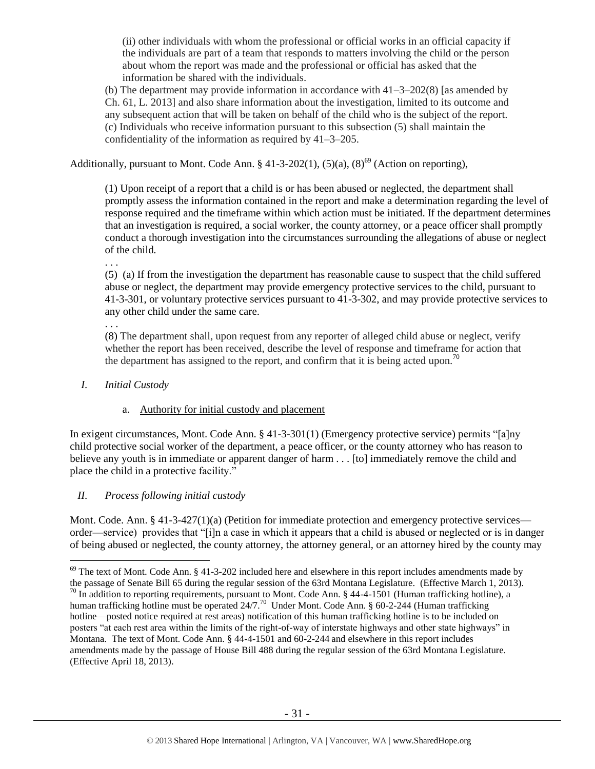(ii) other individuals with whom the professional or official works in an official capacity if the individuals are part of a team that responds to matters involving the child or the person about whom the report was made and the professional or official has asked that the information be shared with the individuals.

(b) The department may provide information in accordance with  $41-3-202(8)$  [as amended by Ch. 61, L. 2013] and also share information about the investigation, limited to its outcome and any subsequent action that will be taken on behalf of the child who is the subject of the report. (c) Individuals who receive information pursuant to this subsection (5) shall maintain the confidentiality of the information as required by 41–3–205.

Additionally, pursuant to Mont. Code Ann. § 41-3-202(1),  $(5)(a)$ ,  $(8)^{69}$  (Action on reporting),

(1) Upon receipt of a report that a child is or has been abused or neglected, the department shall promptly assess the information contained in the report and make a determination regarding the level of response required and the timeframe within which action must be initiated. If the department determines that an investigation is required, a social worker, the county attorney, or a peace officer shall promptly conduct a thorough investigation into the circumstances surrounding the allegations of abuse or neglect of the child.

. . .

(5) (a) If from the investigation the department has reasonable cause to suspect that the child suffered abuse or neglect, the department may provide emergency protective services to the child, pursuant to 41-3-301, or voluntary protective services pursuant to 41-3-302, and may provide protective services to any other child under the same care.

. . .

 $\overline{a}$ 

(8) The department shall, upon request from any reporter of alleged child abuse or neglect, verify whether the report has been received, describe the level of response and timeframe for action that the department has assigned to the report, and confirm that it is being acted upon.<sup>70</sup>

*I. Initial Custody* 

## a. Authority for initial custody and placement

In exigent circumstances, Mont. Code Ann. § 41-3-301(1) (Emergency protective service) permits "[a]ny child protective social worker of the department, a peace officer, or the county attorney who has reason to believe any youth is in immediate or apparent danger of harm . . . [to] immediately remove the child and place the child in a protective facility."

## *II. Process following initial custody*

Mont. Code. Ann. § 41-3-427(1)(a) (Petition for immediate protection and emergency protective services order—service) provides that "[i]n a case in which it appears that a child is abused or neglected or is in danger of being abused or neglected, the county attorney, the attorney general, or an attorney hired by the county may

 $69$  The text of Mont. Code Ann. § 41-3-202 included here and elsewhere in this report includes amendments made by the passage of Senate Bill 65 during the regular session of the 63rd Montana Legislature. (Effective March 1, 2013).

 $^{70}$  In addition to reporting requirements, pursuant to Mont. Code Ann. § 44-4-1501 (Human trafficking hotline), a human trafficking hotline must be operated  $24/7$ .<sup>70</sup> Under Mont. Code Ann. § 60-2-244 (Human trafficking hotline—posted notice required at rest areas) notification of this human trafficking hotline is to be included on posters "at each rest area within the limits of the right-of-way of interstate highways and other state highways" in Montana. The text of Mont. Code Ann. § 44-4-1501 and 60-2-244 and elsewhere in this report includes amendments made by the passage of House Bill 488 during the regular session of the 63rd Montana Legislature. (Effective April 18, 2013).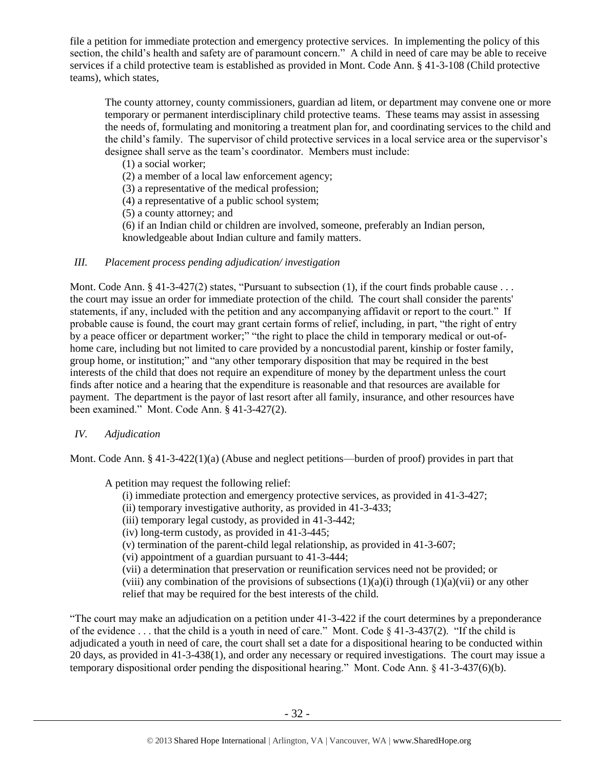file a petition for immediate protection and emergency protective services. In implementing the policy of this section, the child's health and safety are of paramount concern." A child in need of care may be able to receive services if a child protective team is established as provided in Mont. Code Ann. § 41-3-108 (Child protective teams), which states,

The county attorney, county commissioners, guardian ad litem, or department may convene one or more temporary or permanent interdisciplinary child protective teams. These teams may assist in assessing the needs of, formulating and monitoring a treatment plan for, and coordinating services to the child and the child's family. The supervisor of child protective services in a local service area or the supervisor's designee shall serve as the team's coordinator. Members must include:

(1) a social worker;

(2) a member of a local law enforcement agency;

(3) a representative of the medical profession;

(4) a representative of a public school system;

(5) a county attorney; and

(6) if an Indian child or children are involved, someone, preferably an Indian person, knowledgeable about Indian culture and family matters.

# *III. Placement process pending adjudication/ investigation*

Mont. Code Ann.  $\S$  41-3-427(2) states, "Pursuant to subsection (1), if the court finds probable cause . . . the court may issue an order for immediate protection of the child. The court shall consider the parents' statements, if any, included with the petition and any accompanying affidavit or report to the court." If probable cause is found, the court may grant certain forms of relief, including, in part, "the right of entry by a peace officer or department worker;" "the right to place the child in temporary medical or out-ofhome care, including but not limited to care provided by a noncustodial parent, kinship or foster family, group home, or institution;" and "any other temporary disposition that may be required in the best interests of the child that does not require an expenditure of money by the department unless the court finds after notice and a hearing that the expenditure is reasonable and that resources are available for payment. The department is the payor of last resort after all family, insurance, and other resources have been examined." Mont. Code Ann. § 41-3-427(2).

## *IV. Adjudication*

Mont. Code Ann. § 41-3-422(1)(a) (Abuse and neglect petitions—burden of proof) provides in part that

A petition may request the following relief:

(i) immediate protection and emergency protective services, as provided in 41-3-427;

(ii) temporary investigative authority, as provided in 41-3-433;

(iii) temporary legal custody, as provided in 41-3-442;

(iv) long-term custody, as provided in 41-3-445;

(v) termination of the parent-child legal relationship, as provided in 41-3-607;

(vi) appointment of a guardian pursuant to 41-3-444;

(vii) a determination that preservation or reunification services need not be provided; or

(viii) any combination of the provisions of subsections  $(1)(a)(i)$  through  $(1)(a)(vi)$  or any other relief that may be required for the best interests of the child.

"The court may make an adjudication on a petition under 41-3-422 if the court determines by a preponderance of the evidence . . . that the child is a youth in need of care." Mont. Code § 41-3-437(2). "If the child is adjudicated a youth in need of care, the court shall set a date for a dispositional hearing to be conducted within 20 days, as provided in 41-3-438(1), and order any necessary or required investigations. The court may issue a temporary dispositional order pending the dispositional hearing." Mont. Code Ann. § 41-3-437(6)(b).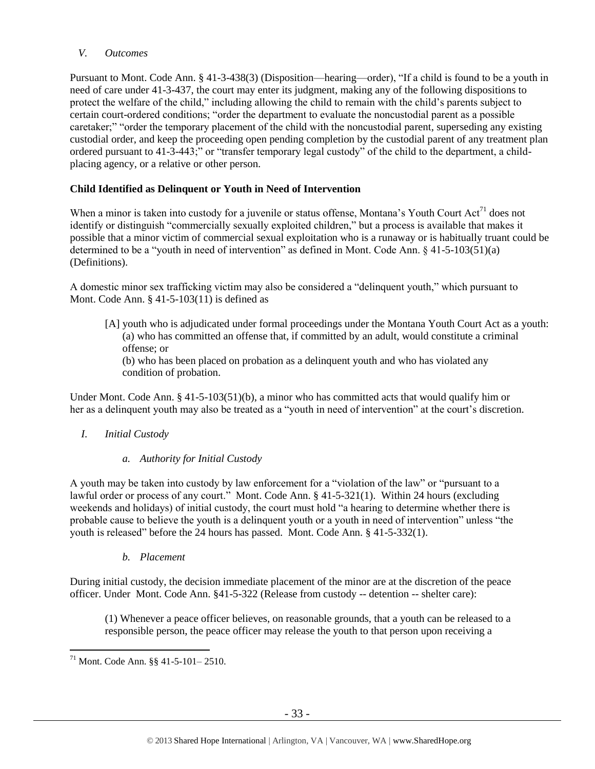# *V. Outcomes*

Pursuant to Mont. Code Ann. § 41-3-438(3) (Disposition—hearing—order), "If a child is found to be a youth in need of care under 41-3-437, the court may enter its judgment, making any of the following dispositions to protect the welfare of the child," including allowing the child to remain with the child's parents subject to certain court-ordered conditions; "order the department to evaluate the noncustodial parent as a possible caretaker;" "order the temporary placement of the child with the noncustodial parent, superseding any existing custodial order, and keep the proceeding open pending completion by the custodial parent of any treatment plan ordered pursuant to 41-3-443;" or "transfer temporary legal custody" of the child to the department, a childplacing agency, or a relative or other person.

# **Child Identified as Delinquent or Youth in Need of Intervention**

When a minor is taken into custody for a juvenile or status offense, Montana's Youth Court  $Act<sup>71</sup>$  does not identify or distinguish "commercially sexually exploited children," but a process is available that makes it possible that a minor victim of commercial sexual exploitation who is a runaway or is habitually truant could be determined to be a "youth in need of intervention" as defined in Mont. Code Ann. § 41-5-103(51)(a) (Definitions).

A domestic minor sex trafficking victim may also be considered a "delinquent youth," which pursuant to Mont. Code Ann. § 41-5-103(11) is defined as

[A] youth who is adjudicated under formal proceedings under the Montana Youth Court Act as a youth: (a) who has committed an offense that, if committed by an adult, would constitute a criminal offense; or

(b) who has been placed on probation as a delinquent youth and who has violated any condition of probation.

Under Mont. Code Ann. § 41-5-103(51)(b), a minor who has committed acts that would qualify him or her as a delinquent youth may also be treated as a "youth in need of intervention" at the court's discretion.

## *I. Initial Custody*

## *a. Authority for Initial Custody*

A youth may be taken into custody by law enforcement for a "violation of the law" or "pursuant to a lawful order or process of any court." Mont. Code Ann. § 41-5-321(1). Within 24 hours (excluding weekends and holidays) of initial custody, the court must hold "a hearing to determine whether there is probable cause to believe the youth is a delinquent youth or a youth in need of intervention" unless "the youth is released" before the 24 hours has passed. Mont. Code Ann. § 41-5-332(1).

## *b. Placement*

During initial custody, the decision immediate placement of the minor are at the discretion of the peace officer. Under Mont. Code Ann. §41-5-322 (Release from custody -- detention -- shelter care):

(1) Whenever a peace officer believes, on reasonable grounds, that a youth can be released to a responsible person, the peace officer may release the youth to that person upon receiving a

 $\overline{a}$  $71$  Mont. Code Ann. §§ 41-5-101-2510.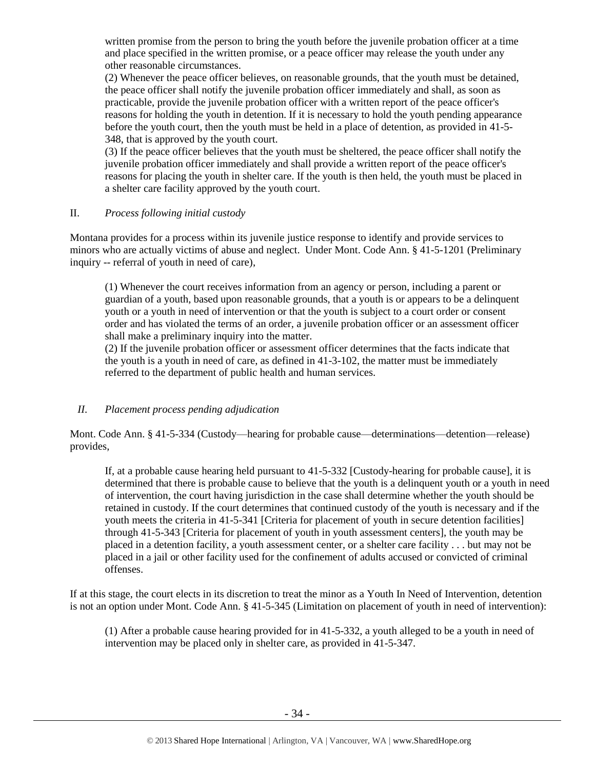written promise from the person to bring the youth before the juvenile probation officer at a time and place specified in the written promise, or a peace officer may release the youth under any other reasonable circumstances.

(2) Whenever the peace officer believes, on reasonable grounds, that the youth must be detained, the peace officer shall notify the juvenile probation officer immediately and shall, as soon as practicable, provide the juvenile probation officer with a written report of the peace officer's reasons for holding the youth in detention. If it is necessary to hold the youth pending appearance before the youth court, then the youth must be held in a place of detention, as provided in 41-5- 348, that is approved by the youth court.

(3) If the peace officer believes that the youth must be sheltered, the peace officer shall notify the juvenile probation officer immediately and shall provide a written report of the peace officer's reasons for placing the youth in shelter care. If the youth is then held, the youth must be placed in a shelter care facility approved by the youth court.

## II. *Process following initial custody*

Montana provides for a process within its juvenile justice response to identify and provide services to minors who are actually victims of abuse and neglect. Under Mont. Code Ann. § 41-5-1201 (Preliminary inquiry -- referral of youth in need of care),

(1) Whenever the court receives information from an agency or person, including a parent or guardian of a youth, based upon reasonable grounds, that a youth is or appears to be a delinquent youth or a youth in need of intervention or that the youth is subject to a court order or consent order and has violated the terms of an order, a juvenile probation officer or an assessment officer shall make a preliminary inquiry into the matter.

(2) If the juvenile probation officer or assessment officer determines that the facts indicate that the youth is a youth in need of care, as defined in 41-3-102, the matter must be immediately referred to the department of public health and human services.

## *II. Placement process pending adjudication*

Mont. Code Ann. § 41-5-334 (Custody—hearing for probable cause—determinations—detention—release) provides,

If, at a probable cause hearing held pursuant to 41-5-332 [Custody-hearing for probable cause], it is determined that there is probable cause to believe that the youth is a delinquent youth or a youth in need of intervention, the court having jurisdiction in the case shall determine whether the youth should be retained in custody. If the court determines that continued custody of the youth is necessary and if the youth meets the criteria in 41-5-341 [Criteria for placement of youth in secure detention facilities] through 41-5-343 [Criteria for placement of youth in youth assessment centers], the youth may be placed in a detention facility, a youth assessment center, or a shelter care facility . . . but may not be placed in a jail or other facility used for the confinement of adults accused or convicted of criminal offenses.

If at this stage, the court elects in its discretion to treat the minor as a Youth In Need of Intervention, detention is not an option under Mont. Code Ann. § 41-5-345 (Limitation on placement of youth in need of intervention):

(1) After a probable cause hearing provided for in 41-5-332, a youth alleged to be a youth in need of intervention may be placed only in shelter care, as provided in 41-5-347.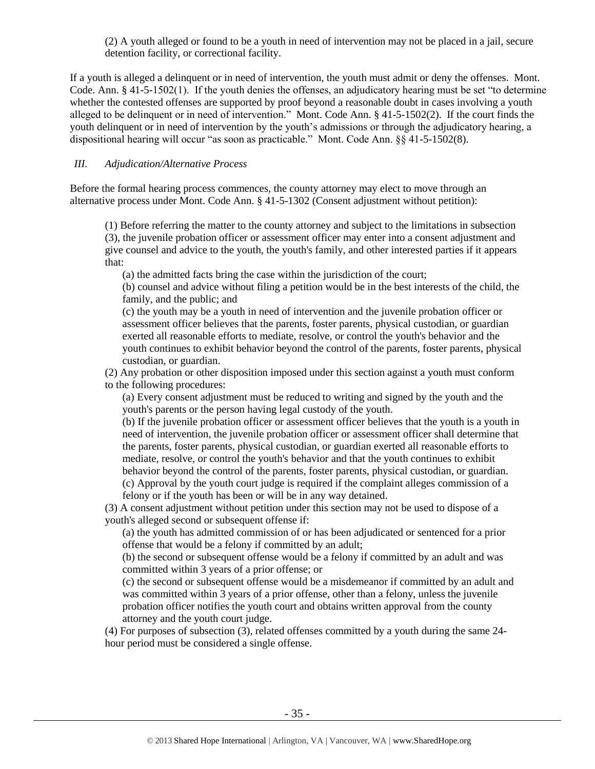(2) A youth alleged or found to be a youth in need of intervention may not be placed in a jail, secure detention facility, or correctional facility.

If a youth is alleged a delinquent or in need of intervention, the youth must admit or deny the offenses. Mont. Code. Ann. § 41-5-1502(1). If the youth denies the offenses, an adjudicatory hearing must be set "to determine whether the contested offenses are supported by proof beyond a reasonable doubt in cases involving a youth alleged to be delinquent or in need of intervention." Mont. Code Ann. § 41-5-1502(2). If the court finds the youth delinquent or in need of intervention by the youth's admissions or through the adjudicatory hearing, a dispositional hearing will occur "as soon as practicable." Mont. Code Ann. §§ 41-5-1502(8).

## *III. Adjudication/Alternative Process*

Before the formal hearing process commences, the county attorney may elect to move through an alternative process under Mont. Code Ann. § 41-5-1302 (Consent adjustment without petition):

(1) Before referring the matter to the county attorney and subject to the limitations in subsection (3), the juvenile probation officer or assessment officer may enter into a consent adjustment and give counsel and advice to the youth, the youth's family, and other interested parties if it appears that:

(a) the admitted facts bring the case within the jurisdiction of the court;

(b) counsel and advice without filing a petition would be in the best interests of the child, the family, and the public; and

(c) the youth may be a youth in need of intervention and the juvenile probation officer or assessment officer believes that the parents, foster parents, physical custodian, or guardian exerted all reasonable efforts to mediate, resolve, or control the youth's behavior and the youth continues to exhibit behavior beyond the control of the parents, foster parents, physical custodian, or guardian.

(2) Any probation or other disposition imposed under this section against a youth must conform to the following procedures:

(a) Every consent adjustment must be reduced to writing and signed by the youth and the youth's parents or the person having legal custody of the youth.

(b) If the juvenile probation officer or assessment officer believes that the youth is a youth in need of intervention, the juvenile probation officer or assessment officer shall determine that the parents, foster parents, physical custodian, or guardian exerted all reasonable efforts to mediate, resolve, or control the youth's behavior and that the youth continues to exhibit behavior beyond the control of the parents, foster parents, physical custodian, or guardian. (c) Approval by the youth court judge is required if the complaint alleges commission of a felony or if the youth has been or will be in any way detained.

(3) A consent adjustment without petition under this section may not be used to dispose of a youth's alleged second or subsequent offense if:

(a) the youth has admitted commission of or has been adjudicated or sentenced for a prior offense that would be a felony if committed by an adult;

(b) the second or subsequent offense would be a felony if committed by an adult and was committed within 3 years of a prior offense; or

(c) the second or subsequent offense would be a misdemeanor if committed by an adult and was committed within 3 years of a prior offense, other than a felony, unless the juvenile probation officer notifies the youth court and obtains written approval from the county attorney and the youth court judge.

(4) For purposes of subsection (3), related offenses committed by a youth during the same 24 hour period must be considered a single offense.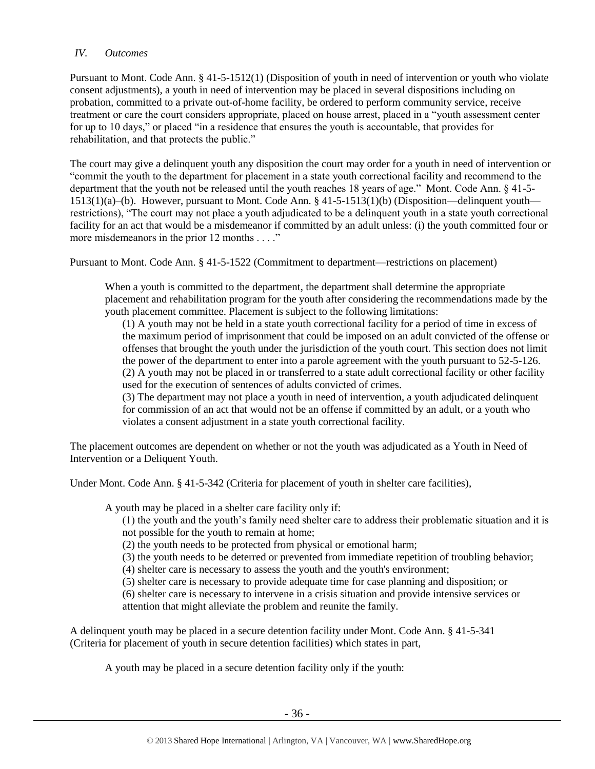## *IV. Outcomes*

Pursuant to Mont. Code Ann. § 41-5-1512(1) (Disposition of youth in need of intervention or youth who violate consent adjustments), a youth in need of intervention may be placed in several dispositions including on probation, committed to a private out-of-home facility, be ordered to perform community service, receive treatment or care the court considers appropriate, placed on house arrest, placed in a "youth assessment center for up to 10 days," or placed "in a residence that ensures the youth is accountable, that provides for rehabilitation, and that protects the public."

The court may give a delinquent youth any disposition the court may order for a youth in need of intervention or "commit the youth to the department for placement in a state youth correctional facility and recommend to the department that the youth not be released until the youth reaches 18 years of age." Mont. Code Ann. § 41-5- 1513(1)(a)–(b). However, pursuant to Mont. Code Ann. § 41-5-1513(1)(b) (Disposition—delinquent youth restrictions), "The court may not place a youth adjudicated to be a delinquent youth in a state youth correctional facility for an act that would be a misdemeanor if committed by an adult unless: (i) the youth committed four or more misdemeanors in the prior 12 months . . . ."

Pursuant to Mont. Code Ann. § 41-5-1522 (Commitment to department—restrictions on placement)

When a youth is committed to the department, the department shall determine the appropriate placement and rehabilitation program for the youth after considering the recommendations made by the youth placement committee. Placement is subject to the following limitations:

(1) A youth may not be held in a state youth correctional facility for a period of time in excess of the maximum period of imprisonment that could be imposed on an adult convicted of the offense or offenses that brought the youth under the jurisdiction of the youth court. This section does not limit the power of the department to enter into a parole agreement with the youth pursuant to 52-5-126. (2) A youth may not be placed in or transferred to a state adult correctional facility or other facility used for the execution of sentences of adults convicted of crimes.

(3) The department may not place a youth in need of intervention, a youth adjudicated delinquent for commission of an act that would not be an offense if committed by an adult, or a youth who violates a consent adjustment in a state youth correctional facility.

The placement outcomes are dependent on whether or not the youth was adjudicated as a Youth in Need of Intervention or a Deliquent Youth.

Under Mont. Code Ann. § 41-5-342 (Criteria for placement of youth in shelter care facilities),

A youth may be placed in a shelter care facility only if:

(1) the youth and the youth's family need shelter care to address their problematic situation and it is not possible for the youth to remain at home;

(2) the youth needs to be protected from physical or emotional harm;

(3) the youth needs to be deterred or prevented from immediate repetition of troubling behavior;

(4) shelter care is necessary to assess the youth and the youth's environment;

(5) shelter care is necessary to provide adequate time for case planning and disposition; or

(6) shelter care is necessary to intervene in a crisis situation and provide intensive services or attention that might alleviate the problem and reunite the family.

A delinquent youth may be placed in a secure detention facility under Mont. Code Ann. § 41-5-341 (Criteria for placement of youth in secure detention facilities) which states in part,

A youth may be placed in a secure detention facility only if the youth: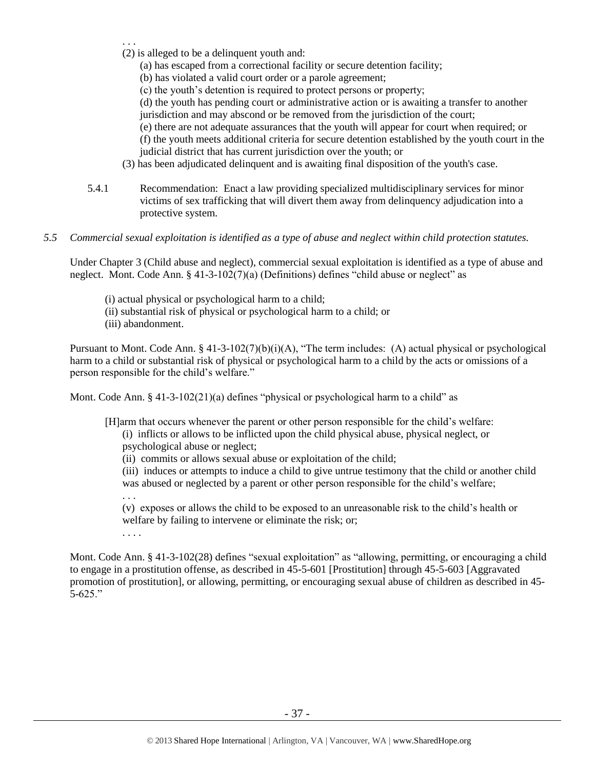- . . .
- (2) is alleged to be a delinquent youth and:
	- (a) has escaped from a correctional facility or secure detention facility;
	- (b) has violated a valid court order or a parole agreement;
	- (c) the youth's detention is required to protect persons or property;
	- (d) the youth has pending court or administrative action or is awaiting a transfer to another jurisdiction and may abscond or be removed from the jurisdiction of the court;
	- (e) there are not adequate assurances that the youth will appear for court when required; or
	- (f) the youth meets additional criteria for secure detention established by the youth court in the judicial district that has current jurisdiction over the youth; or
- (3) has been adjudicated delinquent and is awaiting final disposition of the youth's case.
- 5.4.1 Recommendation: Enact a law providing specialized multidisciplinary services for minor victims of sex trafficking that will divert them away from delinquency adjudication into a protective system.
- *5.5 Commercial sexual exploitation is identified as a type of abuse and neglect within child protection statutes.*

Under Chapter 3 (Child abuse and neglect), commercial sexual exploitation is identified as a type of abuse and neglect. Mont. Code Ann. § 41-3-102(7)(a) (Definitions) defines "child abuse or neglect" as

- (i) actual physical or psychological harm to a child;
- (ii) substantial risk of physical or psychological harm to a child; or
- (iii) abandonment.

Pursuant to Mont. Code Ann. § 41-3-102(7)(b)(i)(A), "The term includes: (A) actual physical or psychological harm to a child or substantial risk of physical or psychological harm to a child by the acts or omissions of a person responsible for the child's welfare."

Mont. Code Ann.  $\S$  41-3-102(21)(a) defines "physical or psychological harm to a child" as

[H]arm that occurs whenever the parent or other person responsible for the child's welfare:

(i) inflicts or allows to be inflicted upon the child physical abuse, physical neglect, or psychological abuse or neglect;

(ii) commits or allows sexual abuse or exploitation of the child;

(iii) induces or attempts to induce a child to give untrue testimony that the child or another child was abused or neglected by a parent or other person responsible for the child's welfare; . . .

(v) exposes or allows the child to be exposed to an unreasonable risk to the child's health or welfare by failing to intervene or eliminate the risk; or;

. . . .

Mont. Code Ann. § 41-3-102(28) defines "sexual exploitation" as "allowing, permitting, or encouraging a child to engage in a prostitution offense, as described in 45-5-601 [Prostitution] through 45-5-603 [Aggravated promotion of prostitution], or allowing, permitting, or encouraging sexual abuse of children as described in 45- 5-625."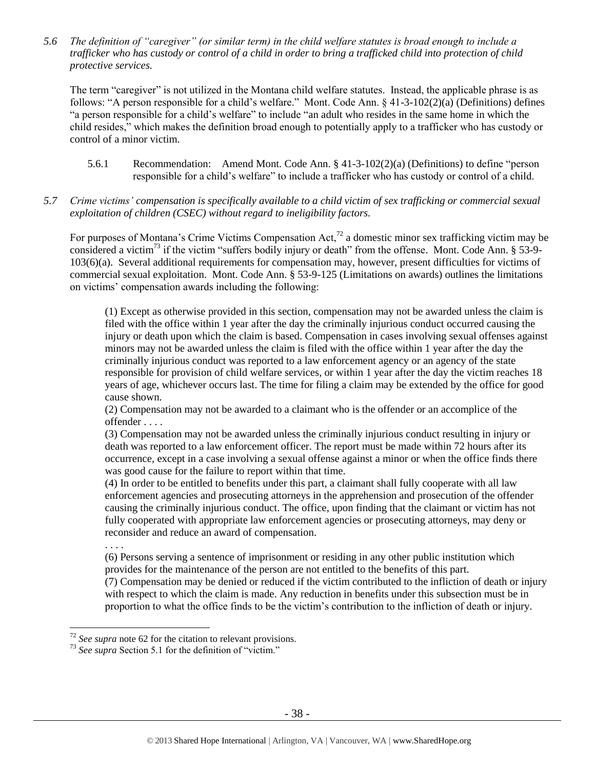*5.6 The definition of "caregiver" (or similar term) in the child welfare statutes is broad enough to include a trafficker who has custody or control of a child in order to bring a trafficked child into protection of child protective services.*

The term "caregiver" is not utilized in the Montana child welfare statutes. Instead, the applicable phrase is as follows: "A person responsible for a child's welfare." Mont. Code Ann. § 41-3-102(2)(a) (Definitions) defines "a person responsible for a child's welfare" to include "an adult who resides in the same home in which the child resides," which makes the definition broad enough to potentially apply to a trafficker who has custody or control of a minor victim.

- 5.6.1 Recommendation: Amend Mont. Code Ann. § 41-3-102(2)(a) (Definitions) to define "person responsible for a child's welfare" to include a trafficker who has custody or control of a child.
- *5.7 Crime victims' compensation is specifically available to a child victim of sex trafficking or commercial sexual exploitation of children (CSEC) without regard to ineligibility factors.*

For purposes of Montana's Crime Victims Compensation Act,<sup>72</sup> a domestic minor sex trafficking victim may be considered a victim<sup>73</sup> if the victim "suffers bodily injury or death" from the offense. Mont. Code Ann.  $\S$  53-9-103(6)(a). Several additional requirements for compensation may, however, present difficulties for victims of commercial sexual exploitation. Mont. Code Ann. § 53-9-125 (Limitations on awards) outlines the limitations on victims' compensation awards including the following:

(1) Except as otherwise provided in this section, compensation may not be awarded unless the claim is filed with the office within 1 year after the day the criminally injurious conduct occurred causing the injury or death upon which the claim is based. Compensation in cases involving sexual offenses against minors may not be awarded unless the claim is filed with the office within 1 year after the day the criminally injurious conduct was reported to a law enforcement agency or an agency of the state responsible for provision of child welfare services, or within 1 year after the day the victim reaches 18 years of age, whichever occurs last. The time for filing a claim may be extended by the office for good cause shown.

(2) Compensation may not be awarded to a claimant who is the offender or an accomplice of the offender . . . .

(3) Compensation may not be awarded unless the criminally injurious conduct resulting in injury or death was reported to a law enforcement officer. The report must be made within 72 hours after its occurrence, except in a case involving a sexual offense against a minor or when the office finds there was good cause for the failure to report within that time.

(4) In order to be entitled to benefits under this part, a claimant shall fully cooperate with all law enforcement agencies and prosecuting attorneys in the apprehension and prosecution of the offender causing the criminally injurious conduct. The office, upon finding that the claimant or victim has not fully cooperated with appropriate law enforcement agencies or prosecuting attorneys, may deny or reconsider and reduce an award of compensation.

. . . .

 $\overline{a}$ 

(6) Persons serving a sentence of imprisonment or residing in any other public institution which provides for the maintenance of the person are not entitled to the benefits of this part. (7) Compensation may be denied or reduced if the victim contributed to the infliction of death or injury with respect to which the claim is made. Any reduction in benefits under this subsection must be in proportion to what the office finds to be the victim's contribution to the infliction of death or injury.

<sup>72</sup> *See supra* note [62](#page-26-0) for the citation to relevant provisions.

<sup>73</sup> *See supra* Section 5.1 for the definition of "victim."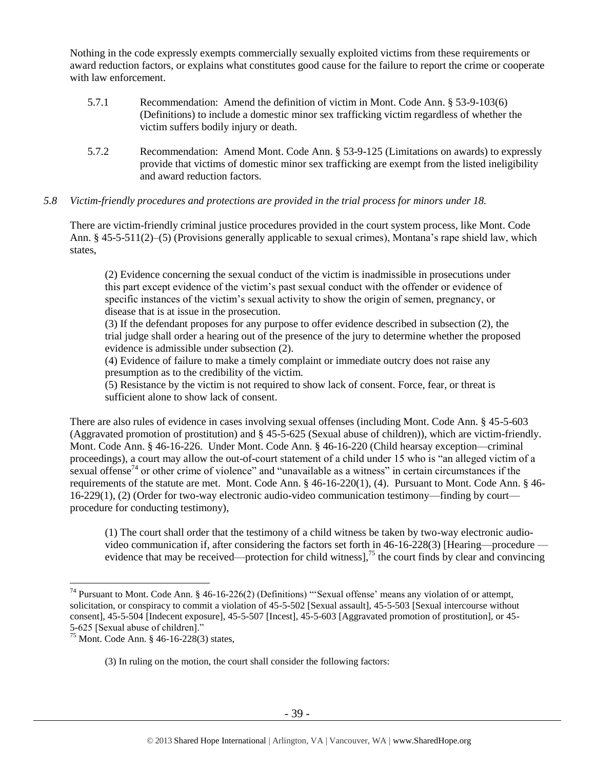Nothing in the code expressly exempts commercially sexually exploited victims from these requirements or award reduction factors, or explains what constitutes good cause for the failure to report the crime or cooperate with law enforcement.

- 5.7.1 Recommendation: Amend the definition of victim in Mont. Code Ann. § 53-9-103(6) (Definitions) to include a domestic minor sex trafficking victim regardless of whether the victim suffers bodily injury or death.
- 5.7.2 Recommendation: Amend Mont. Code Ann. § 53-9-125 (Limitations on awards) to expressly provide that victims of domestic minor sex trafficking are exempt from the listed ineligibility and award reduction factors.

# *5.8 Victim-friendly procedures and protections are provided in the trial process for minors under 18.*

There are victim-friendly criminal justice procedures provided in the court system process, like Mont. Code Ann. § 45-5-511(2)–(5) (Provisions generally applicable to sexual crimes), Montana's rape shield law, which states,

(2) Evidence concerning the sexual conduct of the victim is inadmissible in prosecutions under this part except evidence of the victim's past sexual conduct with the offender or evidence of specific instances of the victim's sexual activity to show the origin of semen, pregnancy, or disease that is at issue in the prosecution.

(3) If the defendant proposes for any purpose to offer evidence described in subsection (2), the trial judge shall order a hearing out of the presence of the jury to determine whether the proposed evidence is admissible under subsection (2).

(4) Evidence of failure to make a timely complaint or immediate outcry does not raise any presumption as to the credibility of the victim.

(5) Resistance by the victim is not required to show lack of consent. Force, fear, or threat is sufficient alone to show lack of consent.

There are also rules of evidence in cases involving sexual offenses (including Mont. Code Ann. § 45-5-603 (Aggravated promotion of prostitution) and § 45-5-625 (Sexual abuse of children)), which are victim-friendly. Mont. Code Ann. § 46-16-226. Under Mont. Code Ann. § 46-16-220 (Child hearsay exception—criminal proceedings), a court may allow the out-of-court statement of a child under 15 who is "an alleged victim of a sexual offense<sup>74</sup> or other crime of violence" and "unavailable as a witness" in certain circumstances if the requirements of the statute are met. Mont. Code Ann. § 46-16-220(1), (4). Pursuant to Mont. Code Ann. § 46- 16-229(1), (2) (Order for two-way electronic audio-video communication testimony—finding by court procedure for conducting testimony),

(1) The court shall order that the testimony of a child witness be taken by two-way electronic audiovideo communication if, after considering the factors set forth in 46-16-228(3) [Hearing—procedure evidence that may be received—protection for child witness],<sup>75</sup> the court finds by clear and convincing

 $\overline{a}$ 

(3) In ruling on the motion, the court shall consider the following factors:

<sup>&</sup>lt;sup>74</sup> Pursuant to Mont. Code Ann. § 46-16-226(2) (Definitions) "'Sexual offense' means any violation of or attempt, solicitation, or conspiracy to commit a violation of 45-5-502 [Sexual assault], 45-5-503 [Sexual intercourse without consent], 45-5-504 [Indecent exposure], 45-5-507 [Incest], 45-5-603 [Aggravated promotion of prostitution], or 45- 5-625 [Sexual abuse of children]."

<sup>75</sup> Mont. Code Ann. § 46-16-228(3) states,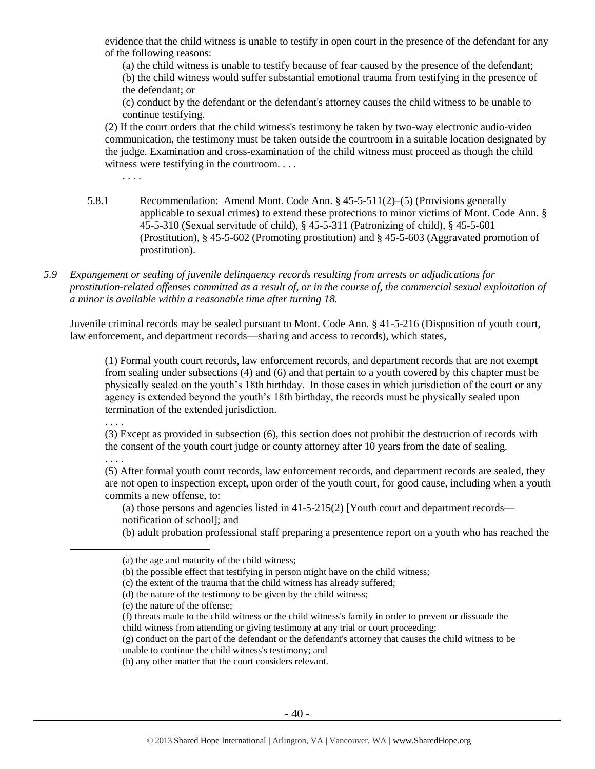evidence that the child witness is unable to testify in open court in the presence of the defendant for any of the following reasons:

(a) the child witness is unable to testify because of fear caused by the presence of the defendant; (b) the child witness would suffer substantial emotional trauma from testifying in the presence of the defendant; or

(c) conduct by the defendant or the defendant's attorney causes the child witness to be unable to continue testifying.

(2) If the court orders that the child witness's testimony be taken by two-way electronic audio-video communication, the testimony must be taken outside the courtroom in a suitable location designated by the judge. Examination and cross-examination of the child witness must proceed as though the child witness were testifying in the courtroom. . . .

. . . .

- 5.8.1 Recommendation: Amend Mont. Code Ann. § 45-5-511(2)–(5) (Provisions generally applicable to sexual crimes) to extend these protections to minor victims of Mont. Code Ann. § 45-5-310 (Sexual servitude of child), § 45-5-311 (Patronizing of child), § 45-5-601 (Prostitution), § 45-5-602 (Promoting prostitution) and § 45-5-603 (Aggravated promotion of prostitution).
- *5.9 Expungement or sealing of juvenile delinquency records resulting from arrests or adjudications for prostitution-related offenses committed as a result of, or in the course of, the commercial sexual exploitation of a minor is available within a reasonable time after turning 18.*

Juvenile criminal records may be sealed pursuant to Mont. Code Ann. § 41-5-216 (Disposition of youth court, law enforcement, and department records—sharing and access to records), which states,

(1) Formal youth court records, law enforcement records, and department records that are not exempt from sealing under subsections (4) and (6) and that pertain to a youth covered by this chapter must be physically sealed on the youth's 18th birthday. In those cases in which jurisdiction of the court or any agency is extended beyond the youth's 18th birthday, the records must be physically sealed upon termination of the extended jurisdiction.

. . . .

(3) Except as provided in subsection (6), this section does not prohibit the destruction of records with the consent of the youth court judge or county attorney after 10 years from the date of sealing.

. . . .

 $\overline{a}$ 

(5) After formal youth court records, law enforcement records, and department records are sealed, they are not open to inspection except, upon order of the youth court, for good cause, including when a youth commits a new offense, to:

(a) those persons and agencies listed in [41-5-215\(](http://data.opi.mt.gov/bills/mca/41/5/41-5-215.htm)2) [Youth court and department records notification of school]; and

(b) adult probation professional staff preparing a presentence report on a youth who has reached the

- (f) threats made to the child witness or the child witness's family in order to prevent or dissuade the child witness from attending or giving testimony at any trial or court proceeding;
- (g) conduct on the part of the defendant or the defendant's attorney that causes the child witness to be unable to continue the child witness's testimony; and

<sup>(</sup>a) the age and maturity of the child witness;

<sup>(</sup>b) the possible effect that testifying in person might have on the child witness;

<sup>(</sup>c) the extent of the trauma that the child witness has already suffered;

<sup>(</sup>d) the nature of the testimony to be given by the child witness;

<sup>(</sup>e) the nature of the offense;

<sup>(</sup>h) any other matter that the court considers relevant.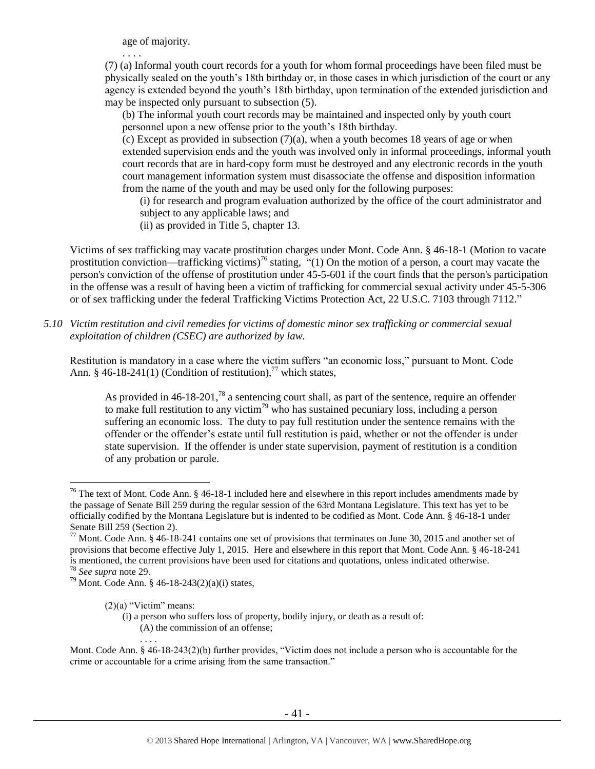age of majority.

. . . .

(7) (a) Informal youth court records for a youth for whom formal proceedings have been filed must be physically sealed on the youth's 18th birthday or, in those cases in which jurisdiction of the court or any agency is extended beyond the youth's 18th birthday, upon termination of the extended jurisdiction and may be inspected only pursuant to subsection (5).

(b) The informal youth court records may be maintained and inspected only by youth court personnel upon a new offense prior to the youth's 18th birthday.

 $(c)$  Except as provided in subsection  $(7)(a)$ , when a youth becomes 18 years of age or when extended supervision ends and the youth was involved only in informal proceedings, informal youth court records that are in hard-copy form must be destroyed and any electronic records in the youth court management information system must disassociate the offense and disposition information from the name of the youth and may be used only for the following purposes:

(i) for research and program evaluation authorized by the office of the court administrator and subject to any applicable laws; and

(ii) as provided in Title 5, chapter 13.

Victims of sex trafficking may vacate prostitution charges under Mont. Code Ann. § 46-18-1 (Motion to vacate prostitution conviction—trafficking victims)<sup>76</sup> stating,  $(1)$  On the motion of a person, a court may vacate the person's conviction of the offense of prostitution under 45-5-601 if the court finds that the person's participation in the offense was a result of having been a victim of trafficking for commercial sexual activity under 45-5-306 or of sex trafficking under the federal Trafficking Victims Protection Act, 22 U.S.C. 7103 through 7112."

*5.10 Victim restitution and civil remedies for victims of domestic minor sex trafficking or commercial sexual exploitation of children (CSEC) are authorized by law.* 

Restitution is mandatory in a case where the victim suffers "an economic loss," pursuant to Mont. Code Ann. § 46-18-241(1) (Condition of restitution),<sup>77</sup> which states,

As provided in 46-18-201,<sup>78</sup> a sentencing court shall, as part of the sentence, require an offender to make full restitution to any victim<sup>79</sup> who has sustained pecuniary loss, including a person suffering an economic loss. The duty to pay full restitution under the sentence remains with the offender or the offender's estate until full restitution is paid, whether or not the offender is under state supervision. If the offender is under state supervision, payment of restitution is a condition of any probation or parole.

 $\overline{a}$ 

(i) a person who suffers loss of property, bodily injury, or death as a result of: (A) the commission of an offense;

Mont. Code Ann. § 46-18-243(2)(b) further provides, "Victim does not include a person who is accountable for the crime or accountable for a crime arising from the same transaction."

<sup>&</sup>lt;sup>76</sup> The text of Mont. Code Ann. § 46-18-1 included here and elsewhere in this report includes amendments made by the passage of Senate Bill 259 during the regular session of the 63rd Montana Legislature. This text has yet to be officially codified by the Montana Legislature but is indented to be codified as Mont. Code Ann. § 46-18-1 under Senate Bill 259 (Section 2).

 $77$  Mont. Code Ann. § 46-18-241 contains one set of provisions that terminates on June 30, 2015 and another set of provisions that become effective July 1, 2015. Here and elsewhere in this report that Mont. Code Ann. § 46-18-241 is mentioned, the current provisions have been used for citations and quotations, unless indicated otherwise.

<sup>78</sup> *See supra* note [29.](#page-12-0)

<sup>&</sup>lt;sup>79</sup> Mont. Code Ann. § 46-18-243(2)(a)(i) states,

 $(2)(a)$  "Victim" means: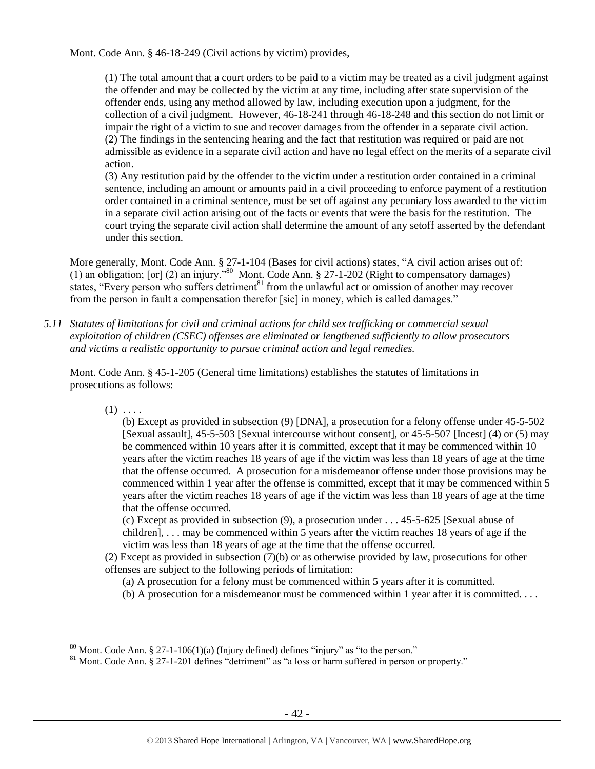Mont. Code Ann. § 46-18-249 (Civil actions by victim) provides,

(1) The total amount that a court orders to be paid to a victim may be treated as a civil judgment against the offender and may be collected by the victim at any time, including after state supervision of the offender ends, using any method allowed by law, including execution upon a judgment, for the collection of a civil judgment. However, 46-18-241 through 46-18-248 and this section do not limit or impair the right of a victim to sue and recover damages from the offender in a separate civil action. (2) The findings in the sentencing hearing and the fact that restitution was required or paid are not admissible as evidence in a separate civil action and have no legal effect on the merits of a separate civil action.

(3) Any restitution paid by the offender to the victim under a restitution order contained in a criminal sentence, including an amount or amounts paid in a civil proceeding to enforce payment of a restitution order contained in a criminal sentence, must be set off against any pecuniary loss awarded to the victim in a separate civil action arising out of the facts or events that were the basis for the restitution. The court trying the separate civil action shall determine the amount of any setoff asserted by the defendant under this section.

More generally, Mont. Code Ann. § 27-1-104 (Bases for civil actions) states, "A civil action arises out of: (1) an obligation; [or] (2) an injury."<sup>80</sup> Mont. Code Ann. § 27-1-202 (Right to compensatory damages) states, "Every person who suffers detriment<sup>81</sup> from the unlawful act or omission of another may recover from the person in fault a compensation therefor [sic] in money, which is called damages."

*5.11 Statutes of limitations for civil and criminal actions for child sex trafficking or commercial sexual exploitation of children (CSEC) offenses are eliminated or lengthened sufficiently to allow prosecutors and victims a realistic opportunity to pursue criminal action and legal remedies.*

Mont. Code Ann. § 45-1-205 (General time limitations) establishes the statutes of limitations in prosecutions as follows:

 $(1) \ldots$ 

 $\overline{a}$ 

(b) Except as provided in subsection (9) [DNA], a prosecution for a felony offense under 45-5-502 [Sexual assault], 45-5-503 [Sexual intercourse without consent], or 45-5-507 [Incest] (4) or (5) may be commenced within 10 years after it is committed, except that it may be commenced within 10 years after the victim reaches 18 years of age if the victim was less than 18 years of age at the time that the offense occurred. A prosecution for a misdemeanor offense under those provisions may be commenced within 1 year after the offense is committed, except that it may be commenced within 5 years after the victim reaches 18 years of age if the victim was less than 18 years of age at the time that the offense occurred.

(c) Except as provided in subsection (9), a prosecution under . . . 45-5-625 [Sexual abuse of children], . . . may be commenced within 5 years after the victim reaches 18 years of age if the victim was less than 18 years of age at the time that the offense occurred.

(2) Except as provided in subsection (7)(b) or as otherwise provided by law, prosecutions for other offenses are subject to the following periods of limitation:

- (a) A prosecution for a felony must be commenced within 5 years after it is committed.
- (b) A prosecution for a misdemeanor must be commenced within 1 year after it is committed. . . .

 $80$  Mont. Code Ann. § 27-1-106(1)(a) (Injury defined) defines "injury" as "to the person."

<sup>&</sup>lt;sup>81</sup> Mont. Code Ann. § 27-1-201 defines "detriment" as "a loss or harm suffered in person or property."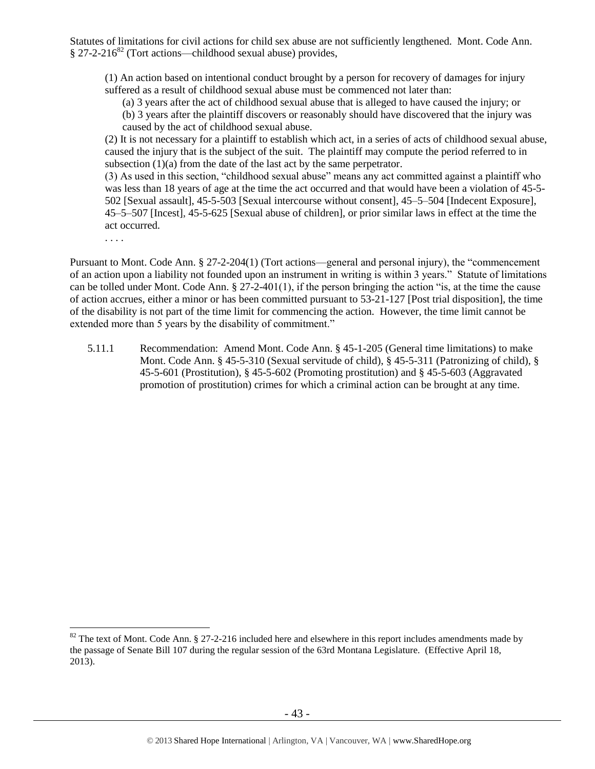Statutes of limitations for civil actions for child sex abuse are not sufficiently lengthened. Mont. Code Ann.  $§$  27-2-216<sup>82</sup> (Tort actions—childhood sexual abuse) provides,

(1) An action based on intentional conduct brought by a person for recovery of damages for injury suffered as a result of childhood sexual abuse must be commenced not later than:

(a) 3 years after the act of childhood sexual abuse that is alleged to have caused the injury; or

(b) 3 years after the plaintiff discovers or reasonably should have discovered that the injury was caused by the act of childhood sexual abuse.

(2) It is not necessary for a plaintiff to establish which act, in a series of acts of childhood sexual abuse, caused the injury that is the subject of the suit. The plaintiff may compute the period referred to in subsection (1)(a) from the date of the last act by the same perpetrator.

(3) As used in this section, "childhood sexual abuse" means any act committed against a plaintiff who was less than 18 years of age at the time the act occurred and that would have been a violation of 45-5- 502 [Sexual assault], 45-5-503 [Sexual intercourse without consent], 45–5–504 [Indecent Exposure], 45–5–507 [Incest], 45-5-625 [Sexual abuse of children], or prior similar laws in effect at the time the act occurred.

. . . .

 $\overline{a}$ 

Pursuant to Mont. Code Ann. § 27-2-204(1) (Tort actions—general and personal injury), the "commencement of an action upon a liability not founded upon an instrument in writing is within 3 years." Statute of limitations can be tolled under Mont. Code Ann. § 27-2-401(1), if the person bringing the action "is, at the time the cause of action accrues, either a minor or has been committed pursuant to 53-21-127 [Post trial disposition], the time of the disability is not part of the time limit for commencing the action. However, the time limit cannot be extended more than 5 years by the disability of commitment."

5.11.1 Recommendation: Amend Mont. Code Ann. § 45-1-205 (General time limitations) to make Mont. Code Ann. § 45-5-310 (Sexual servitude of child), § 45-5-311 (Patronizing of child), § 45-5-601 (Prostitution), § 45-5-602 (Promoting prostitution) and § 45-5-603 (Aggravated promotion of prostitution) crimes for which a criminal action can be brought at any time.

 $82$  The text of Mont. Code Ann.  $\S 27$ -2-216 included here and elsewhere in this report includes amendments made by the passage of Senate Bill 107 during the regular session of the 63rd Montana Legislature. (Effective April 18, 2013).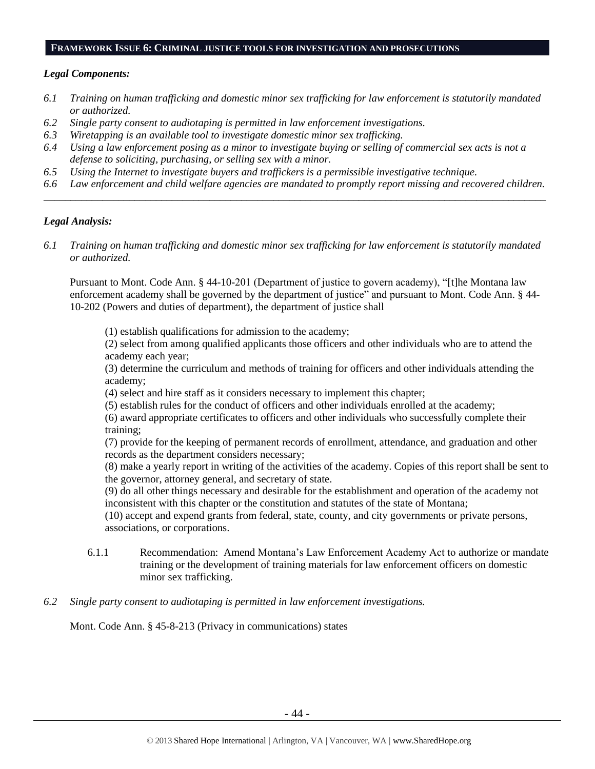## **FRAMEWORK ISSUE 6: CRIMINAL JUSTICE TOOLS FOR INVESTIGATION AND PROSECUTIONS**

## *Legal Components:*

- *6.1 Training on human trafficking and domestic minor sex trafficking for law enforcement is statutorily mandated or authorized.*
- *6.2 Single party consent to audiotaping is permitted in law enforcement investigations.*
- *6.3 Wiretapping is an available tool to investigate domestic minor sex trafficking.*
- *6.4 Using a law enforcement posing as a minor to investigate buying or selling of commercial sex acts is not a defense to soliciting, purchasing, or selling sex with a minor.*
- *6.5 Using the Internet to investigate buyers and traffickers is a permissible investigative technique.*
- *6.6 Law enforcement and child welfare agencies are mandated to promptly report missing and recovered children. \_\_\_\_\_\_\_\_\_\_\_\_\_\_\_\_\_\_\_\_\_\_\_\_\_\_\_\_\_\_\_\_\_\_\_\_\_\_\_\_\_\_\_\_\_\_\_\_\_\_\_\_\_\_\_\_\_\_\_\_\_\_\_\_\_\_\_\_\_\_\_\_\_\_\_\_\_\_\_\_\_\_\_\_\_\_\_\_\_\_\_\_\_\_*

## *Legal Analysis:*

*6.1 Training on human trafficking and domestic minor sex trafficking for law enforcement is statutorily mandated or authorized.*

Pursuant to Mont. Code Ann. § 44-10-201 (Department of justice to govern academy), "[t]he Montana law enforcement academy shall be governed by the department of justice" and pursuant to Mont. Code Ann. § 44- 10-202 (Powers and duties of department), the department of justice shall

(1) establish qualifications for admission to the academy;

(2) select from among qualified applicants those officers and other individuals who are to attend the academy each year;

(3) determine the curriculum and methods of training for officers and other individuals attending the academy;

(4) select and hire staff as it considers necessary to implement this chapter;

(5) establish rules for the conduct of officers and other individuals enrolled at the academy;

(6) award appropriate certificates to officers and other individuals who successfully complete their training;

(7) provide for the keeping of permanent records of enrollment, attendance, and graduation and other records as the department considers necessary;

(8) make a yearly report in writing of the activities of the academy. Copies of this report shall be sent to the governor, attorney general, and secretary of state.

(9) do all other things necessary and desirable for the establishment and operation of the academy not inconsistent with this chapter or the constitution and statutes of the state of Montana;

(10) accept and expend grants from federal, state, county, and city governments or private persons, associations, or corporations.

- 6.1.1 Recommendation: Amend Montana's Law Enforcement Academy Act to authorize or mandate training or the development of training materials for law enforcement officers on domestic minor sex trafficking.
- *6.2 Single party consent to audiotaping is permitted in law enforcement investigations.*

Mont. Code Ann. § 45-8-213 (Privacy in communications) states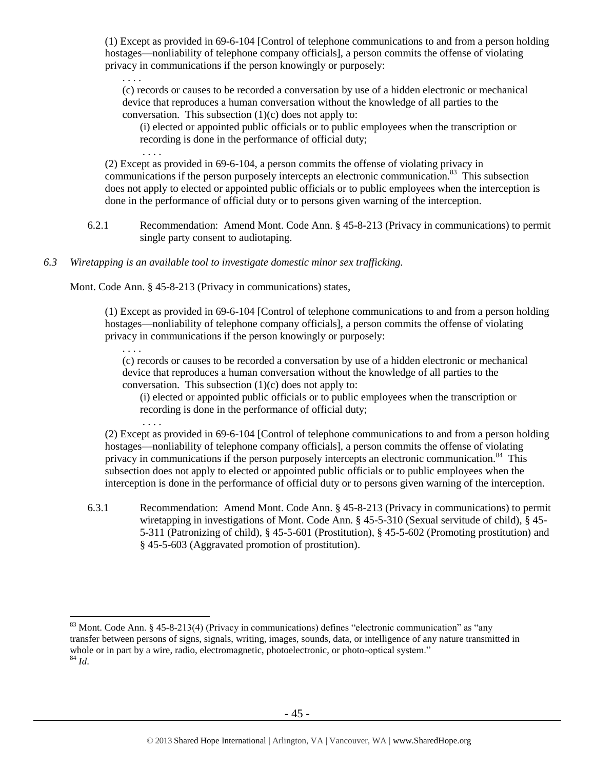(1) Except as provided in 69-6-104 [Control of telephone communications to and from a person holding hostages—nonliability of telephone company officials], a person commits the offense of violating privacy in communications if the person knowingly or purposely:

. . . . (c) records or causes to be recorded a conversation by use of a hidden electronic or mechanical device that reproduces a human conversation without the knowledge of all parties to the conversation. This subsection  $(1)(c)$  does not apply to:

(i) elected or appointed public officials or to public employees when the transcription or recording is done in the performance of official duty;

(2) Except as provided in [69-6-104,](http://data.opi.mt.gov/bills/mca/69/6/69-6-104.htm) a person commits the offense of violating privacy in communications if the person purposely intercepts an electronic communication.<sup>83</sup> This subsection does not apply to elected or appointed public officials or to public employees when the interception is done in the performance of official duty or to persons given warning of the interception.

- 6.2.1 Recommendation: Amend Mont. Code Ann. § 45-8-213 (Privacy in communications) to permit single party consent to audiotaping.
- *6.3 Wiretapping is an available tool to investigate domestic minor sex trafficking.*

Mont. Code Ann. § 45-8-213 (Privacy in communications) states,

. . . .

. . . .

. . . .

(1) Except as provided in [69-6-104](http://data.opi.mt.gov/bills/mca/69/6/69-6-104.htm) [Control of telephone communications to and from a person holding hostages—nonliability of telephone company officials], a person commits the offense of violating privacy in communications if the person knowingly or purposely:

(c) records or causes to be recorded a conversation by use of a hidden electronic or mechanical device that reproduces a human conversation without the knowledge of all parties to the conversation. This subsection  $(1)(c)$  does not apply to:

(i) elected or appointed public officials or to public employees when the transcription or recording is done in the performance of official duty;

(2) Except as provided in [69-6-104](http://data.opi.mt.gov/bills/mca/69/6/69-6-104.htm) [Control of telephone communications to and from a person holding hostages—nonliability of telephone company officials], a person commits the offense of violating privacy in communications if the person purposely intercepts an electronic communication.<sup>84</sup> This subsection does not apply to elected or appointed public officials or to public employees when the interception is done in the performance of official duty or to persons given warning of the interception.

6.3.1 Recommendation: Amend Mont. Code Ann. § 45-8-213 (Privacy in communications) to permit wiretapping in investigations of Mont. Code Ann. § 45-5-310 (Sexual servitude of child), § 45- 5-311 (Patronizing of child), § 45-5-601 (Prostitution), § 45-5-602 (Promoting prostitution) and § 45-5-603 (Aggravated promotion of prostitution).

 $\overline{a}$ <sup>83</sup> Mont. Code Ann. § 45-8-213(4) (Privacy in communications) defines "electronic communication" as "any transfer between persons of signs, signals, writing, images, sounds, data, or intelligence of any nature transmitted in whole or in part by a wire, radio, electromagnetic, photoelectronic, or photo-optical system." <sup>84</sup> *Id*.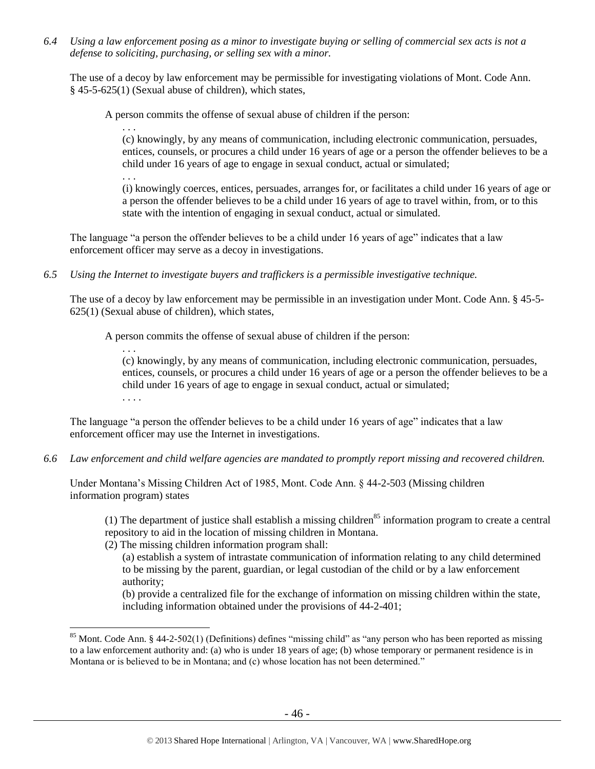*6.4 Using a law enforcement posing as a minor to investigate buying or selling of commercial sex acts is not a defense to soliciting, purchasing, or selling sex with a minor.*

The use of a decoy by law enforcement may be permissible for investigating violations of Mont. Code Ann. § 45-5-625(1) (Sexual abuse of children), which states,

A person commits the offense of sexual abuse of children if the person:

. . .

(c) knowingly, by any means of communication, including electronic communication, persuades, entices, counsels, or procures a child under 16 years of age or a person the offender believes to be a child under 16 years of age to engage in sexual conduct, actual or simulated;

. . .

 $\overline{a}$ 

(i) knowingly coerces, entices, persuades, arranges for, or facilitates a child under 16 years of age or a person the offender believes to be a child under 16 years of age to travel within, from, or to this state with the intention of engaging in sexual conduct, actual or simulated.

The language "a person the offender believes to be a child under 16 years of age" indicates that a law enforcement officer may serve as a decoy in investigations.

*6.5 Using the Internet to investigate buyers and traffickers is a permissible investigative technique.*

The use of a decoy by law enforcement may be permissible in an investigation under Mont. Code Ann. § 45-5- 625(1) (Sexual abuse of children), which states,

A person commits the offense of sexual abuse of children if the person:

. . . (c) knowingly, by any means of communication, including electronic communication, persuades, entices, counsels, or procures a child under 16 years of age or a person the offender believes to be a child under 16 years of age to engage in sexual conduct, actual or simulated; . . . .

The language "a person the offender believes to be a child under 16 years of age" indicates that a law enforcement officer may use the Internet in investigations.

*6.6 Law enforcement and child welfare agencies are mandated to promptly report missing and recovered children.*

Under Montana's Missing Children Act of 1985, Mont. Code Ann. § 44-2-503 (Missing children information program) states

(1) The department of justice shall establish a missing children<sup>85</sup> information program to create a central repository to aid in the location of missing children in Montana.

(2) The missing children information program shall:

(a) establish a system of intrastate communication of information relating to any child determined to be missing by the parent, guardian, or legal custodian of the child or by a law enforcement authority;

(b) provide a centralized file for the exchange of information on missing children within the state, including information obtained under the provisions of 44-2-401;

<sup>&</sup>lt;sup>85</sup> Mont. Code Ann. § 44-2-502(1) (Definitions) defines "missing child" as "any person who has been reported as missing to a law enforcement authority and: (a) who is under 18 years of age; (b) whose temporary or permanent residence is in Montana or is believed to be in Montana; and (c) whose location has not been determined."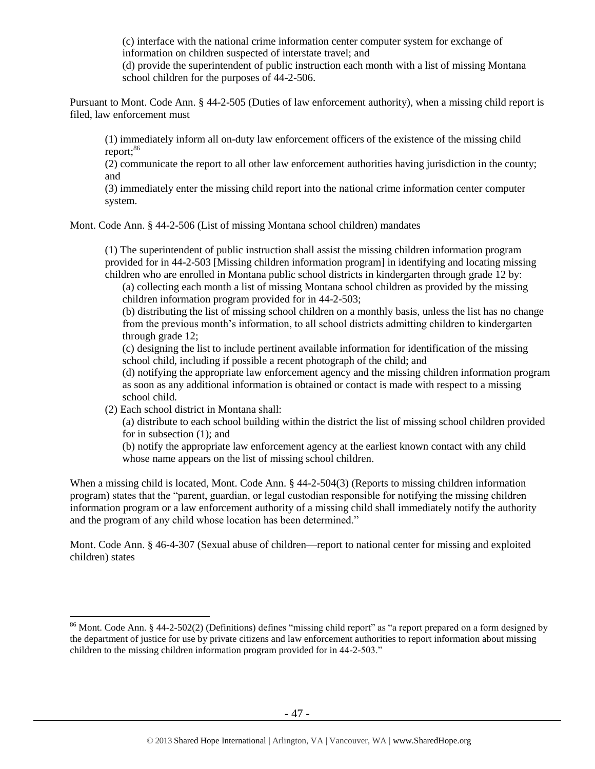(c) interface with the national crime information center computer system for exchange of information on children suspected of interstate travel; and

(d) provide the superintendent of public instruction each month with a list of missing Montana school children for the purposes of 44-2-506.

Pursuant to Mont. Code Ann. § 44-2-505 (Duties of law enforcement authority), when a missing child report is filed, law enforcement must

(1) immediately inform all on-duty law enforcement officers of the existence of the missing child report:<sup>86</sup>

(2) communicate the report to all other law enforcement authorities having jurisdiction in the county; and

(3) immediately enter the missing child report into the national crime information center computer system.

Mont. Code Ann. § 44-2-506 (List of missing Montana school children) mandates

(1) The superintendent of public instruction shall assist the missing children information program provided for in 44-2-503 [Missing children information program] in identifying and locating missing children who are enrolled in Montana public school districts in kindergarten through grade 12 by:

(a) collecting each month a list of missing Montana school children as provided by the missing children information program provided for in [44-2-503;](http://data.opi.mt.gov/bills/mca/44/2/44-2-503.htm)

(b) distributing the list of missing school children on a monthly basis, unless the list has no change from the previous month's information, to all school districts admitting children to kindergarten through grade 12;

(c) designing the list to include pertinent available information for identification of the missing school child, including if possible a recent photograph of the child; and

(d) notifying the appropriate law enforcement agency and the missing children information program as soon as any additional information is obtained or contact is made with respect to a missing school child.

(2) Each school district in Montana shall:

 $\overline{a}$ 

(a) distribute to each school building within the district the list of missing school children provided for in subsection (1); and

(b) notify the appropriate law enforcement agency at the earliest known contact with any child whose name appears on the list of missing school children.

When a missing child is located, Mont. Code Ann. § 44-2-504(3) (Reports to missing children information program) states that the "parent, guardian, or legal custodian responsible for notifying the missing children information program or a law enforcement authority of a missing child shall immediately notify the authority and the program of any child whose location has been determined."

Mont. Code Ann. § 46-4-307 (Sexual abuse of children—report to national center for missing and exploited children) states

<sup>&</sup>lt;sup>86</sup> Mont. Code Ann. § 44-2-502(2) (Definitions) defines "missing child report" as "a report prepared on a form designed by the department of justice for use by private citizens and law enforcement authorities to report information about missing children to the missing children information program provided for in 44-2-503."